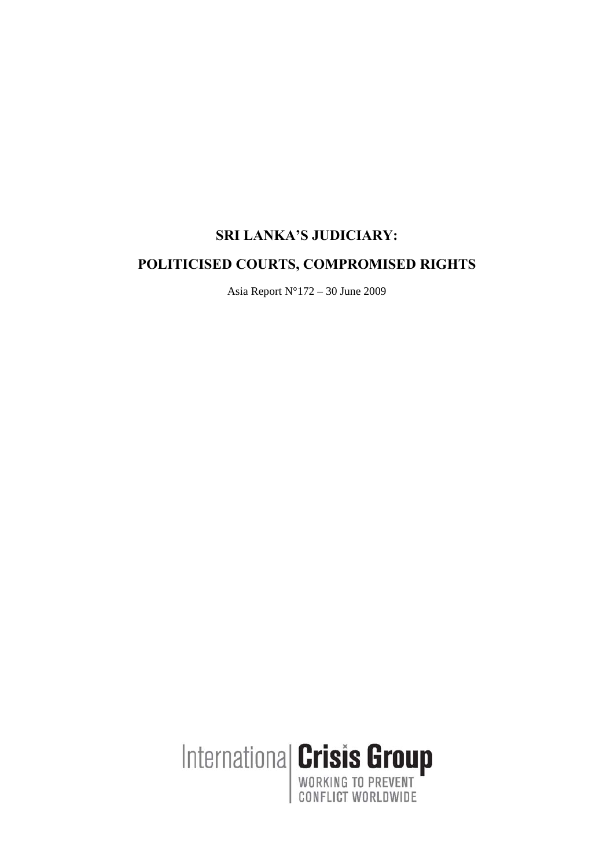# **SRI LANKA'S JUDICIARY:**

# **POLITICISED COURTS, COMPROMISED RIGHTS**

Asia Report N°172 – 30 June 2009

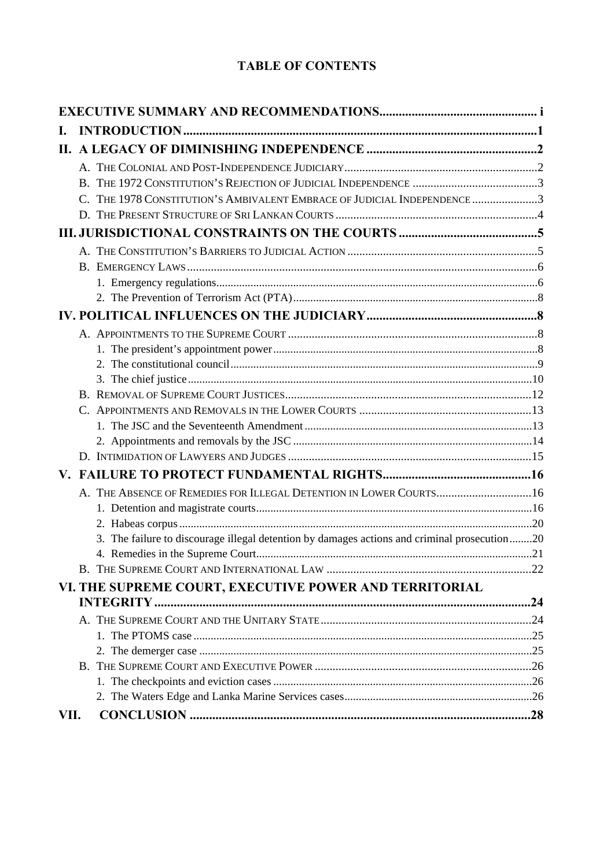# **TABLE OF CONTENTS**

| Ι.   |                                                                                              |  |
|------|----------------------------------------------------------------------------------------------|--|
|      |                                                                                              |  |
|      |                                                                                              |  |
|      |                                                                                              |  |
|      | THE 1978 CONSTITUTION'S AMBIVALENT EMBRACE OF JUDICIAL INDEPENDENCE 3<br>C                   |  |
|      |                                                                                              |  |
|      |                                                                                              |  |
|      |                                                                                              |  |
|      |                                                                                              |  |
|      |                                                                                              |  |
|      |                                                                                              |  |
|      |                                                                                              |  |
|      |                                                                                              |  |
|      |                                                                                              |  |
|      |                                                                                              |  |
|      |                                                                                              |  |
|      |                                                                                              |  |
|      |                                                                                              |  |
|      |                                                                                              |  |
|      |                                                                                              |  |
|      |                                                                                              |  |
|      |                                                                                              |  |
|      | A. THE ABSENCE OF REMEDIES FOR ILLEGAL DETENTION IN LOWER COURTS 16                          |  |
|      |                                                                                              |  |
|      |                                                                                              |  |
|      | 3. The failure to discourage illegal detention by damages actions and criminal prosecution20 |  |
|      |                                                                                              |  |
|      |                                                                                              |  |
|      | VI. THE SUPREME COURT, EXECUTIVE POWER AND TERRITORIAL                                       |  |
|      |                                                                                              |  |
|      |                                                                                              |  |
|      |                                                                                              |  |
|      |                                                                                              |  |
|      |                                                                                              |  |
|      |                                                                                              |  |
| VII. |                                                                                              |  |
|      |                                                                                              |  |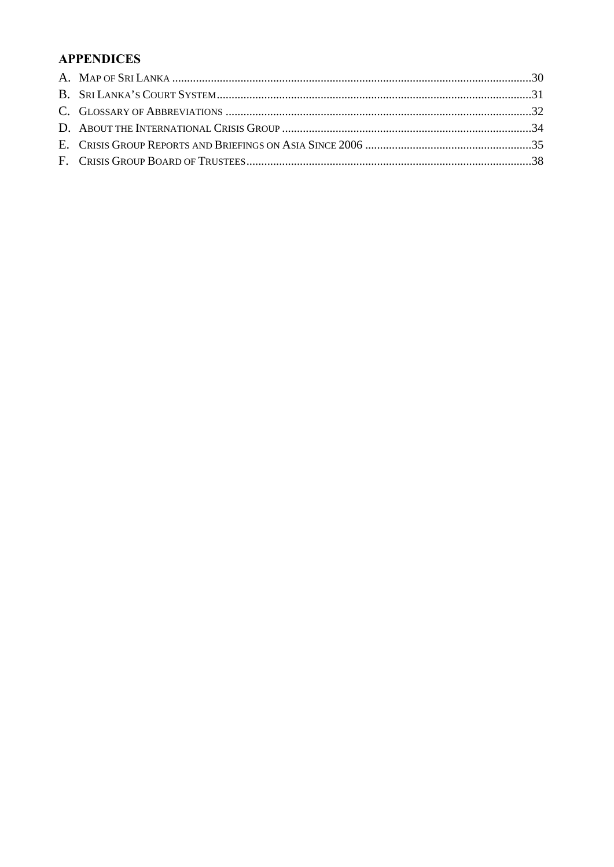# **APPENDICES**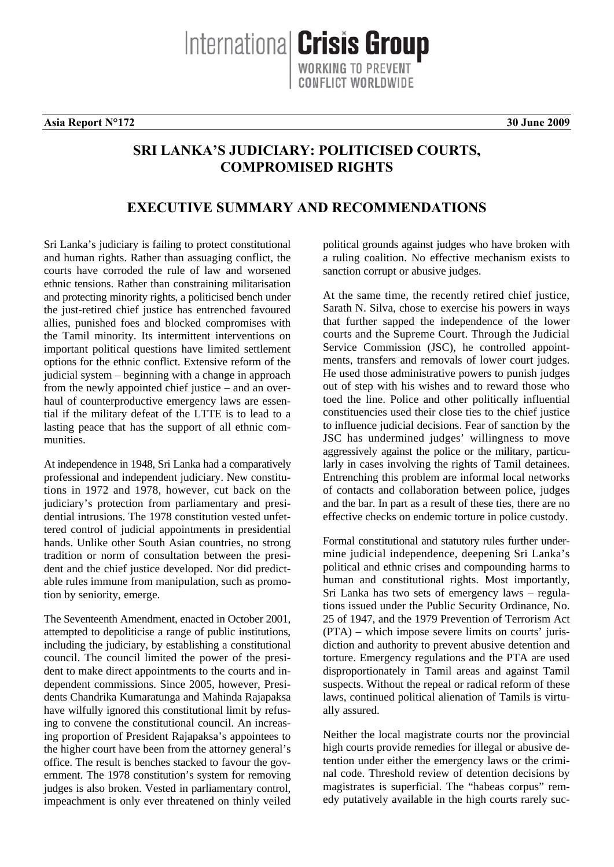**Asia Report N°172 30 June 2009**

# **SRI LANKA'S JUDICIARY: POLITICISED COURTS, COMPROMISED RIGHTS**

Internationa **Crisis Group** 

# **EXECUTIVE SUMMARY AND RECOMMENDATIONS**

Sri Lanka's judiciary is failing to protect constitutional and human rights. Rather than assuaging conflict, the courts have corroded the rule of law and worsened ethnic tensions. Rather than constraining militarisation and protecting minority rights, a politicised bench under the just-retired chief justice has entrenched favoured allies, punished foes and blocked compromises with the Tamil minority. Its intermittent interventions on important political questions have limited settlement options for the ethnic conflict. Extensive reform of the judicial system – beginning with a change in approach from the newly appointed chief justice – and an overhaul of counterproductive emergency laws are essential if the military defeat of the LTTE is to lead to a lasting peace that has the support of all ethnic communities.

At independence in 1948, Sri Lanka had a comparatively professional and independent judiciary. New constitutions in 1972 and 1978, however, cut back on the judiciary's protection from parliamentary and presidential intrusions. The 1978 constitution vested unfettered control of judicial appointments in presidential hands. Unlike other South Asian countries, no strong tradition or norm of consultation between the president and the chief justice developed. Nor did predictable rules immune from manipulation, such as promotion by seniority, emerge.

The Seventeenth Amendment, enacted in October 2001, attempted to depoliticise a range of public institutions, including the judiciary, by establishing a constitutional council. The council limited the power of the president to make direct appointments to the courts and independent commissions. Since 2005, however, Presidents Chandrika Kumaratunga and Mahinda Rajapaksa have wilfully ignored this constitutional limit by refusing to convene the constitutional council. An increasing proportion of President Rajapaksa's appointees to the higher court have been from the attorney general's office. The result is benches stacked to favour the government. The 1978 constitution's system for removing judges is also broken. Vested in parliamentary control, impeachment is only ever threatened on thinly veiled political grounds against judges who have broken with a ruling coalition. No effective mechanism exists to sanction corrupt or abusive judges.

At the same time, the recently retired chief justice, Sarath N. Silva, chose to exercise his powers in ways that further sapped the independence of the lower courts and the Supreme Court. Through the Judicial Service Commission (JSC), he controlled appointments, transfers and removals of lower court judges. He used those administrative powers to punish judges out of step with his wishes and to reward those who toed the line. Police and other politically influential constituencies used their close ties to the chief justice to influence judicial decisions. Fear of sanction by the JSC has undermined judges' willingness to move aggressively against the police or the military, particularly in cases involving the rights of Tamil detainees. Entrenching this problem are informal local networks of contacts and collaboration between police, judges and the bar. In part as a result of these ties, there are no effective checks on endemic torture in police custody.

Formal constitutional and statutory rules further undermine judicial independence, deepening Sri Lanka's political and ethnic crises and compounding harms to human and constitutional rights. Most importantly, Sri Lanka has two sets of emergency laws – regulations issued under the Public Security Ordinance, No. 25 of 1947, and the 1979 Prevention of Terrorism Act (PTA) – which impose severe limits on courts' jurisdiction and authority to prevent abusive detention and torture. Emergency regulations and the PTA are used disproportionately in Tamil areas and against Tamil suspects. Without the repeal or radical reform of these laws, continued political alienation of Tamils is virtually assured.

Neither the local magistrate courts nor the provincial high courts provide remedies for illegal or abusive detention under either the emergency laws or the criminal code. Threshold review of detention decisions by magistrates is superficial. The "habeas corpus" remedy putatively available in the high courts rarely suc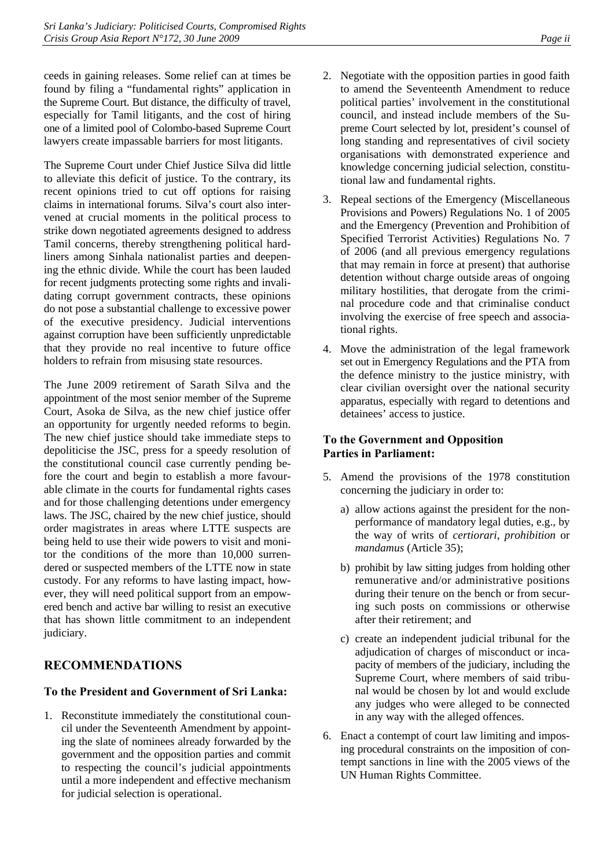ceeds in gaining releases. Some relief can at times be found by filing a "fundamental rights" application in the Supreme Court. But distance, the difficulty of travel, especially for Tamil litigants, and the cost of hiring one of a limited pool of Colombo-based Supreme Court lawyers create impassable barriers for most litigants.

The Supreme Court under Chief Justice Silva did little to alleviate this deficit of justice. To the contrary, its recent opinions tried to cut off options for raising claims in international forums. Silva's court also intervened at crucial moments in the political process to strike down negotiated agreements designed to address Tamil concerns, thereby strengthening political hardliners among Sinhala nationalist parties and deepening the ethnic divide. While the court has been lauded for recent judgments protecting some rights and invalidating corrupt government contracts, these opinions do not pose a substantial challenge to excessive power of the executive presidency. Judicial interventions against corruption have been sufficiently unpredictable that they provide no real incentive to future office holders to refrain from misusing state resources.

The June 2009 retirement of Sarath Silva and the appointment of the most senior member of the Supreme Court, Asoka de Silva, as the new chief justice offer an opportunity for urgently needed reforms to begin. The new chief justice should take immediate steps to depoliticise the JSC, press for a speedy resolution of the constitutional council case currently pending before the court and begin to establish a more favourable climate in the courts for fundamental rights cases and for those challenging detentions under emergency laws. The JSC, chaired by the new chief justice, should order magistrates in areas where LTTE suspects are being held to use their wide powers to visit and monitor the conditions of the more than 10,000 surrendered or suspected members of the LTTE now in state custody. For any reforms to have lasting impact, however, they will need political support from an empowered bench and active bar willing to resist an executive that has shown little commitment to an independent judiciary.

# **RECOMMENDATIONS**

# **To the President and Government of Sri Lanka:**

1. Reconstitute immediately the constitutional council under the Seventeenth Amendment by appointing the slate of nominees already forwarded by the government and the opposition parties and commit to respecting the council's judicial appointments until a more independent and effective mechanism for judicial selection is operational.

- 2. Negotiate with the opposition parties in good faith to amend the Seventeenth Amendment to reduce political parties' involvement in the constitutional council, and instead include members of the Supreme Court selected by lot, president's counsel of long standing and representatives of civil society organisations with demonstrated experience and knowledge concerning judicial selection, constitutional law and fundamental rights.
- 3. Repeal sections of the Emergency (Miscellaneous Provisions and Powers) Regulations No. 1 of 2005 and the Emergency (Prevention and Prohibition of Specified Terrorist Activities) Regulations No. 7 of 2006 (and all previous emergency regulations that may remain in force at present) that authorise detention without charge outside areas of ongoing military hostilities, that derogate from the criminal procedure code and that criminalise conduct involving the exercise of free speech and associational rights.
- 4. Move the administration of the legal framework set out in Emergency Regulations and the PTA from the defence ministry to the justice ministry, with clear civilian oversight over the national security apparatus, especially with regard to detentions and detainees' access to justice.

## **To the Government and Opposition Parties in Parliament:**

- 5. Amend the provisions of the 1978 constitution concerning the judiciary in order to:
	- a) allow actions against the president for the nonperformance of mandatory legal duties, e.g., by the way of writs of *certiorari*, *prohibition* or *mandamus* (Article 35);
	- b) prohibit by law sitting judges from holding other remunerative and/or administrative positions during their tenure on the bench or from securing such posts on commissions or otherwise after their retirement; and
	- c) create an independent judicial tribunal for the adjudication of charges of misconduct or incapacity of members of the judiciary, including the Supreme Court, where members of said tribunal would be chosen by lot and would exclude any judges who were alleged to be connected in any way with the alleged offences.
- 6. Enact a contempt of court law limiting and imposing procedural constraints on the imposition of contempt sanctions in line with the 2005 views of the UN Human Rights Committee.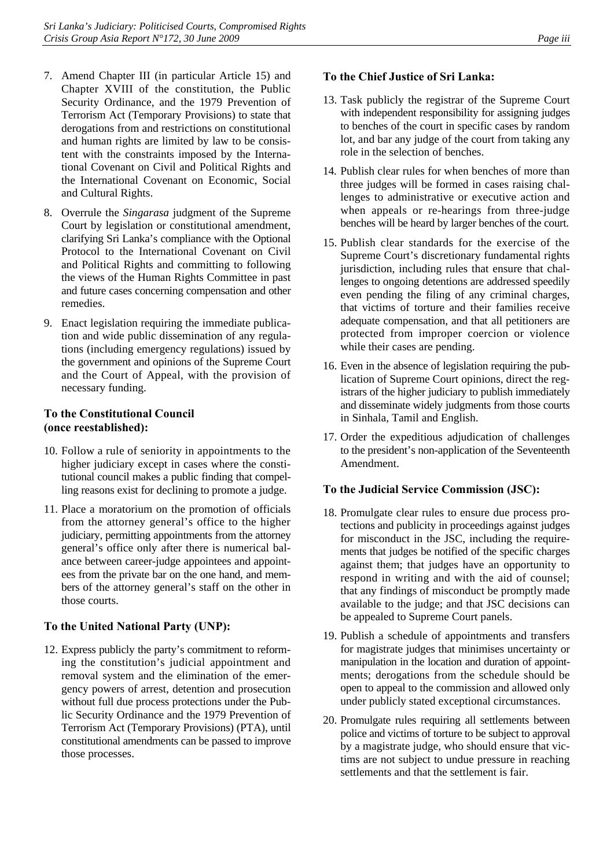- 7. Amend Chapter III (in particular Article 15) and Chapter XVIII of the constitution, the Public Security Ordinance, and the 1979 Prevention of Terrorism Act (Temporary Provisions) to state that derogations from and restrictions on constitutional and human rights are limited by law to be consistent with the constraints imposed by the International Covenant on Civil and Political Rights and the International Covenant on Economic, Social and Cultural Rights.
- 8. Overrule the *Singarasa* judgment of the Supreme Court by legislation or constitutional amendment, clarifying Sri Lanka's compliance with the Optional Protocol to the International Covenant on Civil and Political Rights and committing to following the views of the Human Rights Committee in past and future cases concerning compensation and other remedies.
- 9. Enact legislation requiring the immediate publication and wide public dissemination of any regulations (including emergency regulations) issued by the government and opinions of the Supreme Court and the Court of Appeal, with the provision of necessary funding.

# **To the Constitutional Council (once reestablished):**

- 10. Follow a rule of seniority in appointments to the higher judiciary except in cases where the constitutional council makes a public finding that compelling reasons exist for declining to promote a judge.
- 11. Place a moratorium on the promotion of officials from the attorney general's office to the higher judiciary, permitting appointments from the attorney general's office only after there is numerical balance between career-judge appointees and appointees from the private bar on the one hand, and members of the attorney general's staff on the other in those courts.

# **To the United National Party (UNP):**

12. Express publicly the party's commitment to reforming the constitution's judicial appointment and removal system and the elimination of the emergency powers of arrest, detention and prosecution without full due process protections under the Public Security Ordinance and the 1979 Prevention of Terrorism Act (Temporary Provisions) (PTA), until constitutional amendments can be passed to improve those processes.

## **To the Chief Justice of Sri Lanka:**

- 13. Task publicly the registrar of the Supreme Court with independent responsibility for assigning judges to benches of the court in specific cases by random lot, and bar any judge of the court from taking any role in the selection of benches.
- 14. Publish clear rules for when benches of more than three judges will be formed in cases raising challenges to administrative or executive action and when appeals or re-hearings from three-judge benches will be heard by larger benches of the court.
- 15. Publish clear standards for the exercise of the Supreme Court's discretionary fundamental rights jurisdiction, including rules that ensure that challenges to ongoing detentions are addressed speedily even pending the filing of any criminal charges, that victims of torture and their families receive adequate compensation, and that all petitioners are protected from improper coercion or violence while their cases are pending.
- 16. Even in the absence of legislation requiring the publication of Supreme Court opinions, direct the registrars of the higher judiciary to publish immediately and disseminate widely judgments from those courts in Sinhala, Tamil and English.
- 17. Order the expeditious adjudication of challenges to the president's non-application of the Seventeenth Amendment.

# **To the Judicial Service Commission (JSC):**

- 18. Promulgate clear rules to ensure due process protections and publicity in proceedings against judges for misconduct in the JSC, including the requirements that judges be notified of the specific charges against them; that judges have an opportunity to respond in writing and with the aid of counsel; that any findings of misconduct be promptly made available to the judge; and that JSC decisions can be appealed to Supreme Court panels.
- 19. Publish a schedule of appointments and transfers for magistrate judges that minimises uncertainty or manipulation in the location and duration of appointments; derogations from the schedule should be open to appeal to the commission and allowed only under publicly stated exceptional circumstances.
- 20. Promulgate rules requiring all settlements between police and victims of torture to be subject to approval by a magistrate judge, who should ensure that victims are not subject to undue pressure in reaching settlements and that the settlement is fair.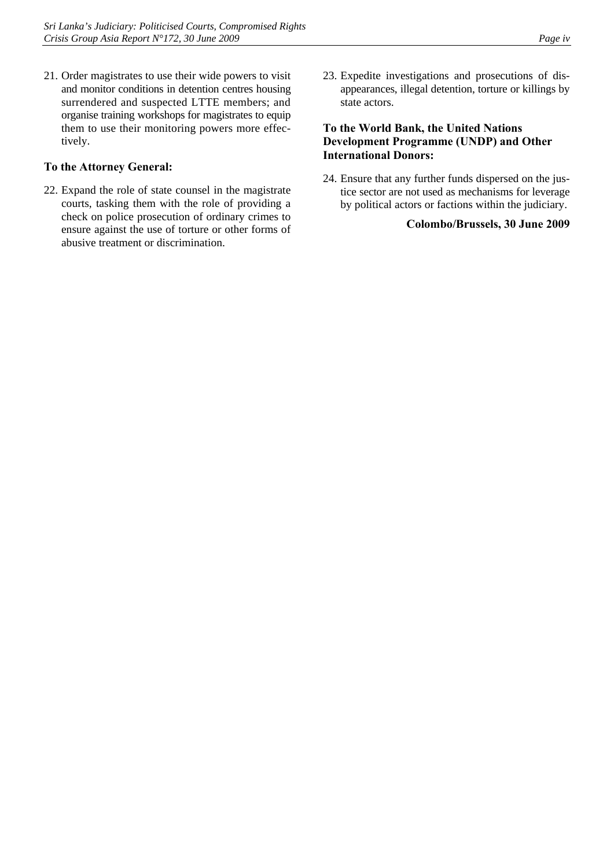21. Order magistrates to use their wide powers to visit and monitor conditions in detention centres housing surrendered and suspected LTTE members; and organise training workshops for magistrates to equip them to use their monitoring powers more effectively.

### **To the Attorney General:**

- 22. Expand the role of state counsel in the magistrate courts, tasking them with the role of providing a check on police prosecution of ordinary crimes to ensure against the use of torture or other forms of abusive treatment or discrimination.
- 23. Expedite investigations and prosecutions of disappearances, illegal detention, torture or killings by state actors.

## **To the World Bank, the United Nations Development Programme (UNDP) and Other International Donors:**

24. Ensure that any further funds dispersed on the justice sector are not used as mechanisms for leverage by political actors or factions within the judiciary.

### **Colombo/Brussels, 30 June 2009**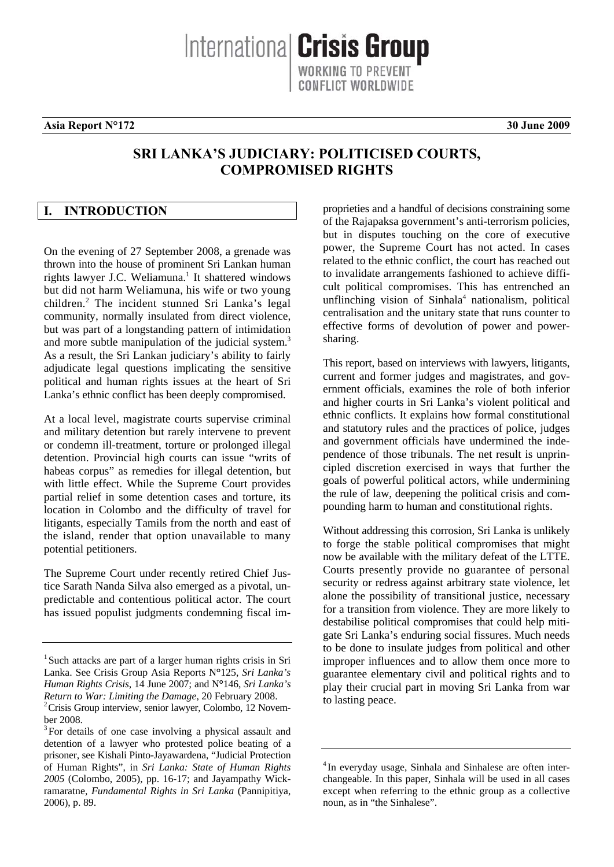**Asia Report N°172 30 June 2009**

# **SRI LANKA'S JUDICIARY: POLITICISED COURTS, COMPROMISED RIGHTS**

Internationa **Crisis Group** 

ONFLICT WORLDWIDE

## **I. INTRODUCTION**

On the evening of 27 September 2008, a grenade was thrown into the house of prominent Sri Lankan human rights lawyer J.C. Weliamuna.<sup>1</sup> It shattered windows but did not harm Weliamuna, his wife or two young children.<sup>2</sup> The incident stunned Sri Lanka's legal community, normally insulated from direct violence, but was part of a longstanding pattern of intimidation and more subtle manipulation of the judicial system.<sup>3</sup> As a result, the Sri Lankan judiciary's ability to fairly adjudicate legal questions implicating the sensitive political and human rights issues at the heart of Sri Lanka's ethnic conflict has been deeply compromised.

At a local level, magistrate courts supervise criminal and military detention but rarely intervene to prevent or condemn ill-treatment, torture or prolonged illegal detention. Provincial high courts can issue "writs of habeas corpus" as remedies for illegal detention, but with little effect. While the Supreme Court provides partial relief in some detention cases and torture, its location in Colombo and the difficulty of travel for litigants, especially Tamils from the north and east of the island, render that option unavailable to many potential petitioners.

The Supreme Court under recently retired Chief Justice Sarath Nanda Silva also emerged as a pivotal, unpredictable and contentious political actor. The court has issued populist judgments condemning fiscal improprieties and a handful of decisions constraining some of the Rajapaksa government's anti-terrorism policies, but in disputes touching on the core of executive power, the Supreme Court has not acted. In cases related to the ethnic conflict, the court has reached out to invalidate arrangements fashioned to achieve difficult political compromises. This has entrenched an unflinching vision of Sinhala<sup>4</sup> nationalism, political centralisation and the unitary state that runs counter to effective forms of devolution of power and powersharing.

This report, based on interviews with lawyers, litigants, current and former judges and magistrates, and government officials, examines the role of both inferior and higher courts in Sri Lanka's violent political and ethnic conflicts. It explains how formal constitutional and statutory rules and the practices of police, judges and government officials have undermined the independence of those tribunals. The net result is unprincipled discretion exercised in ways that further the goals of powerful political actors, while undermining the rule of law, deepening the political crisis and compounding harm to human and constitutional rights.

Without addressing this corrosion, Sri Lanka is unlikely to forge the stable political compromises that might now be available with the military defeat of the LTTE. Courts presently provide no guarantee of personal security or redress against arbitrary state violence, let alone the possibility of transitional justice, necessary for a transition from violence. They are more likely to destabilise political compromises that could help mitigate Sri Lanka's enduring social fissures. Much needs to be done to insulate judges from political and other improper influences and to allow them once more to guarantee elementary civil and political rights and to play their crucial part in moving Sri Lanka from war to lasting peace.

<sup>&</sup>lt;sup>1</sup> Such attacks are part of a larger human rights crisis in Sri Lanka. See Crisis Group Asia Reports N**°**125, *Sri Lanka's Human Rights Crisis*, 14 June 2007; and N**°**146, *Sri Lanka's Return to War: Limiting the Damage, 20 February 2008.* 

 $2$ Crisis Group interview, senior lawyer, Colombo, 12 November 2008.

<sup>&</sup>lt;sup>3</sup> For details of one case involving a physical assault and detention of a lawyer who protested police beating of a prisoner, see Kishali Pinto-Jayawardena, "Judicial Protection of Human Rights", in *Sri Lanka: State of Human Rights 2005* (Colombo, 2005), pp. 16-17; and Jayampathy Wickramaratne, *Fundamental Rights in Sri Lanka* (Pannipitiya, 2006), p. 89.

<sup>&</sup>lt;sup>4</sup> In everyday usage, Sinhala and Sinhalese are often interchangeable. In this paper, Sinhala will be used in all cases except when referring to the ethnic group as a collective noun, as in "the Sinhalese".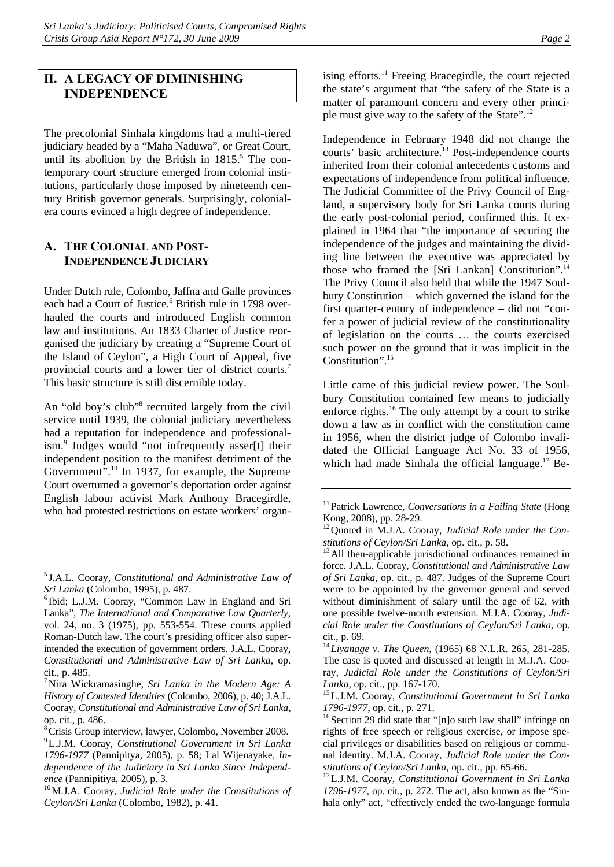# **II. A LEGACY OF DIMINISHING INDEPENDENCE**

The precolonial Sinhala kingdoms had a multi-tiered judiciary headed by a "Maha Naduwa", or Great Court, until its abolition by the British in  $1815$ .<sup>5</sup> The contemporary court structure emerged from colonial institutions, particularly those imposed by nineteenth century British governor generals. Surprisingly, colonialera courts evinced a high degree of independence.

## **A. THE COLONIAL AND POST-INDEPENDENCE JUDICIARY**

Under Dutch rule, Colombo, Jaffna and Galle provinces each had a Court of Justice.<sup>6</sup> British rule in 1798 overhauled the courts and introduced English common law and institutions. An 1833 Charter of Justice reorganised the judiciary by creating a "Supreme Court of the Island of Ceylon", a High Court of Appeal, five provincial courts and a lower tier of district courts.7 This basic structure is still discernible today.

An "old boy's club"<sup>8</sup> recruited largely from the civil service until 1939, the colonial judiciary nevertheless had a reputation for independence and professionalism.<sup>9</sup> Judges would "not infrequently asser[t] their independent position to the manifest detriment of the Government".<sup>10</sup> In 1937, for example, the Supreme Court overturned a governor's deportation order against English labour activist Mark Anthony Bracegirdle, who had protested restrictions on estate workers' organising efforts.<sup>11</sup> Freeing Bracegirdle, the court rejected the state's argument that "the safety of the State is a matter of paramount concern and every other principle must give way to the safety of the State".12

Independence in February 1948 did not change the courts' basic architecture.<sup>13</sup> Post-independence courts inherited from their colonial antecedents customs and expectations of independence from political influence. The Judicial Committee of the Privy Council of England, a supervisory body for Sri Lanka courts during the early post-colonial period, confirmed this. It explained in 1964 that "the importance of securing the independence of the judges and maintaining the dividing line between the executive was appreciated by those who framed the [Sri Lankan] Constitution".<sup>14</sup> The Privy Council also held that while the 1947 Soulbury Constitution – which governed the island for the first quarter-century of independence – did not "confer a power of judicial review of the constitutionality of legislation on the courts … the courts exercised such power on the ground that it was implicit in the Constitution".15

Little came of this judicial review power. The Soulbury Constitution contained few means to judicially enforce rights.16 The only attempt by a court to strike down a law as in conflict with the constitution came in 1956, when the district judge of Colombo invalidated the Official Language Act No. 33 of 1956, which had made Sinhala the official language. $17$  Be-

<sup>5</sup> J.A.L. Cooray, *Constitutional and Administrative Law of Sri Lanka* (Colombo, 1995), p. 487. 6

<sup>&</sup>lt;sup>6</sup>Ibid; L.J.M. Cooray, "Common Law in England and Sri Lanka", *The International and Comparative Law Quarterly*, vol. 24, no. 3 (1975), pp. 553-554. These courts applied Roman-Dutch law. The court's presiding officer also superintended the execution of government orders. J.A.L. Cooray, *Constitutional and Administrative Law of Sri Lanka*, op. cit., p. 485.

<sup>7</sup> Nira Wickramasinghe, *Sri Lanka in the Modern Age: A History of Contested Identities* (Colombo, 2006), p. 40; J.A.L. Cooray, *Constitutional and Administrative Law of Sri Lanka,*  op. cit., p. 486.

<sup>&</sup>lt;sup>8</sup> Crisis Group interview, lawyer, Colombo, November 2008. 9 L.J.M. Cooray, *Constitutional Government in Sri Lanka 1796-1977* (Pannipitya, 2005), p. 58; Lal Wijenayake, *Independence of the Judiciary in Sri Lanka Since Independ-*

*ence* (Pannipitiya, 2005), p. 3.<br><sup>10</sup>M.J.A. Cooray, *Judicial Role under the Constitutions of Ceylon/Sri Lanka* (Colombo, 1982), p. 41.

<sup>&</sup>lt;sup>11</sup> Patrick Lawrence, *Conversations in a Failing State* (Hong Kong, 2008), pp. 28-29.

<sup>12</sup>Quoted in M.J.A. Cooray, *Judicial Role under the Con-*

*stitutions of Ceylon/Sri Lanka*, op. cit., p. 58.<br><sup>13</sup>All then-applicable jurisdictional ordinances remained in force. J.A.L. Cooray, *Constitutional and Administrative Law of Sri Lanka*, op. cit., p. 487. Judges of the Supreme Court were to be appointed by the governor general and served without diminishment of salary until the age of 62, with one possible twelve-month extension. M.J.A. Cooray, *Judicial Role under the Constitutions of Ceylon/Sri Lanka*, op. cit., p. 69.

<sup>14</sup>*Liyanage v. The Queen*, (1965) 68 N.L.R. 265, 281-285. The case is quoted and discussed at length in M.J.A. Cooray, *Judicial Role under the Constitutions of Ceylon/Sri* 

*Lanka*, op. cit., pp. 167-170. 15L.J.M. Cooray, *Constitutional Government in Sri Lanka* 

 $1796-1977$ , op. cit., p. 271.<br><sup>16</sup> Section 29 did state that "[n]o such law shall" infringe on rights of free speech or religious exercise, or impose special privileges or disabilities based on religious or communal identity. M.J.A. Cooray, *Judicial Role under the Con-*

*stitutions of Ceylon/Sri Lanka*, op. cit., pp. 65-66. 17L.J.M. Cooray, *Constitutional Government in Sri Lanka 1796-1977*, op. cit., p. 272. The act, also known as the "Sinhala only" act, "effectively ended the two-language formula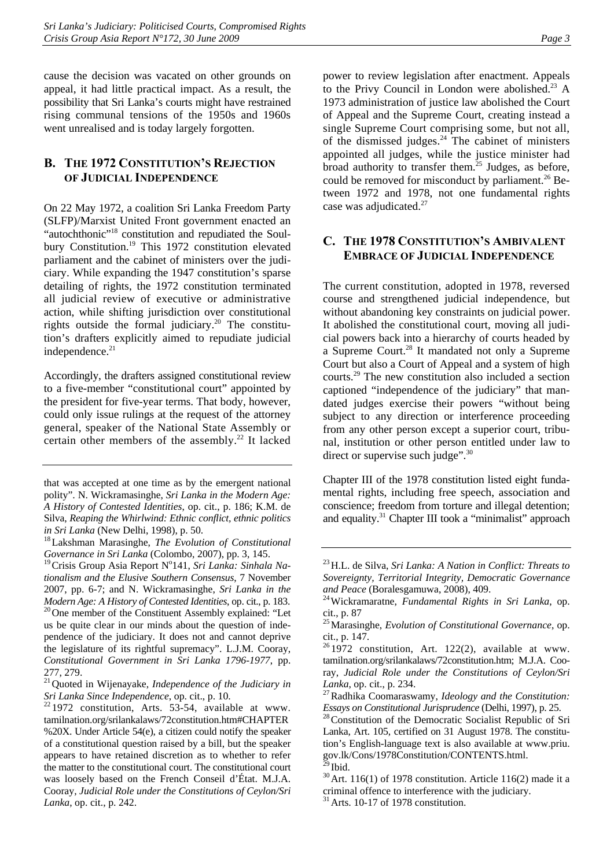cause the decision was vacated on other grounds on appeal, it had little practical impact. As a result, the possibility that Sri Lanka's courts might have restrained rising communal tensions of the 1950s and 1960s went unrealised and is today largely forgotten.

# **B. THE 1972 CONSTITUTION'S REJECTION OF JUDICIAL INDEPENDENCE**

On 22 May 1972, a coalition Sri Lanka Freedom Party (SLFP)/Marxist United Front government enacted an "autochthonic"<sup>18</sup> constitution and repudiated the Soulbury Constitution.<sup>19</sup> This 1972 constitution elevated parliament and the cabinet of ministers over the judiciary. While expanding the 1947 constitution's sparse detailing of rights, the 1972 constitution terminated all judicial review of executive or administrative action, while shifting jurisdiction over constitutional rights outside the formal judiciary.<sup>20</sup> The constitution's drafters explicitly aimed to repudiate judicial independence.<sup>21</sup>

Accordingly, the drafters assigned constitutional review to a five-member "constitutional court" appointed by the president for five-year terms. That body, however, could only issue rulings at the request of the attorney general, speaker of the National State Assembly or certain other members of the assembly.<sup>22</sup> It lacked

<sup>19</sup> Crisis Group Asia Report N°141, Sri Lanka: Sinhala Na*tionalism and the Elusive Southern Consensus*, 7 November 2007, pp. 6-7; and N. Wickramasinghe, *Sri Lanka in the Modern Age: A History of Contested Identities*, op. cit., p. 183.<br><sup>20</sup> One member of the Constituent Assembly explained: "Let us be quite clear in our minds about the question of independence of the judiciary. It does not and cannot deprive the legislature of its rightful supremacy". L.J.M. Cooray, *Constitutional Government in Sri Lanka 1796-1977*, pp. 277, 279.

power to review legislation after enactment. Appeals to the Privy Council in London were abolished.<sup>23</sup> A 1973 administration of justice law abolished the Court of Appeal and the Supreme Court, creating instead a single Supreme Court comprising some, but not all, of the dismissed judges. $24$  The cabinet of ministers appointed all judges, while the justice minister had broad authority to transfer them.<sup>25</sup> Judges, as before, could be removed for misconduct by parliament.<sup>26</sup> Between 1972 and 1978, not one fundamental rights case was adjudicated.<sup>27</sup>

## **C. THE 1978 CONSTITUTION'S AMBIVALENT EMBRACE OF JUDICIAL INDEPENDENCE**

The current constitution, adopted in 1978, reversed course and strengthened judicial independence, but without abandoning key constraints on judicial power. It abolished the constitutional court, moving all judicial powers back into a hierarchy of courts headed by a Supreme Court.<sup>28</sup> It mandated not only a Supreme Court but also a Court of Appeal and a system of high courts.29 The new constitution also included a section captioned "independence of the judiciary" that mandated judges exercise their powers "without being subject to any direction or interference proceeding from any other person except a superior court, tribunal, institution or other person entitled under law to direct or supervise such judge".<sup>30</sup>

Chapter III of the 1978 constitution listed eight fundamental rights, including free speech, association and conscience; freedom from torture and illegal detention; and equality.<sup>31</sup> Chapter III took a "minimalist" approach

that was accepted at one time as by the emergent national polity". N. Wickramasinghe, *Sri Lanka in the Modern Age: A History of Contested Identities*, op. cit., p. 186; K.M. de Silva, *Reaping the Whirlwind: Ethnic conflict, ethnic politics* 

*in Sri Lanka* (New Delhi, 1998), p. 50.<br><sup>18</sup>Lakshman Marasinghe, *The Evolution of Constitutional Governance in Sri Lanka* (Colombo, 2007), pp. 3, 145.

<sup>21</sup>Quoted in Wijenayake, *Independence of the Judiciary in* 

*Sri Lanka Since Independence*, op. cit., p. 10.<br><sup>22</sup> 1972 constitution, Arts. 53-54, available at www. tamilnation.org/srilankalaws/72constitution.htm#CHAPTER %20X. Under Article 54(e), a citizen could notify the speaker of a constitutional question raised by a bill, but the speaker appears to have retained discretion as to whether to refer the matter to the constitutional court. The constitutional court was loosely based on the French Conseil d'État. M.J.A. Cooray, *Judicial Role under the Constitutions of Ceylon/Sri Lanka*, op. cit., p. 242.

<sup>23</sup>H.L. de Silva, *Sri Lanka: A Nation in Conflict: Threats to Sovereignty, Territorial Integrity, Democratic Governance* 

*and Peace* (Boralesgamuwa, 2008), 409. 24Wickramaratne, *Fundamental Rights in Sri Lanka*, op. cit., p. 87

<sup>25</sup>Marasinghe, *Evolution of Constitutional Governance*, op. cit., p. 147.

 $261972$  constitution, Art. 122(2), available at www. tamilnation.org/srilankalaws/72constitution.htm; M.J.A. Cooray, *Judicial Role under the Constitutions of Ceylon/Sri* 

*Lanka*, op. cit., p. 234.<br><sup>27</sup>Radhika Coomaraswamy, *Ideology and the Constitution:* 

*Essays on Constitutional Jurisprudence* (Delhi, 1997), p. 25.<br><sup>28</sup> Constitution of the Democratic Socialist Republic of Sri Lanka, Art. 105, certified on 31 August 1978. The constitution's English-language text is also available at www.priu. gov.lk/Cons/1978Constitution/CONTENTS.html.

<sup>&</sup>lt;sup>30</sup> Art. 116(1) of 1978 constitution. Article 116(2) made it a criminal offence to interference with the judiciary.

 $31$  Arts. 10-17 of 1978 constitution.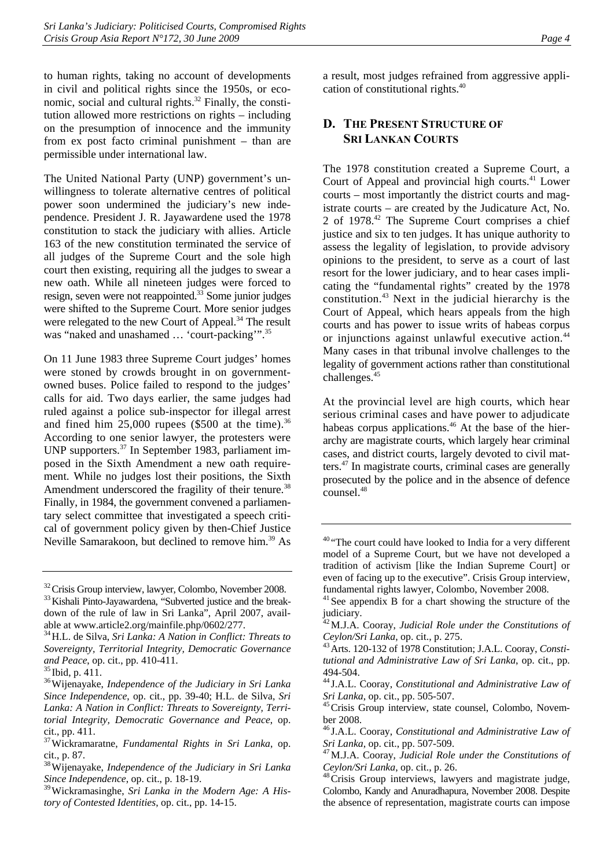to human rights, taking no account of developments in civil and political rights since the 1950s, or economic, social and cultural rights. $32$  Finally, the constitution allowed more restrictions on rights – including on the presumption of innocence and the immunity from ex post facto criminal punishment – than are permissible under international law.

The United National Party (UNP) government's unwillingness to tolerate alternative centres of political power soon undermined the judiciary's new independence. President J. R. Jayawardene used the 1978 constitution to stack the judiciary with allies. Article 163 of the new constitution terminated the service of all judges of the Supreme Court and the sole high court then existing, requiring all the judges to swear a new oath. While all nineteen judges were forced to resign, seven were not reappointed.<sup>33</sup> Some junior judges were shifted to the Supreme Court. More senior judges were relegated to the new Court of Appeal.<sup>34</sup> The result was "naked and unashamed ... 'court-packing'".<sup>35</sup>

On 11 June 1983 three Supreme Court judges' homes were stoned by crowds brought in on governmentowned buses. Police failed to respond to the judges' calls for aid. Two days earlier, the same judges had ruled against a police sub-inspector for illegal arrest and fined him  $25,000$  rupees (\$500 at the time).<sup>36</sup> According to one senior lawyer, the protesters were UNP supporters.37 In September 1983, parliament imposed in the Sixth Amendment a new oath requirement. While no judges lost their positions, the Sixth Amendment underscored the fragility of their tenure.<sup>38</sup> Finally, in 1984, the government convened a parliamentary select committee that investigated a speech critical of government policy given by then-Chief Justice Neville Samarakoon, but declined to remove him.<sup>39</sup> As

a result, most judges refrained from aggressive application of constitutional rights.40

## **D. THE PRESENT STRUCTURE OF SRI LANKAN COURTS**

The 1978 constitution created a Supreme Court, a Court of Appeal and provincial high courts.<sup>41</sup> Lower courts – most importantly the district courts and magistrate courts – are created by the Judicature Act, No. 2 of 1978.42 The Supreme Court comprises a chief justice and six to ten judges. It has unique authority to assess the legality of legislation, to provide advisory opinions to the president, to serve as a court of last resort for the lower judiciary, and to hear cases implicating the "fundamental rights" created by the 1978 constitution.43 Next in the judicial hierarchy is the Court of Appeal, which hears appeals from the high courts and has power to issue writs of habeas corpus or injunctions against unlawful executive action.<sup>44</sup> Many cases in that tribunal involve challenges to the legality of government actions rather than constitutional challenges.<sup>45</sup>

At the provincial level are high courts, which hear serious criminal cases and have power to adjudicate habeas corpus applications.<sup>46</sup> At the base of the hierarchy are magistrate courts, which largely hear criminal cases, and district courts, largely devoted to civil matters.47 In magistrate courts, criminal cases are generally prosecuted by the police and in the absence of defence counsel.48

 $32$ Crisis Group interview, lawyer, Colombo, November 2008.<br> $33$ Kishali Pinto-Jayawardena, "Subverted justice and the breakdown of the rule of law in Sri Lanka", April 2007, available at www.article2.org/mainfile.php/0602/277.

<sup>34</sup>H.L. de Silva, *Sri Lanka: A Nation in Conflict: Threats to Sovereignty, Territorial Integrity, Democratic Governance and Peace*, op. cit., pp. 410-411. 35 Ibid, p. 411. 36Wijenayake, *Independence of the Judiciary in Sri Lanka* 

*Since Independence*, op. cit., pp. 39-40; H.L. de Silva, *Sri Lanka: A Nation in Conflict: Threats to Sovereignty, Territorial Integrity, Democratic Governance and Peace*, op. cit., pp. 411.

<sup>37</sup>Wickramaratne, *Fundamental Rights in Sri Lanka*, op. cit., p. 87.

<sup>38</sup>Wijenayake, *Independence of the Judiciary in Sri Lanka Since Independence*, op. cit., p. 18-19.

<sup>39</sup>Wickramasinghe, *Sri Lanka in the Modern Age: A History of Contested Identities*, op. cit., pp. 14-15.

<sup>&</sup>lt;sup>40</sup> "The court could have looked to India for a very different model of a Supreme Court, but we have not developed a tradition of activism [like the Indian Supreme Court] or even of facing up to the executive". Crisis Group interview, fundamental rights lawyer, Colombo, November 2008.

 $41$  See appendix B for a chart showing the structure of the judiciary.

<sup>42</sup>M.J.A. Cooray, *Judicial Role under the Constitutions of* 

Ceylon/Sri Lanka, op. cit., p. 275.<br><sup>43</sup> Arts. 120-132 of 1978 Constitution; J.A.L. Cooray, *Constitutional and Administrative Law of Sri Lanka*, op. cit., pp. 494-504.

<sup>44</sup> J.A.L. Cooray, *Constitutional and Administrative Law of* 

*Sri Lanka*, op. cit., pp. 505-507.<br><sup>45</sup>Crisis Group interview, state counsel, Colombo, November 2008.

<sup>46</sup> J.A.L. Cooray, *Constitutional and Administrative Law of* 

*Sri Lanka*, op. cit., pp. 507-509.<br><sup>47</sup> M.J.A. Cooray, *Judicial Role under the Constitutions of Ceylon/Sri Lanka*, op. cit., p. 26.<br><sup>48</sup>Crisis Group interviews, lawyers and magistrate judge,

Colombo, Kandy and Anuradhapura, November 2008. Despite the absence of representation, magistrate courts can impose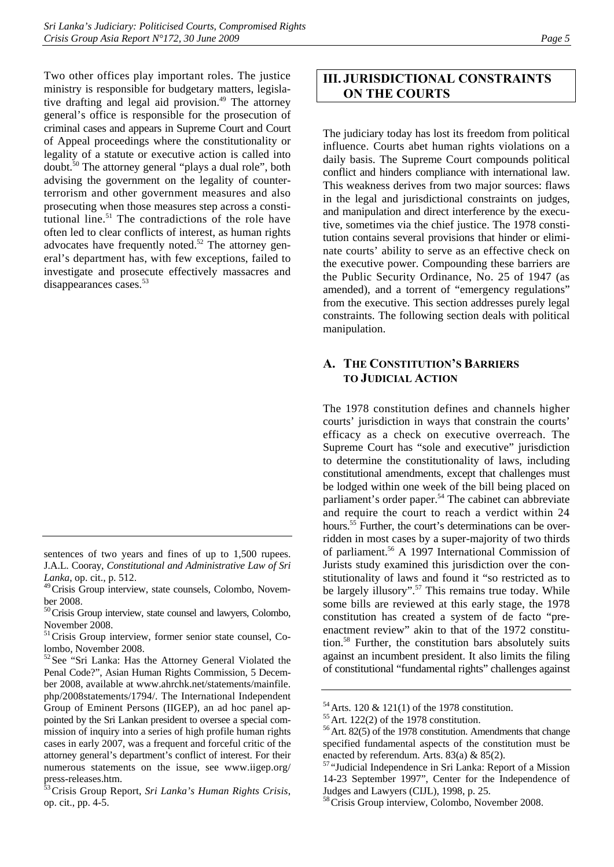Two other offices play important roles. The justice ministry is responsible for budgetary matters, legislative drafting and legal aid provision. $49$  The attorney general's office is responsible for the prosecution of criminal cases and appears in Supreme Court and Court of Appeal proceedings where the constitutionality or legality of a statute or executive action is called into doubt.50 The attorney general "plays a dual role", both advising the government on the legality of counterterrorism and other government measures and also prosecuting when those measures step across a constitutional line.<sup>51</sup> The contradictions of the role have often led to clear conflicts of interest, as human rights advocates have frequently noted. $52$  The attorney general's department has, with few exceptions, failed to investigate and prosecute effectively massacres and disappearances cases.<sup>53</sup>

# **III. JURISDICTIONAL CONSTRAINTS ON THE COURTS**

The judiciary today has lost its freedom from political influence. Courts abet human rights violations on a daily basis. The Supreme Court compounds political conflict and hinders compliance with international law. This weakness derives from two major sources: flaws in the legal and jurisdictional constraints on judges, and manipulation and direct interference by the executive, sometimes via the chief justice. The 1978 constitution contains several provisions that hinder or eliminate courts' ability to serve as an effective check on the executive power. Compounding these barriers are the Public Security Ordinance, No. 25 of 1947 (as amended), and a torrent of "emergency regulations" from the executive. This section addresses purely legal constraints. The following section deals with political manipulation.

# **A. THE CONSTITUTION'S BARRIERS TO JUDICIAL ACTION**

The 1978 constitution defines and channels higher courts' jurisdiction in ways that constrain the courts' efficacy as a check on executive overreach. The Supreme Court has "sole and executive" jurisdiction to determine the constitutionality of laws, including constitutional amendments, except that challenges must be lodged within one week of the bill being placed on parliament's order paper.<sup>54</sup> The cabinet can abbreviate and require the court to reach a verdict within 24 hours.<sup>55</sup> Further, the court's determinations can be overridden in most cases by a super-majority of two thirds of parliament.56 A 1997 International Commission of Jurists study examined this jurisdiction over the constitutionality of laws and found it "so restricted as to be largely illusory".<sup>57</sup> This remains true today. While some bills are reviewed at this early stage, the 1978 constitution has created a system of de facto "preenactment review" akin to that of the 1972 constitution.58 Further, the constitution bars absolutely suits against an incumbent president. It also limits the filing of constitutional "fundamental rights" challenges against

sentences of two years and fines of up to 1,500 rupees. J.A.L. Cooray, *Constitutional and Administrative Law of Sri Lanka*, op. cit., p. 512.

<sup>49</sup>Crisis Group interview, state counsels, Colombo, November 2008.

<sup>&</sup>lt;sup>50</sup>Crisis Group interview, state counsel and lawyers, Colombo, November 2008.

<sup>&</sup>lt;sup>51</sup>Crisis Group interview, former senior state counsel, Colombo, November 2008.

 $52$  See "Sri Lanka: Has the Attorney General Violated the Penal Code?", Asian Human Rights Commission, 5 December 2008, available at www.ahrchk.net/statements/mainfile. php/2008statements/1794/. The International Independent Group of Eminent Persons (IIGEP), an ad hoc panel appointed by the Sri Lankan president to oversee a special commission of inquiry into a series of high profile human rights cases in early 2007, was a frequent and forceful critic of the attorney general's department's conflict of interest. For their numerous statements on the issue, see www.iigep.org/ press-releases.htm.

<sup>53</sup>Crisis Group Report, *Sri Lanka's Human Rights Crisis*, op. cit., pp. 4-5.

<sup>&</sup>lt;sup>54</sup>Arts. 120 & 121(1) of the 1978 constitution.<br><sup>55</sup>Art. 122(2) of the 1978 constitution.<br><sup>56</sup>Art. 82(5) of the 1978 constitution. Amendments that change specified fundamental aspects of the constitution must be enacted by referendum. Arts. 83(a) & 85(2).

<sup>57</sup> "Judicial Independence in Sri Lanka: Report of a Mission 14-23 September 1997", Center for the Independence of Judges and Lawyers (CIJL), 1998, p. 25.

<sup>58</sup> Crisis Group interview, Colombo, November 2008.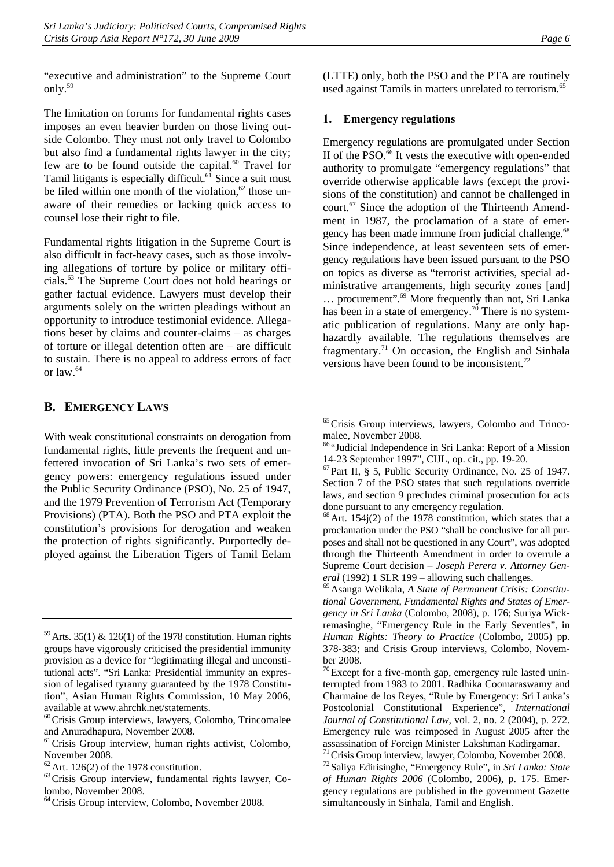"executive and administration" to the Supreme Court only.59

The limitation on forums for fundamental rights cases imposes an even heavier burden on those living outside Colombo. They must not only travel to Colombo but also find a fundamental rights lawyer in the city; few are to be found outside the capital.<sup>60</sup> Travel for Tamil litigants is especially difficult. $6\overline{1}$  Since a suit must be filed within one month of the violation, $62$  those unaware of their remedies or lacking quick access to counsel lose their right to file.

Fundamental rights litigation in the Supreme Court is also difficult in fact-heavy cases, such as those involving allegations of torture by police or military officials.63 The Supreme Court does not hold hearings or gather factual evidence. Lawyers must develop their arguments solely on the written pleadings without an opportunity to introduce testimonial evidence. Allegations beset by claims and counter-claims – as charges of torture or illegal detention often are – are difficult to sustain. There is no appeal to address errors of fact or law.64

## **B. EMERGENCY LAWS**

With weak constitutional constraints on derogation from fundamental rights, little prevents the frequent and unfettered invocation of Sri Lanka's two sets of emergency powers: emergency regulations issued under the Public Security Ordinance (PSO), No. 25 of 1947, and the 1979 Prevention of Terrorism Act (Temporary Provisions) (PTA). Both the PSO and PTA exploit the constitution's provisions for derogation and weaken the protection of rights significantly. Purportedly deployed against the Liberation Tigers of Tamil Eelam (LTTE) only, both the PSO and the PTA are routinely used against Tamils in matters unrelated to terrorism.<sup>65</sup>

## **1. Emergency regulations**

Emergency regulations are promulgated under Section II of the PSO. $66$  It vests the executive with open-ended authority to promulgate "emergency regulations" that override otherwise applicable laws (except the provisions of the constitution) and cannot be challenged in court.67 Since the adoption of the Thirteenth Amendment in 1987, the proclamation of a state of emergency has been made immune from judicial challenge.<sup>68</sup> Since independence, at least seventeen sets of emergency regulations have been issued pursuant to the PSO on topics as diverse as "terrorist activities, special administrative arrangements, high security zones [and] ... procurement".<sup>69</sup> More frequently than not, Sri Lanka has been in a state of emergency.<sup>70</sup> There is no systematic publication of regulations. Many are only haphazardly available. The regulations themselves are fragmentary.<sup>71</sup> On occasion, the English and Sinhala versions have been found to be inconsistent.<sup>72</sup>

<sup>&</sup>lt;sup>59</sup>Arts. 35(1) & 126(1) of the 1978 constitution. Human rights groups have vigorously criticised the presidential immunity provision as a device for "legitimating illegal and unconstitutional acts". "Sri Lanka: Presidential immunity an expression of legalised tyranny guaranteed by the 1978 Constitution", Asian Human Rights Commission, 10 May 2006, available at www.ahrchk.net/statements.

 $60$ Crisis Group interviews, lawyers, Colombo, Trincomalee and Anuradhapura, November 2008.

<sup>&</sup>lt;sup>61</sup>Crisis Group interview, human rights activist, Colombo, November 2008.<br>  $62$  Art. 126(2) of the 1978 constitution.

<sup>&</sup>lt;sup>63</sup> Crisis Group interview, fundamental rights lawyer, Colombo, November 2008.

<sup>&</sup>lt;sup>64</sup> Crisis Group interview, Colombo, November 2008.

<sup>65</sup>Crisis Group interviews, lawyers, Colombo and Trincomalee, November 2008.

<sup>66</sup> "Judicial Independence in Sri Lanka: Report of a Mission 14-23 September 1997", CIJL, op. cit., pp. 19-20.

 $^{67}$ Part II, § 5, Public Security Ordinance, No. 25 of 1947. Section 7 of the PSO states that such regulations override laws, and section 9 precludes criminal prosecution for acts done pursuant to any emergency regulation.

 $68$  Art. 154j(2) of the 1978 constitution, which states that a proclamation under the PSO "shall be conclusive for all purposes and shall not be questioned in any Court", was adopted through the Thirteenth Amendment in order to overrule a Supreme Court decision – *Joseph Perera v. Attorney General* (1992) 1 SLR 199 – allowing such challenges.<br><sup>69</sup> Asanga Welikala, *A State of Permanent Crisis: Constitu-*

*tional Government, Fundamental Rights and States of Emergency in Sri Lanka* (Colombo, 2008), p. 176; Suriya Wickremasinghe, "Emergency Rule in the Early Seventies", in *Human Rights: Theory to Practice* (Colombo, 2005) pp. 378-383; and Crisis Group interviews, Colombo, November 2008.

 $70$  Except for a five-month gap, emergency rule lasted uninterrupted from 1983 to 2001. Radhika Coomaraswamy and Charmaine de los Reyes, "Rule by Emergency: Sri Lanka's Postcolonial Constitutional Experience", *International Journal of Constitutional Law*, vol. 2, no. 2 (2004), p. 272. Emergency rule was reimposed in August 2005 after the assassination of Foreign Minister Lakshman Kadirgamar.

<sup>&</sup>lt;sup>71</sup> Crisis Group interview, lawyer, Colombo, November 2008.<br><sup>72</sup> Saliya Edirisinghe, "Emergency Rule", in *Sri Lanka: State of Human Rights 2006* (Colombo, 2006), p. 175. Emergency regulations are published in the government Gazette simultaneously in Sinhala, Tamil and English.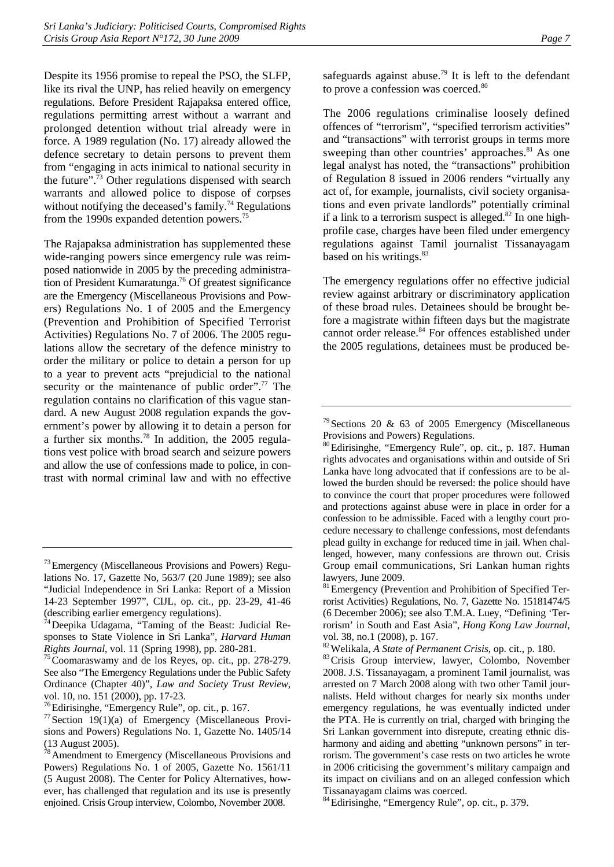Despite its 1956 promise to repeal the PSO, the SLFP, like its rival the UNP, has relied heavily on emergency regulations. Before President Rajapaksa entered office, regulations permitting arrest without a warrant and prolonged detention without trial already were in force. A 1989 regulation (No. 17) already allowed the defence secretary to detain persons to prevent them from "engaging in acts inimical to national security in the future".73 Other regulations dispensed with search warrants and allowed police to dispose of corpses without notifying the deceased's family.<sup>74</sup> Regulations from the 1990s expanded detention powers.75

The Rajapaksa administration has supplemented these wide-ranging powers since emergency rule was reimposed nationwide in 2005 by the preceding administration of President Kumaratunga.<sup>76</sup> Of greatest significance are the Emergency (Miscellaneous Provisions and Powers) Regulations No. 1 of 2005 and the Emergency (Prevention and Prohibition of Specified Terrorist Activities) Regulations No. 7 of 2006. The 2005 regulations allow the secretary of the defence ministry to order the military or police to detain a person for up to a year to prevent acts "prejudicial to the national security or the maintenance of public order".<sup>77</sup> The regulation contains no clarification of this vague standard. A new August 2008 regulation expands the government's power by allowing it to detain a person for a further six months.78 In addition, the 2005 regulations vest police with broad search and seizure powers and allow the use of confessions made to police, in contrast with normal criminal law and with no effective

safeguards against abuse.<sup>79</sup> It is left to the defendant to prove a confession was coerced.<sup>80</sup>

The 2006 regulations criminalise loosely defined offences of "terrorism", "specified terrorism activities" and "transactions" with terrorist groups in terms more sweeping than other countries' approaches.<sup>81</sup> As one legal analyst has noted, the "transactions" prohibition of Regulation 8 issued in 2006 renders "virtually any act of, for example, journalists, civil society organisations and even private landlords" potentially criminal if a link to a terrorism suspect is alleged. $82$  In one highprofile case, charges have been filed under emergency regulations against Tamil journalist Tissanayagam based on his writings.<sup>83</sup>

The emergency regulations offer no effective judicial review against arbitrary or discriminatory application of these broad rules. Detainees should be brought before a magistrate within fifteen days but the magistrate cannot order release.<sup>84</sup> For offences established under the 2005 regulations, detainees must be produced be-

<sup>73</sup>Emergency (Miscellaneous Provisions and Powers) Regulations No. 17, Gazette No, 563/7 (20 June 1989); see also "Judicial Independence in Sri Lanka: Report of a Mission 14-23 September 1997", CIJL, op. cit., pp. 23-29, 41-46 (describing earlier emergency regulations).

<sup>74</sup>Deepika Udagama, "Taming of the Beast: Judicial Responses to State Violence in Sri Lanka", *Harvard Human* 

*Rights Journal*, vol. 11 (Spring 1998), pp. 280-281.<br><sup>75</sup>Coomaraswamy and de los Reyes, op. cit., pp. 278-279. See also "The Emergency Regulations under the Public Safety Ordinance (Chapter 40)", *Law and Society Trust Review*,

vol. 10, no. 151 (2000), pp. 17-23.<br><sup>76</sup> Edirisinghe, "Emergency Rule", op. cit., p. 167.

<sup>&</sup>lt;sup>77</sup>Section 19(1)(a) of Emergency (Miscellaneous Provisions and Powers) Regulations No. 1, Gazette No. 1405/14 (13 August 2005).

<sup>78</sup>Amendment to Emergency (Miscellaneous Provisions and Powers) Regulations No. 1 of 2005, Gazette No. 1561/11 (5 August 2008). The Center for Policy Alternatives, however, has challenged that regulation and its use is presently enjoined. Crisis Group interview, Colombo, November 2008.

 $79$  Sections 20 & 63 of 2005 Emergency (Miscellaneous Provisions and Powers) Regulations.

<sup>80</sup>Edirisinghe, "Emergency Rule", op. cit., p. 187. Human rights advocates and organisations within and outside of Sri Lanka have long advocated that if confessions are to be allowed the burden should be reversed: the police should have to convince the court that proper procedures were followed and protections against abuse were in place in order for a confession to be admissible. Faced with a lengthy court procedure necessary to challenge confessions, most defendants plead guilty in exchange for reduced time in jail. When challenged, however, many confessions are thrown out. Crisis Group email communications, Sri Lankan human rights lawyers, June 2009.

<sup>&</sup>lt;sup>81</sup> Emergency (Prevention and Prohibition of Specified Terrorist Activities) Regulations, No. 7, Gazette No. 15181474/5 (6 December 2006); see also T.M.A. Luey, "Defining 'Terrorism' in South and East Asia", *Hong Kong Law Journal*, vol. 38, no.1 (2008), p. 167.<br><sup>82</sup> Welikala, *A State of Permanent Crisis*, op. cit., p. 180.

<sup>&</sup>lt;sup>83</sup>Crisis Group interview, lawyer, Colombo, November 2008. J.S. Tissanayagam, a prominent Tamil journalist, was arrested on 7 March 2008 along with two other Tamil journalists. Held without charges for nearly six months under emergency regulations, he was eventually indicted under the PTA. He is currently on trial, charged with bringing the Sri Lankan government into disrepute, creating ethnic disharmony and aiding and abetting "unknown persons" in terrorism. The government's case rests on two articles he wrote in 2006 criticising the government's military campaign and its impact on civilians and on an alleged confession which Tissanayagam claims was coerced.

<sup>84</sup>Edirisinghe, "Emergency Rule", op. cit., p. 379.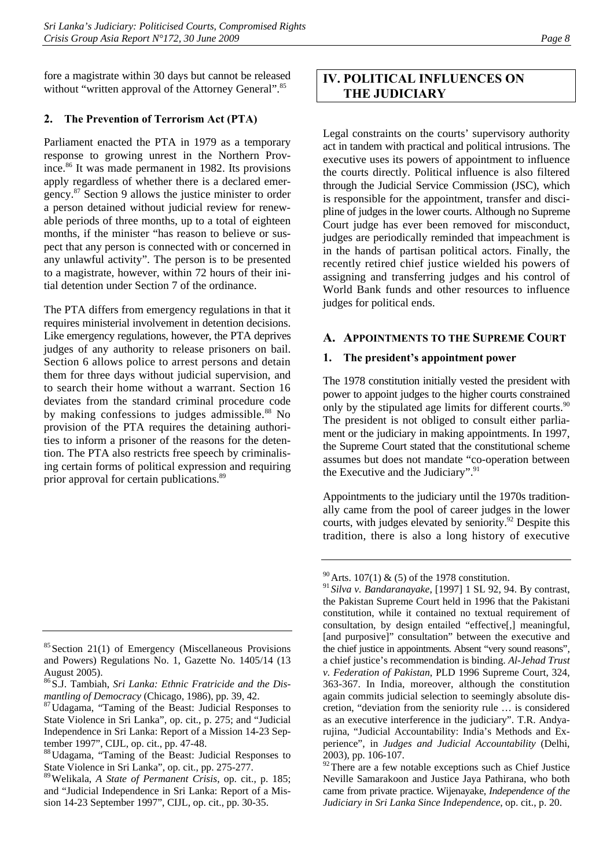fore a magistrate within 30 days but cannot be released without "written approval of the Attorney General".<sup>85</sup>

## **2. The Prevention of Terrorism Act (PTA)**

Parliament enacted the PTA in 1979 as a temporary response to growing unrest in the Northern Province.<sup>86</sup> It was made permanent in 1982. Its provisions apply regardless of whether there is a declared emergency.87 Section 9 allows the justice minister to order a person detained without judicial review for renewable periods of three months, up to a total of eighteen months, if the minister "has reason to believe or suspect that any person is connected with or concerned in any unlawful activity". The person is to be presented to a magistrate, however, within 72 hours of their initial detention under Section 7 of the ordinance.

The PTA differs from emergency regulations in that it requires ministerial involvement in detention decisions. Like emergency regulations, however, the PTA deprives judges of any authority to release prisoners on bail. Section 6 allows police to arrest persons and detain them for three days without judicial supervision, and to search their home without a warrant. Section 16 deviates from the standard criminal procedure code by making confessions to judges admissible.<sup>88</sup> No provision of the PTA requires the detaining authorities to inform a prisoner of the reasons for the detention. The PTA also restricts free speech by criminalising certain forms of political expression and requiring prior approval for certain publications.89

# **IV. POLITICAL INFLUENCES ON THE JUDICIARY**

Legal constraints on the courts' supervisory authority act in tandem with practical and political intrusions. The executive uses its powers of appointment to influence the courts directly. Political influence is also filtered through the Judicial Service Commission (JSC), which is responsible for the appointment, transfer and discipline of judges in the lower courts. Although no Supreme Court judge has ever been removed for misconduct, judges are periodically reminded that impeachment is in the hands of partisan political actors. Finally, the recently retired chief justice wielded his powers of assigning and transferring judges and his control of World Bank funds and other resources to influence judges for political ends.

# **A. APPOINTMENTS TO THE SUPREME COURT**

## **1. The president's appointment power**

The 1978 constitution initially vested the president with power to appoint judges to the higher courts constrained only by the stipulated age limits for different courts.<sup>90</sup> The president is not obliged to consult either parliament or the judiciary in making appointments. In 1997, the Supreme Court stated that the constitutional scheme assumes but does not mandate "co-operation between the Executive and the Judiciary".<sup>91</sup>

Appointments to the judiciary until the 1970s traditionally came from the pool of career judges in the lower courts, with judges elevated by seniority.<sup>92</sup> Despite this tradition, there is also a long history of executive

<sup>&</sup>lt;sup>85</sup> Section 21(1) of Emergency (Miscellaneous Provisions and Powers) Regulations No. 1, Gazette No. 1405/14 (13 August 2005).

<sup>86</sup>S.J. Tambiah, *Sri Lanka: Ethnic Fratricide and the Dis-*

*mantling of Democracy* (Chicago, 1986), pp. 39, 42.<br><sup>87</sup>Udagama, "Taming of the Beast: Judicial Responses to State Violence in Sri Lanka", op. cit., p. 275; and "Judicial Independence in Sri Lanka: Report of a Mission 14-23 September 1997", CIJL, op. cit., pp. 47-48.

<sup>88</sup>Udagama, "Taming of the Beast: Judicial Responses to State Violence in Sri Lanka", op. cit., pp. 275-277.

<sup>89</sup>Welikala, *A State of Permanent Crisis*, op. cit., p. 185; and "Judicial Independence in Sri Lanka: Report of a Mission 14-23 September 1997", CIJL, op. cit., pp. 30-35.

 $90$  Arts. 107(1) & (5) of the 1978 constitution.

<sup>91</sup> *Silva v. Bandaranayake*, [1997] 1 SL 92, 94. By contrast, the Pakistan Supreme Court held in 1996 that the Pakistani constitution, while it contained no textual requirement of consultation, by design entailed "effective[,] meaningful, [and purposive]" consultation" between the executive and the chief justice in appointments. Absent "very sound reasons", a chief justice's recommendation is binding. *Al-Jehad Trust v. Federation of Pakistan*, PLD 1996 Supreme Court, 324, 363-367. In India, moreover, although the constitution again commits judicial selection to seemingly absolute discretion, "deviation from the seniority rule … is considered as an executive interference in the judiciary". T.R. Andyarujina, "Judicial Accountability: India's Methods and Experience", in *Judges and Judicial Accountability* (Delhi, 2003), pp. 106-107.

 $\frac{92}{2}$ There are a few notable exceptions such as Chief Justice Neville Samarakoon and Justice Jaya Pathirana, who both came from private practice. Wijenayake, *Independence of the Judiciary in Sri Lanka Since Independence*, op. cit., p. 20.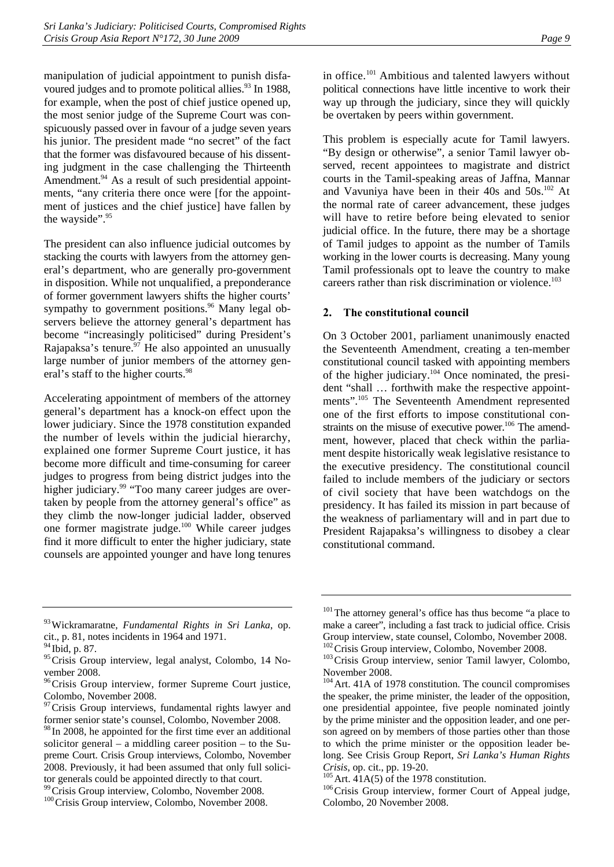manipulation of judicial appointment to punish disfavoured judges and to promote political allies.<sup>93</sup> In 1988, for example, when the post of chief justice opened up, the most senior judge of the Supreme Court was conspicuously passed over in favour of a judge seven years his junior. The president made "no secret" of the fact that the former was disfavoured because of his dissenting judgment in the case challenging the Thirteenth Amendment.<sup>94</sup> As a result of such presidential appointments, "any criteria there once were [for the appointment of justices and the chief justice] have fallen by the wayside".<sup>95</sup>

The president can also influence judicial outcomes by stacking the courts with lawyers from the attorney general's department, who are generally pro-government in disposition. While not unqualified, a preponderance of former government lawyers shifts the higher courts' sympathy to government positions. $96$  Many legal observers believe the attorney general's department has become "increasingly politicised" during President's Rajapaksa's tenure. $97$  He also appointed an unusually large number of junior members of the attorney general's staff to the higher courts.<sup>98</sup>

Accelerating appointment of members of the attorney general's department has a knock-on effect upon the lower judiciary. Since the 1978 constitution expanded the number of levels within the judicial hierarchy, explained one former Supreme Court justice, it has become more difficult and time-consuming for career judges to progress from being district judges into the higher judiciary.<sup>99</sup> "Too many career judges are overtaken by people from the attorney general's office" as they climb the now-longer judicial ladder, observed one former magistrate judge.100 While career judges find it more difficult to enter the higher judiciary, state counsels are appointed younger and have long tenures

in office.<sup>101</sup> Ambitious and talented lawyers without political connections have little incentive to work their way up through the judiciary, since they will quickly be overtaken by peers within government.

This problem is especially acute for Tamil lawyers. "By design or otherwise", a senior Tamil lawyer observed, recent appointees to magistrate and district courts in the Tamil-speaking areas of Jaffna, Mannar and Vavuniya have been in their  $40s$  and  $50s$ .<sup>102</sup> At the normal rate of career advancement, these judges will have to retire before being elevated to senior judicial office. In the future, there may be a shortage of Tamil judges to appoint as the number of Tamils working in the lower courts is decreasing. Many young Tamil professionals opt to leave the country to make careers rather than risk discrimination or violence.<sup>103</sup>

## **2. The constitutional council**

On 3 October 2001, parliament unanimously enacted the Seventeenth Amendment, creating a ten-member constitutional council tasked with appointing members of the higher judiciary.<sup>104</sup> Once nominated, the president "shall … forthwith make the respective appointments".105 The Seventeenth Amendment represented one of the first efforts to impose constitutional constraints on the misuse of executive power.<sup>106</sup> The amendment, however, placed that check within the parliament despite historically weak legislative resistance to the executive presidency. The constitutional council failed to include members of the judiciary or sectors of civil society that have been watchdogs on the presidency. It has failed its mission in part because of the weakness of parliamentary will and in part due to President Rajapaksa's willingness to disobey a clear constitutional command.

<sup>93</sup>Wickramaratne, *Fundamental Rights in Sri Lanka*, op. cit., p. 81, notes incidents in 1964 and 1971.

<sup>94</sup> Ibid, p. 87.

<sup>&</sup>lt;sup>95</sup>Crisis Group interview, legal analyst, Colombo, 14 November 2008.

<sup>&</sup>lt;sup>96</sup>Crisis Group interview, former Supreme Court justice, Colombo, November 2008.

 $97$  Crisis Group interviews, fundamental rights lawyer and former senior state's counsel, Colombo, November 2008.

<sup>&</sup>lt;sup>98</sup> In 2008, he appointed for the first time ever an additional solicitor general – a middling career position – to the Supreme Court. Crisis Group interviews, Colombo, November 2008. Previously, it had been assumed that only full solicitor generals could be appointed directly to that court.<br><sup>99</sup> Crisis Group interview, Colombo, November 2008.

<sup>&</sup>lt;sup>100</sup>Crisis Group interview, Colombo, November 2008.

<sup>&</sup>lt;sup>101</sup>The attorney general's office has thus become "a place to make a career", including a fast track to judicial office. Crisis Group interview, state counsel, Colombo, November 2008.<br><sup>102</sup> Crisis Group interview, Colombo, November 2008.

<sup>&</sup>lt;sup>103</sup> Crisis Group interview, senior Tamil lawyer, Colombo, November 2008.

<sup>104</sup>Art. 41A of 1978 constitution. The council compromises the speaker, the prime minister, the leader of the opposition, one presidential appointee, five people nominated jointly by the prime minister and the opposition leader, and one person agreed on by members of those parties other than those to which the prime minister or the opposition leader belong. See Crisis Group Report, *Sri Lanka's Human Rights Crisis*, op. cit., pp. 19-20.<br><sup>105</sup>Art. 41A(5) of the 1978 constitution.<br><sup>106</sup>Crisis Group interview, former Court of Appeal judge,

Colombo, 20 November 2008.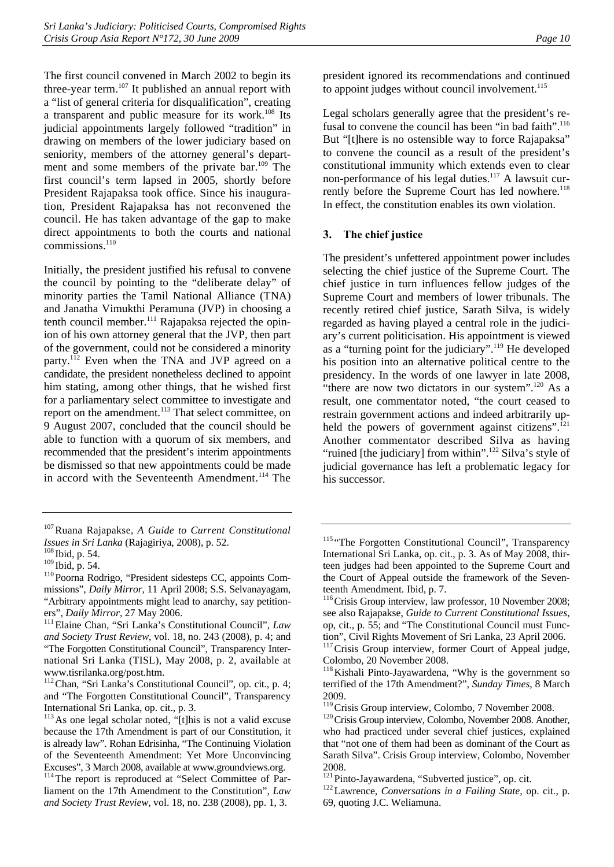The first council convened in March 2002 to begin its three-year term.<sup>107</sup> It published an annual report with a "list of general criteria for disqualification", creating a transparent and public measure for its work.108 Its judicial appointments largely followed "tradition" in drawing on members of the lower judiciary based on seniority, members of the attorney general's department and some members of the private bar.<sup>109</sup> The first council's term lapsed in 2005, shortly before President Rajapaksa took office. Since his inauguration, President Rajapaksa has not reconvened the council. He has taken advantage of the gap to make direct appointments to both the courts and national commissions.<sup>110</sup>

Initially, the president justified his refusal to convene the council by pointing to the "deliberate delay" of minority parties the Tamil National Alliance (TNA) and Janatha Vimukthi Peramuna (JVP) in choosing a tenth council member.<sup>111</sup> Rajapaksa rejected the opinion of his own attorney general that the JVP, then part of the government, could not be considered a minority party.112 Even when the TNA and JVP agreed on a candidate, the president nonetheless declined to appoint him stating, among other things, that he wished first for a parliamentary select committee to investigate and report on the amendment.<sup>113</sup> That select committee, on 9 August 2007, concluded that the council should be able to function with a quorum of six members, and recommended that the president's interim appointments be dismissed so that new appointments could be made in accord with the Seventeenth Amendment.<sup>114</sup> The

president ignored its recommendations and continued to appoint judges without council involvement. $115$ 

Legal scholars generally agree that the president's refusal to convene the council has been "in bad faith".<sup>116</sup> But "[t]here is no ostensible way to force Rajapaksa" to convene the council as a result of the president's constitutional immunity which extends even to clear non-performance of his legal duties.<sup>117</sup> A lawsuit currently before the Supreme Court has led nowhere.<sup>118</sup> In effect, the constitution enables its own violation.

#### **3. The chief justice**

The president's unfettered appointment power includes selecting the chief justice of the Supreme Court. The chief justice in turn influences fellow judges of the Supreme Court and members of lower tribunals. The recently retired chief justice, Sarath Silva, is widely regarded as having played a central role in the judiciary's current politicisation. His appointment is viewed as a "turning point for the judiciary".119 He developed his position into an alternative political centre to the presidency. In the words of one lawyer in late 2008, "there are now two dictators in our system". $^{120}$  As a result, one commentator noted, "the court ceased to restrain government actions and indeed arbitrarily upheld the powers of government against citizens". $^{121}$ Another commentator described Silva as having "ruined [the judiciary] from within".<sup>122</sup> Silva's style of judicial governance has left a problematic legacy for his successor.

<sup>107</sup>Ruana Rajapakse, *A Guide to Current Constitutional Issues in Sri Lanka* (Rajagiriya, 2008), p. 52. 108 Ibid, p. 54.

<sup>&</sup>lt;sup>110</sup> Poorna Rodrigo, "President sidesteps CC, appoints Commissions", *Daily Mirror*, 11 April 2008; S.S. Selvanayagam, "Arbitrary appointments might lead to anarchy, say petitioners", *Daily Mirror*, 27 May 2006.<br><sup>111</sup> Elaine Chan, "Sri Lanka's Constitutional Council", *Law* 

*and Society Trust Review*, vol. 18, no. 243 (2008), p. 4; and "The Forgotten Constitutional Council", Transparency International Sri Lanka (TISL), May 2008, p. 2, available at www.tisrilanka.org/post.htm.

<sup>112</sup>Chan, "Sri Lanka's Constitutional Council", op. cit., p. 4; and "The Forgotten Constitutional Council", Transparency International Sri Lanka, op. cit., p. 3.

 $113$  As one legal scholar noted, "[t]his is not a valid excuse because the 17th Amendment is part of our Constitution, it is already law". Rohan Edrisinha, "The Continuing Violation of the Seventeenth Amendment: Yet More Unconvincing Excuses", 3 March 2008, available at www.groundviews.org.

<sup>114</sup>The report is reproduced at "Select Committee of Parliament on the 17th Amendment to the Constitution", *Law and Society Trust Review*, vol. 18, no. 238 (2008), pp. 1, 3.

<sup>&</sup>lt;sup>115</sup> "The Forgotten Constitutional Council", Transparency International Sri Lanka, op. cit., p. 3. As of May 2008, thirteen judges had been appointed to the Supreme Court and the Court of Appeal outside the framework of the Seventeenth Amendment. Ibid, p. 7.<br><sup>116</sup>Crisis Group interview, law professor, 10 November 2008;

see also Rajapakse, *Guide to Current Constitutional Issues*, op, cit., p. 55; and "The Constitutional Council must Function", Civil Rights Movement of Sri Lanka, 23 April 2006.

<sup>&</sup>lt;sup>117</sup> Crisis Group interview, former Court of Appeal judge, Colombo, 20 November 2008.

<sup>&</sup>lt;sup>118</sup>Kishali Pinto-Jayawardena, "Why is the government so terrified of the 17th Amendment?", *Sunday Times*, 8 March 2009.<br><sup>119</sup> Crisis Group interview, Colombo, 7 November 2008.

 $120$  Crisis Group interview, Colombo, November 2008. Another, who had practiced under several chief justices, explained that "not one of them had been as dominant of the Court as Sarath Silva". Crisis Group interview, Colombo, November 2008.

<sup>121</sup>Pinto-Jayawardena, "Subverted justice", op. cit. 122Lawrence, *Conversations in a Failing State*, op. cit., p. 69, quoting J.C. Weliamuna.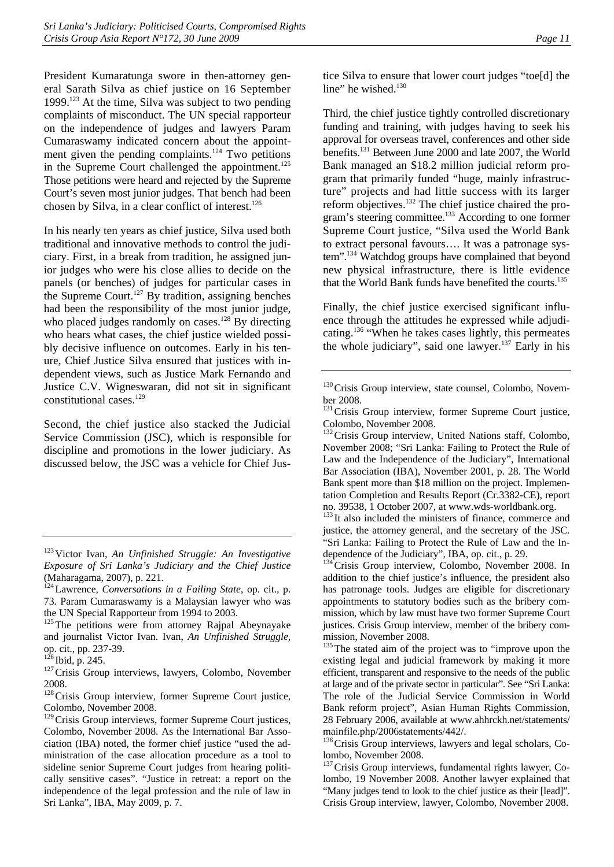President Kumaratunga swore in then-attorney general Sarath Silva as chief justice on 16 September 1999.<sup>123</sup> At the time, Silva was subject to two pending complaints of misconduct. The UN special rapporteur on the independence of judges and lawyers Param Cumaraswamy indicated concern about the appointment given the pending complaints.<sup>124</sup> Two petitions in the Supreme Court challenged the appointment.<sup>125</sup> Those petitions were heard and rejected by the Supreme Court's seven most junior judges. That bench had been chosen by Silva, in a clear conflict of interest. $126$ 

In his nearly ten years as chief justice, Silva used both traditional and innovative methods to control the judiciary. First, in a break from tradition, he assigned junior judges who were his close allies to decide on the panels (or benches) of judges for particular cases in the Supreme Court.<sup>127</sup> By tradition, assigning benches had been the responsibility of the most junior judge, who placed judges randomly on cases.<sup>128</sup> By directing who hears what cases, the chief justice wielded possibly decisive influence on outcomes. Early in his tenure, Chief Justice Silva ensured that justices with independent views, such as Justice Mark Fernando and Justice C.V. Wigneswaran, did not sit in significant constitutional cases.<sup>129</sup>

Second, the chief justice also stacked the Judicial Service Commission (JSC), which is responsible for discipline and promotions in the lower judiciary. As discussed below, the JSC was a vehicle for Chief Jus-

 $126$  Ibid, p. 245.<br><sup>127</sup>Crisis Group interviews, lawyers, Colombo, November 2008.

<sup>128</sup> Crisis Group interview, former Supreme Court justice, Colombo, November 2008.

<sup>129</sup> Crisis Group interviews, former Supreme Court justices, Colombo, November 2008. As the International Bar Association (IBA) noted, the former chief justice "used the administration of the case allocation procedure as a tool to sideline senior Supreme Court judges from hearing politically sensitive cases". "Justice in retreat: a report on the independence of the legal profession and the rule of law in Sri Lanka", IBA, May 2009, p. 7.

tice Silva to ensure that lower court judges "toe[d] the line" he wished.<sup>130</sup>

Third, the chief justice tightly controlled discretionary funding and training, with judges having to seek his approval for overseas travel, conferences and other side benefits.131 Between June 2000 and late 2007, the World Bank managed an \$18.2 million judicial reform program that primarily funded "huge, mainly infrastructure" projects and had little success with its larger reform objectives.132 The chief justice chaired the program's steering committee.<sup>133</sup> According to one former Supreme Court justice, "Silva used the World Bank to extract personal favours…. It was a patronage system".134 Watchdog groups have complained that beyond new physical infrastructure, there is little evidence that the World Bank funds have benefited the courts.<sup>135</sup>

Finally, the chief justice exercised significant influence through the attitudes he expressed while adjudicating.136 "When he takes cases lightly, this permeates the whole judiciary", said one lawyer.<sup>137</sup> Early in his

<sup>134</sup>Crisis Group interview, Colombo, November 2008. In addition to the chief justice's influence, the president also has patronage tools. Judges are eligible for discretionary appointments to statutory bodies such as the bribery commission, which by law must have two former Supreme Court justices. Crisis Group interview, member of the bribery commission, November 2008.

<sup>135</sup>The stated aim of the project was to "improve upon the existing legal and judicial framework by making it more efficient, transparent and responsive to the needs of the public at large and of the private sector in particular". See "Sri Lanka: The role of the Judicial Service Commission in World Bank reform project", Asian Human Rights Commission, 28 February 2006, available at www.ahhrckh.net/statements/ mainfile.php/2006statements/442/.

<sup>136</sup>Crisis Group interviews, lawyers and legal scholars, Colombo, November 2008.

<sup>123</sup>Victor Ivan, *An Unfinished Struggle: An Investigative Exposure of Sri Lanka's Judiciary and the Chief Justice*  (Maharagama, 2007), p. 221.<br><sup>124</sup>Lawrence, *Conversations in a Failing State*, op. cit., p.

<sup>73.</sup> Param Cumaraswamy is a Malaysian lawyer who was the UN Special Rapporteur from 1994 to 2003.

<sup>&</sup>lt;sup>125</sup>The petitions were from attorney Rajpal Abeynayake and journalist Victor Ivan. Ivan, *An Unfinished Struggle*, op. cit., pp. 237-39.

<sup>&</sup>lt;sup>130</sup>Crisis Group interview, state counsel, Colombo, November 2008.

<sup>&</sup>lt;sup>131</sup> Crisis Group interview, former Supreme Court justice, Colombo, November 2008.

<sup>&</sup>lt;sup>132</sup> Crisis Group interview, United Nations staff, Colombo, November 2008; "Sri Lanka: Failing to Protect the Rule of Law and the Independence of the Judiciary", International Bar Association (IBA), November 2001, p. 28. The World Bank spent more than \$18 million on the project. Implementation Completion and Results Report (Cr.3382-CE), report no. 39538, 1 October 2007, at www.wds-worldbank.org.

<sup>&</sup>lt;sup>133</sup>It also included the ministers of finance, commerce and justice, the attorney general, and the secretary of the JSC. "Sri Lanka: Failing to Protect the Rule of Law and the Independence of the Judiciary", IBA, op. cit., p. 29.

<sup>&</sup>lt;sup>137</sup> Crisis Group interviews, fundamental rights lawyer, Colombo, 19 November 2008. Another lawyer explained that "Many judges tend to look to the chief justice as their [lead]". Crisis Group interview, lawyer, Colombo, November 2008.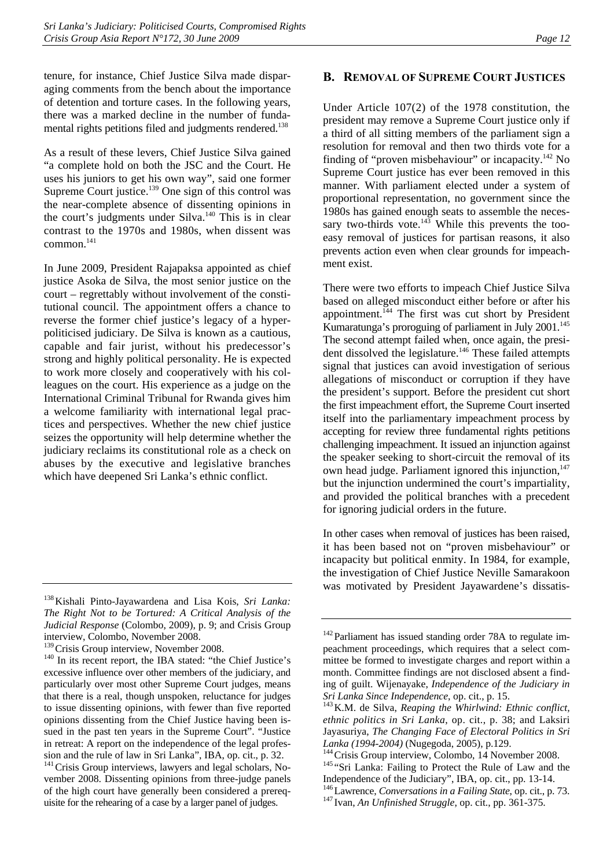tenure, for instance, Chief Justice Silva made disparaging comments from the bench about the importance of detention and torture cases. In the following years, there was a marked decline in the number of fundamental rights petitions filed and judgments rendered.<sup>138</sup>

As a result of these levers, Chief Justice Silva gained "a complete hold on both the JSC and the Court. He uses his juniors to get his own way", said one former Supreme Court justice.139 One sign of this control was the near-complete absence of dissenting opinions in the court's judgments under Silva.<sup>140</sup> This is in clear contrast to the 1970s and 1980s, when dissent was common.<sup>141</sup>

In June 2009, President Rajapaksa appointed as chief justice Asoka de Silva, the most senior justice on the court – regrettably without involvement of the constitutional council. The appointment offers a chance to reverse the former chief justice's legacy of a hyperpoliticised judiciary. De Silva is known as a cautious, capable and fair jurist, without his predecessor's strong and highly political personality. He is expected to work more closely and cooperatively with his colleagues on the court. His experience as a judge on the International Criminal Tribunal for Rwanda gives him a welcome familiarity with international legal practices and perspectives. Whether the new chief justice seizes the opportunity will help determine whether the judiciary reclaims its constitutional role as a check on abuses by the executive and legislative branches which have deepened Sri Lanka's ethnic conflict.

## **B. REMOVAL OF SUPREME COURT JUSTICES**

Under Article 107(2) of the 1978 constitution, the president may remove a Supreme Court justice only if a third of all sitting members of the parliament sign a resolution for removal and then two thirds vote for a finding of "proven misbehaviour" or incapacity. $^{142}$  No Supreme Court justice has ever been removed in this manner. With parliament elected under a system of proportional representation, no government since the 1980s has gained enough seats to assemble the necessary two-thirds vote. $143$  While this prevents the tooeasy removal of justices for partisan reasons, it also prevents action even when clear grounds for impeachment exist.

There were two efforts to impeach Chief Justice Silva based on alleged misconduct either before or after his appointment.<sup>144</sup> The first was cut short by President Kumaratunga's proroguing of parliament in July 2001.<sup>145</sup> The second attempt failed when, once again, the president dissolved the legislature.146 These failed attempts signal that justices can avoid investigation of serious allegations of misconduct or corruption if they have the president's support. Before the president cut short the first impeachment effort, the Supreme Court inserted itself into the parliamentary impeachment process by accepting for review three fundamental rights petitions challenging impeachment. It issued an injunction against the speaker seeking to short-circuit the removal of its own head judge. Parliament ignored this injunction,<sup>147</sup> but the injunction undermined the court's impartiality, and provided the political branches with a precedent for ignoring judicial orders in the future.

In other cases when removal of justices has been raised, it has been based not on "proven misbehaviour" or incapacity but political enmity. In 1984, for example, the investigation of Chief Justice Neville Samarakoon was motivated by President Jayawardene's dissatis-

<sup>138</sup>Kishali Pinto-Jayawardena and Lisa Kois, *Sri Lanka: The Right Not to be Tortured: A Critical Analysis of the Judicial Response* (Colombo, 2009), p. 9; and Crisis Group interview, Colombo, November 2008.<br><sup>139</sup> Crisis Group interview, November 2008.

 $140$  In its recent report, the IBA stated: "the Chief Justice's excessive influence over other members of the judiciary, and particularly over most other Supreme Court judges, means that there is a real, though unspoken, reluctance for judges to issue dissenting opinions, with fewer than five reported opinions dissenting from the Chief Justice having been issued in the past ten years in the Supreme Court". "Justice in retreat: A report on the independence of the legal profes-

sion and the rule of law in Sri Lanka", IBA, op. cit., p. 32.<br><sup>141</sup>Crisis Group interviews, lawyers and legal scholars, November 2008. Dissenting opinions from three-judge panels of the high court have generally been considered a prerequisite for the rehearing of a case by a larger panel of judges.

<sup>&</sup>lt;sup>142</sup> Parliament has issued standing order 78A to regulate impeachment proceedings, which requires that a select committee be formed to investigate charges and report within a month. Committee findings are not disclosed absent a finding of guilt. Wijenayake, *Independence of the Judiciary in Sri Lanka Since Independence*, op. cit., p. 15.<br><sup>143</sup> K.M. de Silva, *Reaping the Whirlwind: Ethnic conflict*,

*ethnic politics in Sri Lanka*, op. cit., p. 38; and Laksiri Jayasuriya, *The Changing Face of Electoral Politics in Sri Lanka (1994-2004)* (Nugegoda, 2005), p.129.<br><sup>144</sup>Crisis Group interview, Colombo, 14 November 2008.<br><sup>145</sup> "Sri Lanka: Failing to Protect the Rule of Law and the

Independence of the Judiciary", IBA, op. cit., pp. 13-14.

<sup>146</sup>Lawrence, *Conversations in a Failing State*, op. cit., p. 73. 147 Ivan, *An Unfinished Struggle*, op. cit., pp. 361-375.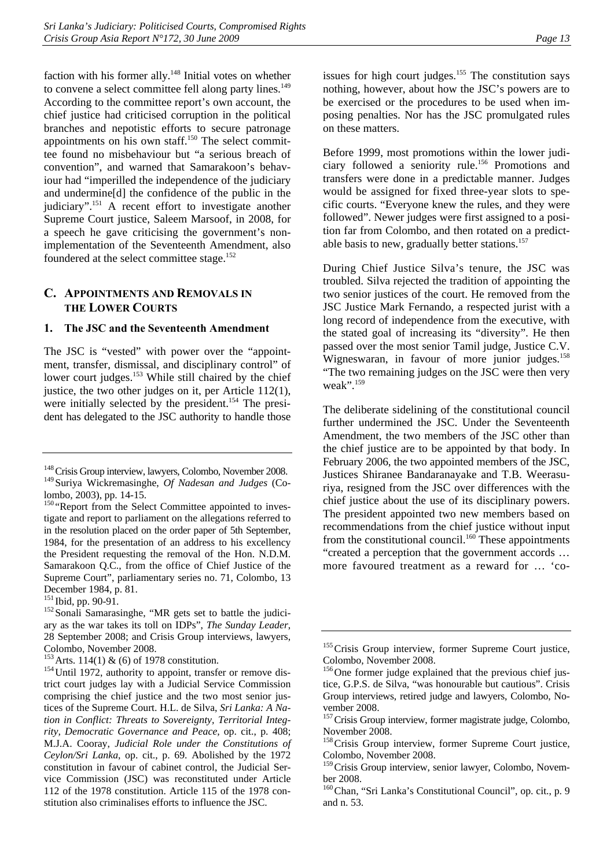faction with his former ally.<sup>148</sup> Initial votes on whether to convene a select committee fell along party lines.<sup>149</sup> According to the committee report's own account, the chief justice had criticised corruption in the political branches and nepotistic efforts to secure patronage appointments on his own staff.<sup>150</sup> The select committee found no misbehaviour but "a serious breach of convention", and warned that Samarakoon's behaviour had "imperilled the independence of the judiciary and undermine[d] the confidence of the public in the judiciary".151 A recent effort to investigate another Supreme Court justice, Saleem Marsoof, in 2008, for a speech he gave criticising the government's nonimplementation of the Seventeenth Amendment, also foundered at the select committee stage.<sup>152</sup>

## **C. APPOINTMENTS AND REMOVALS IN THE LOWER COURTS**

#### **1. The JSC and the Seventeenth Amendment**

The JSC is "vested" with power over the "appointment, transfer, dismissal, and disciplinary control" of lower court judges.<sup>153</sup> While still chaired by the chief justice, the two other judges on it, per Article 112(1), were initially selected by the president.<sup>154</sup> The president has delegated to the JSC authority to handle those

issues for high court judges.<sup>155</sup> The constitution says nothing, however, about how the JSC's powers are to be exercised or the procedures to be used when imposing penalties. Nor has the JSC promulgated rules on these matters.

Before 1999, most promotions within the lower judiciary followed a seniority rule.156 Promotions and transfers were done in a predictable manner. Judges would be assigned for fixed three-year slots to specific courts. "Everyone knew the rules, and they were followed". Newer judges were first assigned to a position far from Colombo, and then rotated on a predictable basis to new, gradually better stations.<sup>157</sup>

During Chief Justice Silva's tenure, the JSC was troubled. Silva rejected the tradition of appointing the two senior justices of the court. He removed from the JSC Justice Mark Fernando, a respected jurist with a long record of independence from the executive, with the stated goal of increasing its "diversity". He then passed over the most senior Tamil judge, Justice C.V. Wigneswaran, in favour of more junior judges.<sup>158</sup> "The two remaining judges on the JSC were then very weak".<sup>159</sup>

The deliberate sidelining of the constitutional council further undermined the JSC. Under the Seventeenth Amendment, the two members of the JSC other than the chief justice are to be appointed by that body. In February 2006, the two appointed members of the JSC, Justices Shiranee Bandaranayake and T.B. Weerasuriya, resigned from the JSC over differences with the chief justice about the use of its disciplinary powers. The president appointed two new members based on recommendations from the chief justice without input from the constitutional council.<sup>160</sup> These appointments "created a perception that the government accords … more favoured treatment as a reward for … 'co-

<sup>&</sup>lt;sup>148</sup> Crisis Group interview, lawyers, Colombo, November 2008. 149Suriya Wickremasinghe, *Of Nadesan and Judges* (Colombo, 2003), pp. 14-15.

<sup>&</sup>lt;sup>150</sup> "Report from the Select Committee appointed to investigate and report to parliament on the allegations referred to in the resolution placed on the order paper of 5th September, 1984, for the presentation of an address to his excellency the President requesting the removal of the Hon. N.D.M. Samarakoon Q.C., from the office of Chief Justice of the Supreme Court", parliamentary series no. 71, Colombo, 13 December 1984, p. 81.<br><sup>151</sup> Ibid, pp. 90-91.

<sup>&</sup>lt;sup>152</sup> Sonali Samarasinghe, "MR gets set to battle the judiciary as the war takes its toll on IDPs", *The Sunday Leader*, 28 September 2008; and Crisis Group interviews, lawyers, Colombo, November 2008.<br><sup>153</sup> Arts. 114(1) & (6) of 1978 constitution.

 $154$  Until 1972, authority to appoint, transfer or remove district court judges lay with a Judicial Service Commission comprising the chief justice and the two most senior justices of the Supreme Court. H.L. de Silva, *Sri Lanka: A Nation in Conflict: Threats to Sovereignty, Territorial Integrity, Democratic Governance and Peace,* op. cit., p. 408; M.J.A. Cooray, *Judicial Role under the Constitutions of Ceylon/Sri Lanka*, op. cit., p. 69. Abolished by the 1972 constitution in favour of cabinet control, the Judicial Service Commission (JSC) was reconstituted under Article 112 of the 1978 constitution. Article 115 of the 1978 constitution also criminalises efforts to influence the JSC.

<sup>&</sup>lt;sup>155</sup>Crisis Group interview, former Supreme Court justice, Colombo, November 2008.

<sup>&</sup>lt;sup>156</sup>One former judge explained that the previous chief justice, G.P.S. de Silva, "was honourable but cautious". Crisis Group interviews, retired judge and lawyers, Colombo, November 2008.

<sup>&</sup>lt;sup>157</sup> Crisis Group interview, former magistrate judge, Colombo, November 2008.

<sup>&</sup>lt;sup>158</sup>Crisis Group interview, former Supreme Court justice, Colombo, November 2008.

<sup>&</sup>lt;sup>159</sup> Crisis Group interview, senior lawyer, Colombo, November 2008.

<sup>&</sup>lt;sup>160</sup>Chan, "Sri Lanka's Constitutional Council", op. cit., p. 9 and n. 53.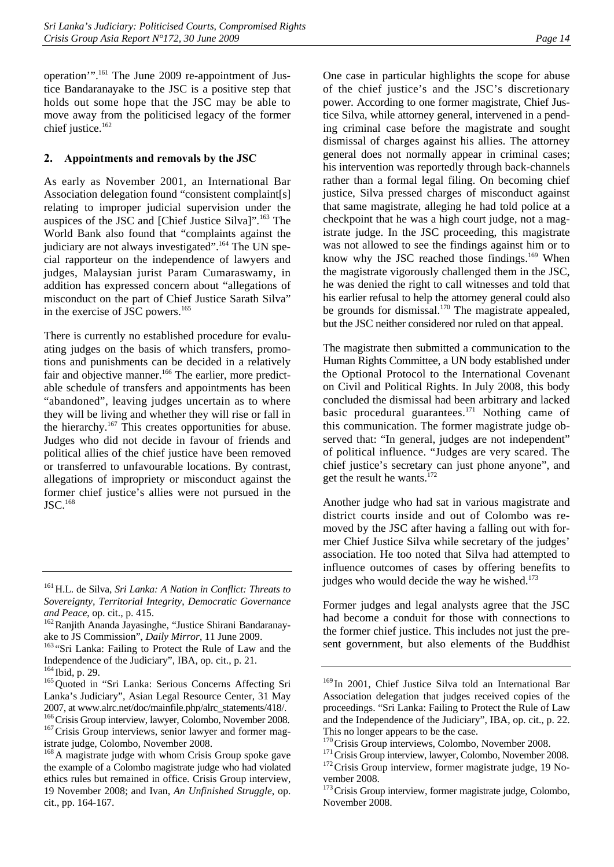operation'".161 The June 2009 re-appointment of Justice Bandaranayake to the JSC is a positive step that holds out some hope that the JSC may be able to move away from the politicised legacy of the former chief justice.<sup>162</sup>

## **2. Appointments and removals by the JSC**

As early as November 2001, an International Bar Association delegation found "consistent complaint[s] relating to improper judicial supervision under the auspices of the JSC and [Chief Justice Silva]".163 The World Bank also found that "complaints against the judiciary are not always investigated".<sup>164</sup> The UN special rapporteur on the independence of lawyers and judges, Malaysian jurist Param Cumaraswamy, in addition has expressed concern about "allegations of misconduct on the part of Chief Justice Sarath Silva" in the exercise of JSC powers.<sup>165</sup>

There is currently no established procedure for evaluating judges on the basis of which transfers, promotions and punishments can be decided in a relatively fair and objective manner.<sup>166</sup> The earlier, more predictable schedule of transfers and appointments has been "abandoned", leaving judges uncertain as to where they will be living and whether they will rise or fall in the hierarchy.<sup>167</sup> This creates opportunities for abuse. Judges who did not decide in favour of friends and political allies of the chief justice have been removed or transferred to unfavourable locations. By contrast, allegations of impropriety or misconduct against the former chief justice's allies were not pursued in the  $\mathrm{JSC}$ .<sup>168</sup>

One case in particular highlights the scope for abuse of the chief justice's and the JSC's discretionary power. According to one former magistrate, Chief Justice Silva, while attorney general, intervened in a pending criminal case before the magistrate and sought dismissal of charges against his allies. The attorney general does not normally appear in criminal cases; his intervention was reportedly through back-channels rather than a formal legal filing. On becoming chief justice, Silva pressed charges of misconduct against that same magistrate, alleging he had told police at a checkpoint that he was a high court judge, not a magistrate judge. In the JSC proceeding, this magistrate was not allowed to see the findings against him or to know why the JSC reached those findings.<sup>169</sup> When the magistrate vigorously challenged them in the JSC, he was denied the right to call witnesses and told that his earlier refusal to help the attorney general could also be grounds for dismissal.<sup>170</sup> The magistrate appealed, but the JSC neither considered nor ruled on that appeal.

The magistrate then submitted a communication to the Human Rights Committee, a UN body established under the Optional Protocol to the International Covenant on Civil and Political Rights. In July 2008, this body concluded the dismissal had been arbitrary and lacked basic procedural guarantees.<sup>171</sup> Nothing came of this communication. The former magistrate judge observed that: "In general, judges are not independent" of political influence. "Judges are very scared. The chief justice's secretary can just phone anyone", and get the result he wants.<sup>172</sup>

Another judge who had sat in various magistrate and district courts inside and out of Colombo was removed by the JSC after having a falling out with former Chief Justice Silva while secretary of the judges' association. He too noted that Silva had attempted to influence outcomes of cases by offering benefits to judges who would decide the way he wished.<sup>173</sup>

Former judges and legal analysts agree that the JSC had become a conduit for those with connections to the former chief justice. This includes not just the present government, but also elements of the Buddhist

<sup>161</sup>H.L. de Silva, *Sri Lanka: A Nation in Conflict: Threats to Sovereignty, Territorial Integrity*, *Democratic Governance* 

*and Peace*, op. cit., p. 415.<br><sup>162</sup>Ranjith Ananda Jayasinghe, "Justice Shirani Bandaranay-<br>ake to JS Commission", *Daily Mirror*, 11 June 2009.

<sup>&</sup>lt;sup>163</sup> "Sri Lanka: Failing to Protect the Rule of Law and the Independence of the Judiciary", IBA, op. cit., p. 21.

<sup>&</sup>lt;sup>165</sup> Quoted in "Sri Lanka: Serious Concerns Affecting Sri Lanka's Judiciary", Asian Legal Resource Center, 31 May 2007, at www.alrc.net/doc/mainfile.php/alrc\_statements/418/.<br><sup>166</sup>Crisis Group interview, lawyer, Colombo, November 2008.<br><sup>167</sup>Crisis Group interviews, senior lawyer and former mag-

istrate judge, Colombo, November 2008.<br><sup>168</sup>A magistrate judge with whom Crisis Group spoke gave

the example of a Colombo magistrate judge who had violated ethics rules but remained in office. Crisis Group interview, 19 November 2008; and Ivan, *An Unfinished Struggle*, op. cit., pp. 164-167.

<sup>&</sup>lt;sup>169</sup> In 2001, Chief Justice Silva told an International Bar Association delegation that judges received copies of the proceedings. "Sri Lanka: Failing to Protect the Rule of Law and the Independence of the Judiciary", IBA, op. cit., p. 22. This no longer appears to be the case.<br><sup>170</sup> Crisis Group interviews, Colombo, November 2008.

<sup>&</sup>lt;sup>171</sup>Crisis Group interview, lawyer, Colombo, November 2008.  $\frac{172}{172}$ Crisis Group interview, former magistrate judge, 19 November 2008.

<sup>&</sup>lt;sup>173</sup> Crisis Group interview, former magistrate judge, Colombo, November 2008.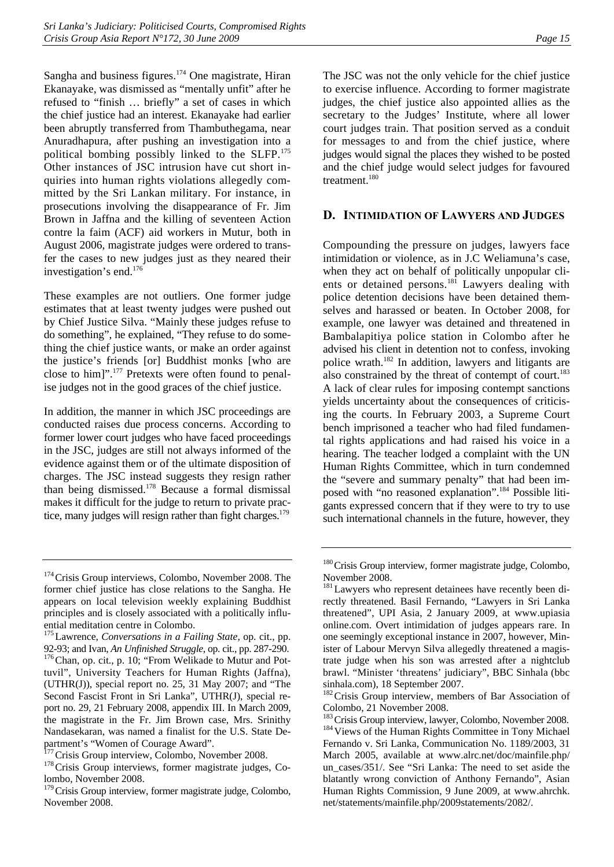Sangha and business figures.<sup>174</sup> One magistrate, Hiran Ekanayake, was dismissed as "mentally unfit" after he refused to "finish … briefly" a set of cases in which the chief justice had an interest. Ekanayake had earlier been abruptly transferred from Thambuthegama, near Anuradhapura, after pushing an investigation into a political bombing possibly linked to the SLFP.175 Other instances of JSC intrusion have cut short inquiries into human rights violations allegedly committed by the Sri Lankan military. For instance, in prosecutions involving the disappearance of Fr. Jim Brown in Jaffna and the killing of seventeen Action contre la faim (ACF) aid workers in Mutur, both in August 2006, magistrate judges were ordered to transfer the cases to new judges just as they neared their investigation's end.176

These examples are not outliers. One former judge estimates that at least twenty judges were pushed out by Chief Justice Silva. "Mainly these judges refuse to do something", he explained, "They refuse to do something the chief justice wants, or make an order against the justice's friends [or] Buddhist monks [who are close to him]".177 Pretexts were often found to penalise judges not in the good graces of the chief justice.

In addition, the manner in which JSC proceedings are conducted raises due process concerns. According to former lower court judges who have faced proceedings in the JSC, judges are still not always informed of the evidence against them or of the ultimate disposition of charges. The JSC instead suggests they resign rather than being dismissed.178 Because a formal dismissal makes it difficult for the judge to return to private practice, many judges will resign rather than fight charges.<sup>179</sup>

The JSC was not the only vehicle for the chief justice to exercise influence. According to former magistrate judges, the chief justice also appointed allies as the secretary to the Judges' Institute, where all lower court judges train. That position served as a conduit for messages to and from the chief justice, where judges would signal the places they wished to be posted and the chief judge would select judges for favoured treatment.180

## **D. INTIMIDATION OF LAWYERS AND JUDGES**

Compounding the pressure on judges, lawyers face intimidation or violence, as in J.C Weliamuna's case, when they act on behalf of politically unpopular clients or detained persons.<sup>181</sup> Lawyers dealing with police detention decisions have been detained themselves and harassed or beaten. In October 2008, for example, one lawyer was detained and threatened in Bambalapitiya police station in Colombo after he advised his client in detention not to confess, invoking police wrath.182 In addition, lawyers and litigants are also constrained by the threat of contempt of court.<sup>183</sup> A lack of clear rules for imposing contempt sanctions yields uncertainty about the consequences of criticising the courts. In February 2003, a Supreme Court bench imprisoned a teacher who had filed fundamental rights applications and had raised his voice in a hearing. The teacher lodged a complaint with the UN Human Rights Committee, which in turn condemned the "severe and summary penalty" that had been imposed with "no reasoned explanation".184 Possible litigants expressed concern that if they were to try to use such international channels in the future, however, they

<sup>&</sup>lt;sup>174</sup> Crisis Group interviews, Colombo, November 2008. The former chief justice has close relations to the Sangha. He appears on local television weekly explaining Buddhist principles and is closely associated with a politically influential meditation centre in Colombo.

<sup>&</sup>lt;sup>175</sup> Lawrence, *Conversations in a Failing State*, op. cit., pp. 92-93; and Ivan, *An Unfinished Struggle*, op. cit., pp. 287-290.

<sup>&</sup>lt;sup>176</sup>Chan, op. cit., p. 10; "From Welikade to Mutur and Pottuvil", University Teachers for Human Rights (Jaffna), (UTHR(J)), special report no. 25, 31 May 2007; and "The Second Fascist Front in Sri Lanka", UTHR(J), special report no. 29, 21 February 2008, appendix III. In March 2009, the magistrate in the Fr. Jim Brown case, Mrs. Srinithy Nandasekaran, was named a finalist for the U.S. State De-

partment's "Women of Courage Award".<br><sup>177</sup> Crisis Group interview, Colombo, November 2008.

<sup>&</sup>lt;sup>178</sup>Crisis Group interviews, former magistrate judges, Colombo, November 2008.

<sup>&</sup>lt;sup>179</sup> Crisis Group interview, former magistrate judge, Colombo, November 2008.

<sup>&</sup>lt;sup>180</sup>Crisis Group interview, former magistrate judge, Colombo, November 2008.

<sup>&</sup>lt;sup>181</sup> Lawyers who represent detainees have recently been directly threatened. Basil Fernando, "Lawyers in Sri Lanka threatened", UPI Asia, 2 January 2009, at www.upiasia online.com. Overt intimidation of judges appears rare. In one seemingly exceptional instance in 2007, however, Minister of Labour Mervyn Silva allegedly threatened a magistrate judge when his son was arrested after a nightclub brawl. "Minister 'threatens' judiciary", BBC Sinhala (bbc sinhala.com), 18 September 2007.

<sup>&</sup>lt;sup>182</sup> Crisis Group interview, members of Bar Association of Colombo, 21 November 2008.<br><sup>183</sup> Crisis Group interview, lawyer, Colombo, November 2008.

<sup>&</sup>lt;sup>184</sup> Views of the Human Rights Committee in Tony Michael Fernando v. Sri Lanka, Communication No. 1189/2003, 31 March 2005, available at www.alrc.net/doc/mainfile.php/ un\_cases/351/. See "Sri Lanka: The need to set aside the blatantly wrong conviction of Anthony Fernando", Asian Human Rights Commission, 9 June 2009, at www.ahrchk. net/statements/mainfile.php/2009statements/2082/.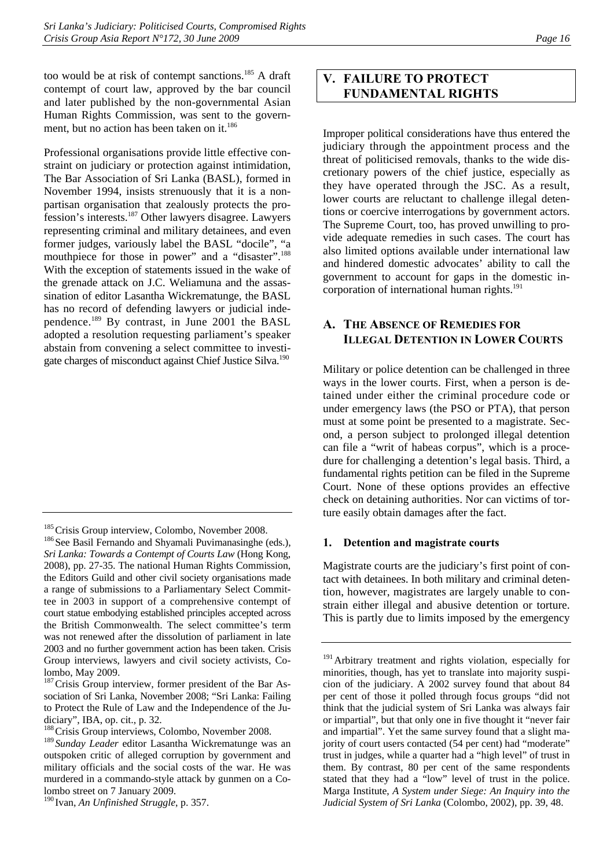too would be at risk of contempt sanctions.185 A draft contempt of court law, approved by the bar council and later published by the non-governmental Asian Human Rights Commission, was sent to the government, but no action has been taken on it.<sup>186</sup>

Professional organisations provide little effective constraint on judiciary or protection against intimidation, The Bar Association of Sri Lanka (BASL), formed in November 1994, insists strenuously that it is a nonpartisan organisation that zealously protects the profession's interests.187 Other lawyers disagree. Lawyers representing criminal and military detainees, and even former judges, variously label the BASL "docile", "a mouthpiece for those in power" and a "disaster".<sup>188</sup> With the exception of statements issued in the wake of the grenade attack on J.C. Weliamuna and the assassination of editor Lasantha Wickrematunge, the BASL has no record of defending lawyers or judicial independence.189 By contrast, in June 2001 the BASL adopted a resolution requesting parliament's speaker abstain from convening a select committee to investigate charges of misconduct against Chief Justice Silva.190

<sup>185</sup>Crisis Group interview, Colombo, November 2008.<br><sup>186</sup>See Basil Fernando and Shyamali Puvimanasinghe (eds.),

<sup>187</sup> Crisis Group interview, former president of the Bar Association of Sri Lanka, November 2008; "Sri Lanka: Failing to Protect the Rule of Law and the Independence of the Judiciary", IBA, op. cit., p. 32.

<sup>188</sup> Crisis Group interviews, Colombo, November 2008.

# **V. FAILURE TO PROTECT FUNDAMENTAL RIGHTS**

Improper political considerations have thus entered the judiciary through the appointment process and the threat of politicised removals, thanks to the wide discretionary powers of the chief justice, especially as they have operated through the JSC. As a result, lower courts are reluctant to challenge illegal detentions or coercive interrogations by government actors. The Supreme Court, too, has proved unwilling to provide adequate remedies in such cases. The court has also limited options available under international law and hindered domestic advocates' ability to call the government to account for gaps in the domestic incorporation of international human rights.<sup>191</sup>

## **A. THE ABSENCE OF REMEDIES FOR ILLEGAL DETENTION IN LOWER COURTS**

Military or police detention can be challenged in three ways in the lower courts. First, when a person is detained under either the criminal procedure code or under emergency laws (the PSO or PTA), that person must at some point be presented to a magistrate. Second, a person subject to prolonged illegal detention can file a "writ of habeas corpus", which is a procedure for challenging a detention's legal basis. Third, a fundamental rights petition can be filed in the Supreme Court. None of these options provides an effective check on detaining authorities. Nor can victims of torture easily obtain damages after the fact.

#### **1. Detention and magistrate courts**

Magistrate courts are the judiciary's first point of contact with detainees. In both military and criminal detention, however, magistrates are largely unable to constrain either illegal and abusive detention or torture. This is partly due to limits imposed by the emergency

*Sri Lanka: Towards a Contempt of Courts Law* (Hong Kong, 2008), pp. 27-35. The national Human Rights Commission, the Editors Guild and other civil society organisations made a range of submissions to a Parliamentary Select Committee in 2003 in support of a comprehensive contempt of court statue embodying established principles accepted across the British Commonwealth. The select committee's term was not renewed after the dissolution of parliament in late 2003 and no further government action has been taken. Crisis Group interviews, lawyers and civil society activists, Colombo, May 2009.

<sup>189</sup> *Sunday Leader* editor Lasantha Wickrematunge was an outspoken critic of alleged corruption by government and military officials and the social costs of the war. He was murdered in a commando-style attack by gunmen on a Colombo street on 7 January 2009.

<sup>190</sup> Ivan, *An Unfinished Struggle*, p. 357.

<sup>&</sup>lt;sup>191</sup> Arbitrary treatment and rights violation, especially for minorities, though, has yet to translate into majority suspicion of the judiciary. A 2002 survey found that about 84 per cent of those it polled through focus groups "did not think that the judicial system of Sri Lanka was always fair or impartial", but that only one in five thought it "never fair and impartial". Yet the same survey found that a slight majority of court users contacted (54 per cent) had "moderate" trust in judges, while a quarter had a "high level" of trust in them. By contrast, 80 per cent of the same respondents stated that they had a "low" level of trust in the police. Marga Institute, *A System under Siege: An Inquiry into the Judicial System of Sri Lanka* (Colombo, 2002), pp. 39, 48.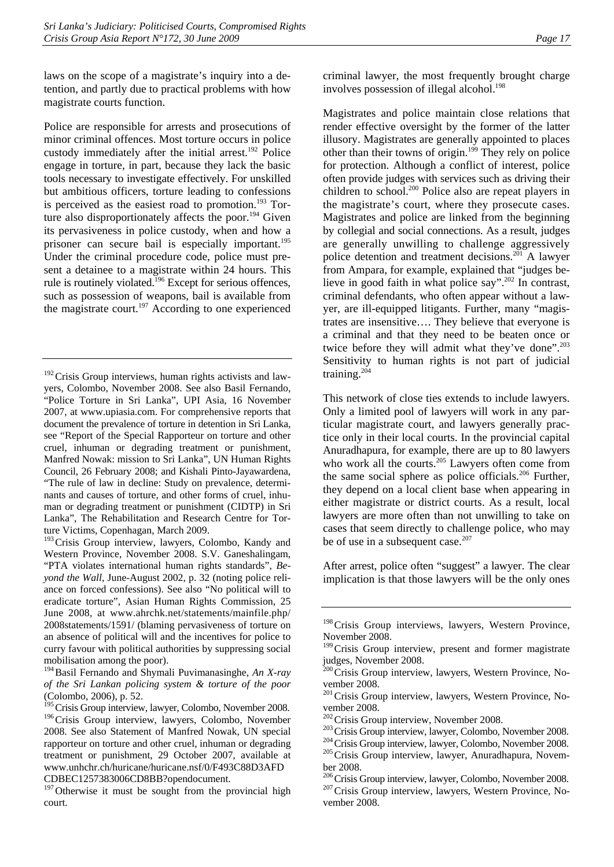laws on the scope of a magistrate's inquiry into a detention, and partly due to practical problems with how magistrate courts function.

Police are responsible for arrests and prosecutions of minor criminal offences. Most torture occurs in police custody immediately after the initial arrest.<sup>192</sup> Police engage in torture, in part, because they lack the basic tools necessary to investigate effectively. For unskilled but ambitious officers, torture leading to confessions is perceived as the easiest road to promotion.<sup>193</sup> Torture also disproportionately affects the poor.<sup>194</sup> Given its pervasiveness in police custody, when and how a prisoner can secure bail is especially important.<sup>195</sup> Under the criminal procedure code, police must present a detainee to a magistrate within 24 hours. This rule is routinely violated.<sup>196</sup> Except for serious offences, such as possession of weapons, bail is available from the magistrate court.<sup>197</sup> According to one experienced

<sup>193</sup> Crisis Group interview, lawyers, Colombo, Kandy and Western Province, November 2008. S.V. Ganeshalingam, "PTA violates international human rights standards", *Beyond the Wall*, June-August 2002, p. 32 (noting police reliance on forced confessions). See also "No political will to eradicate torture", Asian Human Rights Commission, 25 June 2008, at www.ahrchk.net/statements/mainfile.php/ 2008statements/1591/ (blaming pervasiveness of torture on an absence of political will and the incentives for police to curry favour with political authorities by suppressing social mobilisation among the poor).

criminal lawyer, the most frequently brought charge involves possession of illegal alcohol.<sup>198</sup>

Magistrates and police maintain close relations that render effective oversight by the former of the latter illusory. Magistrates are generally appointed to places other than their towns of origin.199 They rely on police for protection. Although a conflict of interest, police often provide judges with services such as driving their children to school.<sup>200</sup> Police also are repeat players in the magistrate's court, where they prosecute cases. Magistrates and police are linked from the beginning by collegial and social connections. As a result, judges are generally unwilling to challenge aggressively police detention and treatment decisions.201 A lawyer from Ampara, for example, explained that "judges believe in good faith in what police say".202 In contrast, criminal defendants, who often appear without a lawyer, are ill-equipped litigants. Further, many "magistrates are insensitive…. They believe that everyone is a criminal and that they need to be beaten once or twice before they will admit what they've done".<sup>203</sup> Sensitivity to human rights is not part of judicial training.204

This network of close ties extends to include lawyers. Only a limited pool of lawyers will work in any particular magistrate court, and lawyers generally practice only in their local courts. In the provincial capital Anuradhapura, for example, there are up to 80 lawyers who work all the courts.<sup>205</sup> Lawyers often come from the same social sphere as police officials.<sup>206</sup> Further, they depend on a local client base when appearing in either magistrate or district courts. As a result, local lawyers are more often than not unwilling to take on cases that seem directly to challenge police, who may be of use in a subsequent case.<sup>207</sup>

After arrest, police often "suggest" a lawyer. The clear implication is that those lawyers will be the only ones

 $192$  Crisis Group interviews, human rights activists and lawyers, Colombo, November 2008. See also Basil Fernando, "Police Torture in Sri Lanka", UPI Asia, 16 November 2007, at www.upiasia.com. For comprehensive reports that document the prevalence of torture in detention in Sri Lanka, see "Report of the Special Rapporteur on torture and other cruel, inhuman or degrading treatment or punishment, Manfred Nowak: mission to Sri Lanka", UN Human Rights Council, 26 February 2008; and Kishali Pinto-Jayawardena, "The rule of law in decline: Study on prevalence, determinants and causes of torture, and other forms of cruel, inhuman or degrading treatment or punishment (CIDTP) in Sri Lanka", The Rehabilitation and Research Centre for Torture Victims, Copenhagan, March 2009.

<sup>194</sup>Basil Fernando and Shymali Puvimanasinghe, *An X-ray of the Sri Lankan policing system & torture of the poor*  (Colombo, 2006), p. 52.

<sup>&</sup>lt;sup>195</sup> Crisis Group interview, lawyer, Colombo, November 2008. <sup>196</sup>Crisis Group interview, lawyers, Colombo, November 2008. See also Statement of Manfred Nowak, UN special rapporteur on torture and other cruel, inhuman or degrading treatment or punishment, 29 October 2007, available at www.unhchr.ch/huricane/huricane.nsf/0/F493C88D3AFD CDBEC1257383006CD8BB?opendocument.

<sup>&</sup>lt;sup>197</sup> Otherwise it must be sought from the provincial high court.

<sup>&</sup>lt;sup>198</sup>Crisis Group interviews, lawyers, Western Province, November 2008.

<sup>&</sup>lt;sup>199</sup>Crisis Group interview, present and former magistrate judges, November 2008.

 $^{00}$ Crisis Group interview, lawyers, Western Province, November 2008.

<sup>&</sup>lt;sup>201</sup> Crisis Group interview, lawyers, Western Province, November 2008.<br><sup>202</sup> Crisis Group interview, November 2008.

<sup>&</sup>lt;sup>203</sup> Crisis Group interview, lawyer, Colombo, November 2008.<br><sup>204</sup> Crisis Group interview, lawyer, Colombo, November 2008.<br><sup>205</sup> Crisis Group interview, lawyer, Anuradhapura, November 2008.

<sup>&</sup>lt;sup>206</sup>Crisis Group interview, lawyer, Colombo, November 2008.<br><sup>207</sup>Crisis Group interview, lawyers, Western Province, November 2008.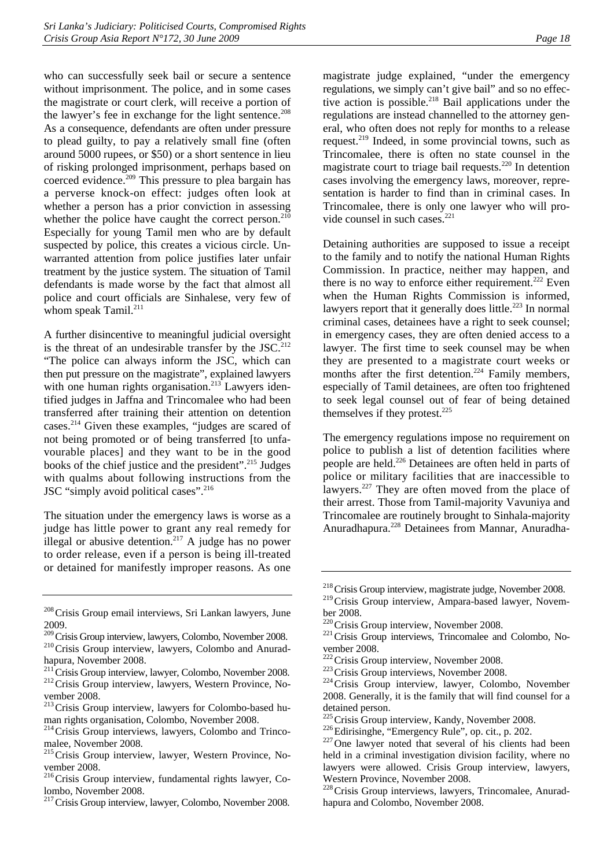who can successfully seek bail or secure a sentence without imprisonment. The police, and in some cases the magistrate or court clerk, will receive a portion of the lawyer's fee in exchange for the light sentence.<sup>208</sup> As a consequence, defendants are often under pressure to plead guilty, to pay a relatively small fine (often around 5000 rupees, or \$50) or a short sentence in lieu of risking prolonged imprisonment, perhaps based on coerced evidence.<sup>209</sup> This pressure to plea bargain has a perverse knock-on effect: judges often look at whether a person has a prior conviction in assessing whether the police have caught the correct person. $210$ Especially for young Tamil men who are by default suspected by police, this creates a vicious circle. Unwarranted attention from police justifies later unfair treatment by the justice system. The situation of Tamil defendants is made worse by the fact that almost all police and court officials are Sinhalese, very few of whom speak Tamil.<sup>211</sup>

A further disincentive to meaningful judicial oversight is the threat of an undesirable transfer by the  $JSC<sup>212</sup>$ "The police can always inform the JSC, which can then put pressure on the magistrate", explained lawyers with one human rights organisation.<sup>213</sup> Lawyers identified judges in Jaffna and Trincomalee who had been transferred after training their attention on detention cases.214 Given these examples, "judges are scared of not being promoted or of being transferred [to unfavourable places] and they want to be in the good books of the chief justice and the president".215 Judges with qualms about following instructions from the JSC "simply avoid political cases".<sup>216</sup>

The situation under the emergency laws is worse as a judge has little power to grant any real remedy for illegal or abusive detention.<sup>217</sup> A judge has no power to order release, even if a person is being ill-treated or detained for manifestly improper reasons. As one

- <sup>213</sup>Crisis Group interview, lawyers for Colombo-based human rights organisation, Colombo, November 2008.
- 214Crisis Group interviews, lawyers, Colombo and Trincomalee, November 2008.
- <sup>215</sup> Crisis Group interview, lawyer, Western Province, November 2008.
- <sup>216</sup>Crisis Group interview, fundamental rights lawyer, Colombo, November 2008.
- <sup>217</sup> Crisis Group interview, lawyer, Colombo, November 2008.

magistrate judge explained, "under the emergency regulations, we simply can't give bail" and so no effective action is possible.<sup>218</sup> Bail applications under the regulations are instead channelled to the attorney general, who often does not reply for months to a release request.219 Indeed, in some provincial towns, such as Trincomalee, there is often no state counsel in the magistrate court to triage bail requests.<sup>220</sup> In detention cases involving the emergency laws, moreover, representation is harder to find than in criminal cases. In Trincomalee, there is only one lawyer who will provide counsel in such cases.<sup>221</sup>

Detaining authorities are supposed to issue a receipt to the family and to notify the national Human Rights Commission. In practice, neither may happen, and there is no way to enforce either requirement.<sup>222</sup> Even when the Human Rights Commission is informed, lawyers report that it generally does little.<sup>223</sup> In normal criminal cases, detainees have a right to seek counsel; in emergency cases, they are often denied access to a lawyer. The first time to seek counsel may be when they are presented to a magistrate court weeks or months after the first detention.<sup>224</sup> Family members, especially of Tamil detainees, are often too frightened to seek legal counsel out of fear of being detained themselves if they protest. $225$ 

The emergency regulations impose no requirement on police to publish a list of detention facilities where people are held.<sup>226</sup> Detainees are often held in parts of police or military facilities that are inaccessible to lawyers.<sup>227</sup> They are often moved from the place of their arrest. Those from Tamil-majority Vavuniya and Trincomalee are routinely brought to Sinhala-majority Anuradhapura.228 Detainees from Mannar, Anuradha-

<sup>&</sup>lt;sup>208</sup> Crisis Group email interviews, Sri Lankan lawyers, June 2009.

 $^{209}$ Crisis Group interview, lawyers, Colombo, November 2008.<br><sup>210</sup>Crisis Group interview, lawyers, Colombo and Anurad-

hapura, November 2008.<br><sup>211</sup> Crisis Group interview, lawyer, Colombo, November 2008.

 $212$  Crisis Group interview, lawyers, Western Province, November 2008.

<sup>&</sup>lt;sup>218</sup> Crisis Group interview, magistrate judge, November 2008.

<sup>&</sup>lt;sup>219</sup>Crisis Group interview, Ampara-based lawyer, November 2008.<br><sup>220</sup> Crisis Group interview, November 2008.

<sup>&</sup>lt;sup>221</sup> Crisis Group interviews, Trincomalee and Colombo, No-

vember 2008.<br><sup>222</sup> Crisis Group interview, November 2008.

 $223$ Crisis Group interviews, November 2008.<br> $224$ Crisis Group interview, lawyer, Colombo, November 2008. Generally, it is the family that will find counsel for a detained person.<br><sup>225</sup> Crisis Group interview, Kandy, November 2008.

 $226$ Edirisinghe, "Emergency Rule", op. cit., p. 202.  $227$ One lawyer noted that several of his clients had been held in a criminal investigation division facility, where no lawyers were allowed. Crisis Group interview, lawyers, Western Province, November 2008.

<sup>&</sup>lt;sup>228</sup> Crisis Group interviews, lawyers, Trincomalee, Anuradhapura and Colombo, November 2008.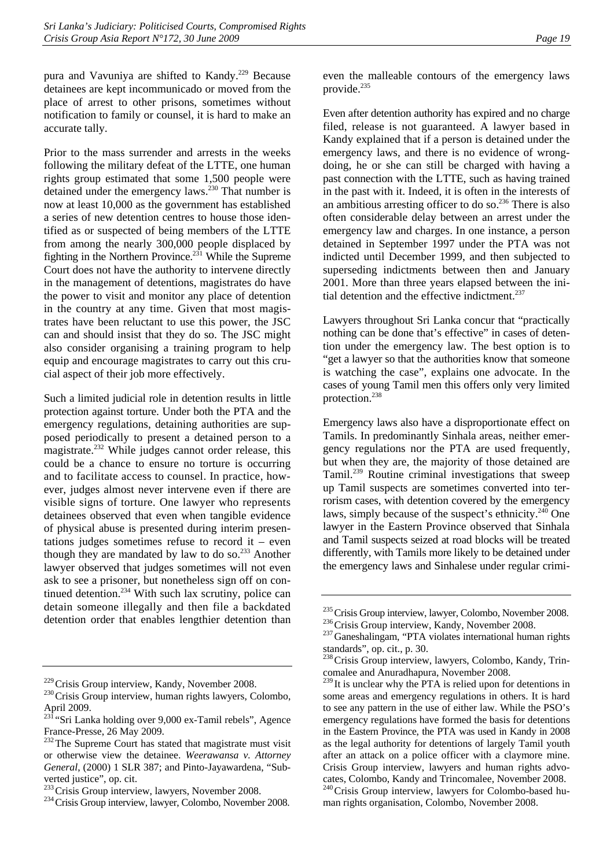pura and Vavuniya are shifted to Kandy.<sup>229</sup> Because detainees are kept incommunicado or moved from the place of arrest to other prisons, sometimes without notification to family or counsel, it is hard to make an accurate tally.

Prior to the mass surrender and arrests in the weeks following the military defeat of the LTTE, one human rights group estimated that some 1,500 people were detained under the emergency laws.<sup>230</sup> That number is now at least 10,000 as the government has established a series of new detention centres to house those identified as or suspected of being members of the LTTE from among the nearly 300,000 people displaced by fighting in the Northern Province.<sup> $231$ </sup> While the Supreme Court does not have the authority to intervene directly in the management of detentions, magistrates do have the power to visit and monitor any place of detention in the country at any time. Given that most magistrates have been reluctant to use this power, the JSC can and should insist that they do so. The JSC might also consider organising a training program to help equip and encourage magistrates to carry out this crucial aspect of their job more effectively.

Such a limited judicial role in detention results in little protection against torture. Under both the PTA and the emergency regulations, detaining authorities are supposed periodically to present a detained person to a magistrate.232 While judges cannot order release, this could be a chance to ensure no torture is occurring and to facilitate access to counsel. In practice, however, judges almost never intervene even if there are visible signs of torture. One lawyer who represents detainees observed that even when tangible evidence of physical abuse is presented during interim presentations judges sometimes refuse to record it – even though they are mandated by law to do so.<sup>233</sup> Another lawyer observed that judges sometimes will not even ask to see a prisoner, but nonetheless sign off on continued detention.<sup>234</sup> With such lax scrutiny, police can detain someone illegally and then file a backdated detention order that enables lengthier detention than even the malleable contours of the emergency laws provide.235

Even after detention authority has expired and no charge filed, release is not guaranteed. A lawyer based in Kandy explained that if a person is detained under the emergency laws, and there is no evidence of wrongdoing, he or she can still be charged with having a past connection with the LTTE, such as having trained in the past with it. Indeed, it is often in the interests of an ambitious arresting officer to do so.<sup>236</sup> There is also often considerable delay between an arrest under the emergency law and charges. In one instance, a person detained in September 1997 under the PTA was not indicted until December 1999, and then subjected to superseding indictments between then and January 2001. More than three years elapsed between the initial detention and the effective indictment.<sup>237</sup>

Lawyers throughout Sri Lanka concur that "practically nothing can be done that's effective" in cases of detention under the emergency law. The best option is to "get a lawyer so that the authorities know that someone is watching the case", explains one advocate. In the cases of young Tamil men this offers only very limited protection.238

Emergency laws also have a disproportionate effect on Tamils. In predominantly Sinhala areas, neither emergency regulations nor the PTA are used frequently, but when they are, the majority of those detained are Tamil.239 Routine criminal investigations that sweep up Tamil suspects are sometimes converted into terrorism cases, with detention covered by the emergency laws, simply because of the suspect's ethnicity. $240$  One lawyer in the Eastern Province observed that Sinhala and Tamil suspects seized at road blocks will be treated differently, with Tamils more likely to be detained under the emergency laws and Sinhalese under regular crimi-

 $229$ Crisis Group interview, Kandy, November 2008.<br> $230$ Crisis Group interview, human rights lawyers, Colombo, April 2009.

 $^{231}$  "Sri Lanka holding over 9,000 ex-Tamil rebels", Agence France-Presse, 26 May 2009.

<sup>&</sup>lt;sup>232</sup>The Supreme Court has stated that magistrate must visit or otherwise view the detainee. *Weerawansa v. Attorney General*, (2000) 1 SLR 387; and Pinto-Jayawardena, "Subverted justice", op. cit.<br><sup>233</sup> Crisis Group interview, lawyers, November 2008.

<sup>&</sup>lt;sup>234</sup> Crisis Group interview, lawyer, Colombo, November 2008.

<sup>&</sup>lt;sup>235</sup> Crisis Group interview, lawyer, Colombo, November 2008.<br><sup>236</sup> Crisis Group interview, Kandy, November 2008.<br><sup>237</sup> Ganeshalingam, "PTA violates international human rights

standards", op. cit., p. 30.

<sup>&</sup>lt;sup>238</sup> Crisis Group interview, lawyers, Colombo, Kandy, Trincomalee and Anuradhapura, November 2008.

 $239$  It is unclear why the PTA is relied upon for detentions in some areas and emergency regulations in others. It is hard to see any pattern in the use of either law. While the PSO's emergency regulations have formed the basis for detentions in the Eastern Province, the PTA was used in Kandy in 2008 as the legal authority for detentions of largely Tamil youth after an attack on a police officer with a claymore mine. Crisis Group interview, lawyers and human rights advocates, Colombo, Kandy and Trincomalee, November 2008. <sup>240</sup>Crisis Group interview, lawyers for Colombo-based human rights organisation, Colombo, November 2008.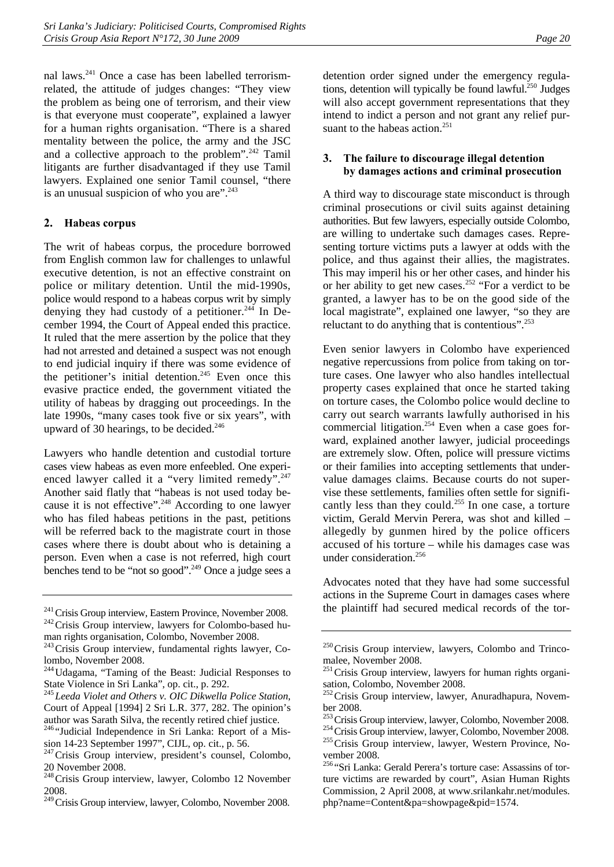nal laws.241 Once a case has been labelled terrorismrelated, the attitude of judges changes: "They view the problem as being one of terrorism, and their view is that everyone must cooperate", explained a lawyer for a human rights organisation. "There is a shared mentality between the police, the army and the JSC and a collective approach to the problem".<sup>242</sup> Tamil litigants are further disadvantaged if they use Tamil lawyers. Explained one senior Tamil counsel, "there is an unusual suspicion of who you are".<sup>243</sup>

## **2. Habeas corpus**

The writ of habeas corpus, the procedure borrowed from English common law for challenges to unlawful executive detention, is not an effective constraint on police or military detention. Until the mid-1990s, police would respond to a habeas corpus writ by simply denying they had custody of a petitioner.<sup>244</sup> In December 1994, the Court of Appeal ended this practice. It ruled that the mere assertion by the police that they had not arrested and detained a suspect was not enough to end judicial inquiry if there was some evidence of the petitioner's initial detention.<sup>245</sup> Even once this evasive practice ended, the government vitiated the utility of habeas by dragging out proceedings. In the late 1990s, "many cases took five or six years", with upward of 30 hearings, to be decided. $246$ 

Lawyers who handle detention and custodial torture cases view habeas as even more enfeebled. One experienced lawyer called it a "very limited remedy".<sup>247</sup> Another said flatly that "habeas is not used today because it is not effective".<sup>248</sup> According to one lawyer who has filed habeas petitions in the past, petitions will be referred back to the magistrate court in those cases where there is doubt about who is detaining a person. Even when a case is not referred, high court benches tend to be "not so good".249 Once a judge sees a

man rights organisation, Colombo, November 2008.

sion 14-23 September 1997", CIJL, op. cit., p. 56.

detention order signed under the emergency regulations, detention will typically be found lawful.<sup>250</sup> Judges will also accept government representations that they intend to indict a person and not grant any relief pursuant to the habeas action.<sup>251</sup>

## **3. The failure to discourage illegal detention by damages actions and criminal prosecution**

A third way to discourage state misconduct is through criminal prosecutions or civil suits against detaining authorities. But few lawyers, especially outside Colombo, are willing to undertake such damages cases. Representing torture victims puts a lawyer at odds with the police, and thus against their allies, the magistrates. This may imperil his or her other cases, and hinder his or her ability to get new cases.<sup>252</sup> "For a verdict to be granted, a lawyer has to be on the good side of the local magistrate", explained one lawyer, "so they are reluctant to do anything that is contentious".<sup>253</sup>

Even senior lawyers in Colombo have experienced negative repercussions from police from taking on torture cases. One lawyer who also handles intellectual property cases explained that once he started taking on torture cases, the Colombo police would decline to carry out search warrants lawfully authorised in his commercial litigation.<sup>254</sup> Even when a case goes forward, explained another lawyer, judicial proceedings are extremely slow. Often, police will pressure victims or their families into accepting settlements that undervalue damages claims. Because courts do not supervise these settlements, families often settle for significantly less than they could.<sup>255</sup> In one case, a torture victim, Gerald Mervin Perera, was shot and killed – allegedly by gunmen hired by the police officers accused of his torture – while his damages case was under consideration.<sup>256</sup>

Advocates noted that they have had some successful actions in the Supreme Court in damages cases where the plaintiff had secured medical records of the tor-

 $241$ Crisis Group interview, Eastern Province, November 2008.<br> $242$ Crisis Group interview, lawyers for Colombo-based hu-

 $243$  Crisis Group interview, fundamental rights lawyer, Colombo, November 2008.

<sup>244</sup>Udagama, "Taming of the Beast: Judicial Responses to State Violence in Sri Lanka", op. cit., p. 292.

<sup>245</sup>*Leeda Violet and Others v. OIC Dikwella Police Station*, Court of Appeal [1994] 2 Sri L.R. 377, 282. The opinion's author was Sarath Silva, the recently retired chief justice. 246 "Judicial Independence in Sri Lanka: Report of a Mis-

<sup>&</sup>lt;sup>247</sup>Crisis Group interview, president's counsel, Colombo, 20 November 2008.

<sup>248</sup>Crisis Group interview, lawyer, Colombo 12 November 2008.

<sup>&</sup>lt;sup>249</sup> Crisis Group interview, lawyer, Colombo, November 2008.

 $250$  Crisis Group interview, lawyers, Colombo and Trincomalee, November 2008.

 $251$  Crisis Group interview, lawyers for human rights organisation, Colombo, November 2008.

<sup>&</sup>lt;sup>252</sup> Crisis Group interview, lawyer, Anuradhapura, Novem-

ber 2008.<br><sup>253</sup> Crisis Group interview, lawyer, Colombo, November 2008.

<sup>&</sup>lt;sup>254</sup>Crisis Group interview, lawyer, Colombo, November 2008.<br><sup>255</sup>Crisis Group interview, lawyer, Western Province, No-

vember 2008.

<sup>256</sup> "Sri Lanka: Gerald Perera's torture case: Assassins of torture victims are rewarded by court", Asian Human Rights Commission, 2 April 2008, at www.srilankahr.net/modules. php?name=Content&pa=showpage&pid=1574.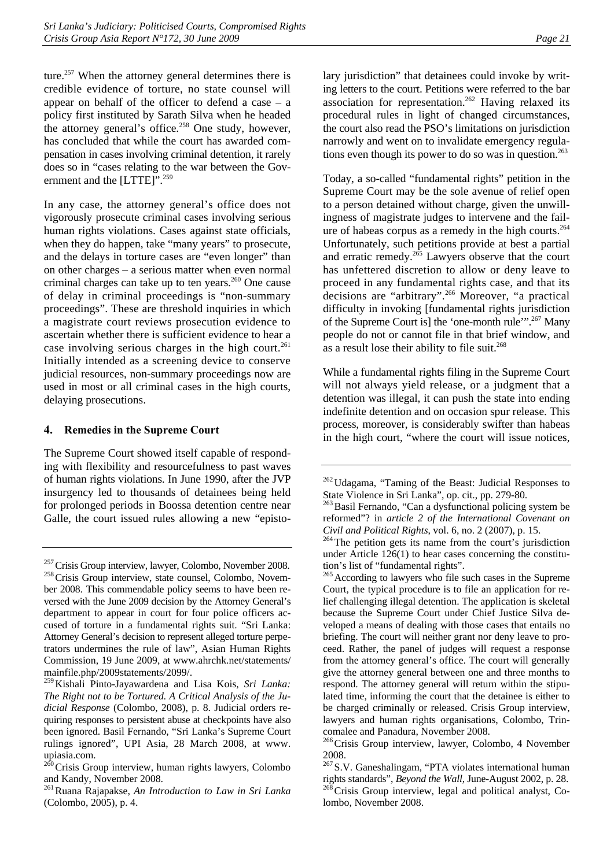ture.<sup>257</sup> When the attorney general determines there is credible evidence of torture, no state counsel will appear on behalf of the officer to defend a case – a policy first instituted by Sarath Silva when he headed the attorney general's office.<sup>258</sup> One study, however, has concluded that while the court has awarded compensation in cases involving criminal detention, it rarely does so in "cases relating to the war between the Government and the [LTTE]".<sup>259</sup>

In any case, the attorney general's office does not vigorously prosecute criminal cases involving serious human rights violations. Cases against state officials, when they do happen, take "many years" to prosecute, and the delays in torture cases are "even longer" than on other charges – a serious matter when even normal criminal charges can take up to ten years. $260$  One cause of delay in criminal proceedings is "non-summary proceedings". These are threshold inquiries in which a magistrate court reviews prosecution evidence to ascertain whether there is sufficient evidence to hear a case involving serious charges in the high court.<sup>261</sup> Initially intended as a screening device to conserve judicial resources, non-summary proceedings now are used in most or all criminal cases in the high courts, delaying prosecutions.

## **4. Remedies in the Supreme Court**

The Supreme Court showed itself capable of responding with flexibility and resourcefulness to past waves of human rights violations. In June 1990, after the JVP insurgency led to thousands of detainees being held for prolonged periods in Boossa detention centre near Galle, the court issued rules allowing a new "episto-

Today, a so-called "fundamental rights" petition in the Supreme Court may be the sole avenue of relief open to a person detained without charge, given the unwillingness of magistrate judges to intervene and the failure of habeas corpus as a remedy in the high courts.<sup>264</sup> Unfortunately, such petitions provide at best a partial and erratic remedy. $265$  Lawyers observe that the court has unfettered discretion to allow or deny leave to proceed in any fundamental rights case, and that its decisions are "arbitrary".266 Moreover, "a practical difficulty in invoking [fundamental rights jurisdiction of the Supreme Court is] the 'one-month rule'".<sup>267</sup> Many people do not or cannot file in that brief window, and as a result lose their ability to file suit.<sup>268</sup>

While a fundamental rights filing in the Supreme Court will not always yield release, or a judgment that a detention was illegal, it can push the state into ending indefinite detention and on occasion spur release. This process, moreover, is considerably swifter than habeas in the high court, "where the court will issue notices,

 $257$  Crisis Group interview, lawyer, Colombo, November 2008.  $258$  Crisis Group interview, state counsel, Colombo, November 2008. This commendable policy seems to have been reversed with the June 2009 decision by the Attorney General's department to appear in court for four police officers accused of torture in a fundamental rights suit. "Sri Lanka: Attorney General's decision to represent alleged torture perpetrators undermines the rule of law", Asian Human Rights Commission, 19 June 2009, at www.ahrchk.net/statements/ mainfile.php/2009statements/2099/.

<sup>259</sup>Kishali Pinto-Jayawardena and Lisa Kois, *Sri Lanka: The Right not to be Tortured. A Critical Analysis of the Judicial Response* (Colombo, 2008), p. 8. Judicial orders requiring responses to persistent abuse at checkpoints have also been ignored. Basil Fernando, "Sri Lanka's Supreme Court rulings ignored", UPI Asia, 28 March 2008, at www. upiasia.com.

<sup>&</sup>lt;sup>260</sup>Crisis Group interview, human rights lawyers, Colombo and Kandy, November 2008.

<sup>261</sup>Ruana Rajapakse, *An Introduction to Law in Sri Lanka* (Colombo, 2005), p. 4.

<sup>&</sup>lt;sup>262</sup> Udagama, "Taming of the Beast: Judicial Responses to State Violence in Sri Lanka", op. cit., pp. 279-80.

<sup>&</sup>lt;sup>263</sup> Basil Fernando, "Can a dysfunctional policing system be reformed"? in *article 2 of the International Covenant on Civil and Political Rights*, vol. 6, no. 2 (2007), p. 15.<br><sup>264</sup>The petition gets its name from the court's jurisdiction

under Article 126(1) to hear cases concerning the constitution's list of "fundamental rights".

<sup>&</sup>lt;sup>265</sup> According to lawyers who file such cases in the Supreme Court, the typical procedure is to file an application for relief challenging illegal detention. The application is skeletal because the Supreme Court under Chief Justice Silva developed a means of dealing with those cases that entails no briefing. The court will neither grant nor deny leave to proceed. Rather, the panel of judges will request a response from the attorney general's office. The court will generally give the attorney general between one and three months to respond. The attorney general will return within the stipulated time, informing the court that the detainee is either to be charged criminally or released. Crisis Group interview, lawyers and human rights organisations, Colombo, Trincomalee and Panadura, November 2008.

<sup>&</sup>lt;sup>266</sup>Crisis Group interview, lawyer, Colombo, 4 November 2008.

<sup>267</sup>S.V. Ganeshalingam, "PTA violates international human rights standards", *Beyond the Wall*, June-August 2002, p. 28.<br><sup>268</sup>Crisis Group interview, legal and political analyst, Colombo, November 2008.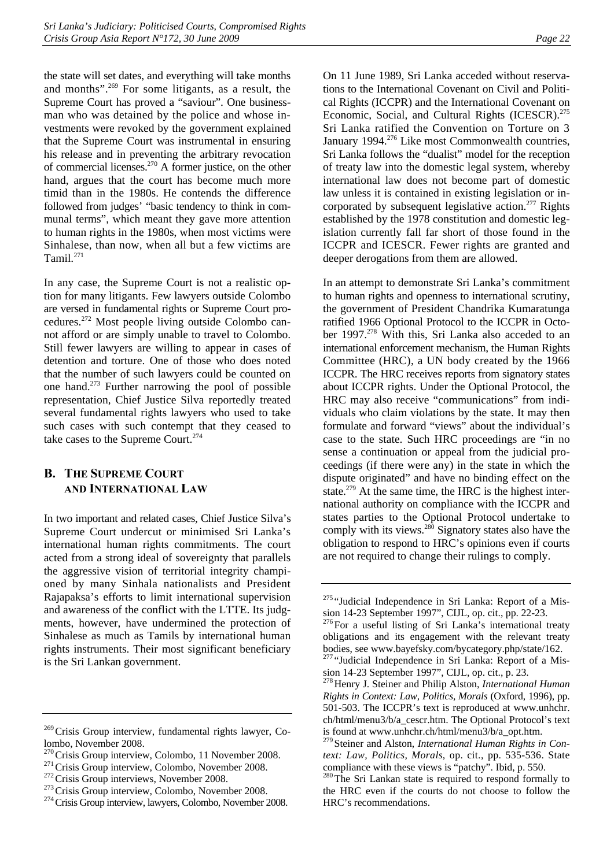the state will set dates, and everything will take months and months".269 For some litigants, as a result, the Supreme Court has proved a "saviour". One businessman who was detained by the police and whose investments were revoked by the government explained that the Supreme Court was instrumental in ensuring his release and in preventing the arbitrary revocation of commercial licenses.<sup>270</sup> A former justice, on the other hand, argues that the court has become much more timid than in the 1980s. He contends the difference followed from judges' "basic tendency to think in communal terms", which meant they gave more attention to human rights in the 1980s, when most victims were Sinhalese, than now, when all but a few victims are Tamil.<sup>271</sup>

In any case, the Supreme Court is not a realistic option for many litigants. Few lawyers outside Colombo are versed in fundamental rights or Supreme Court procedures.272 Most people living outside Colombo cannot afford or are simply unable to travel to Colombo. Still fewer lawyers are willing to appear in cases of detention and torture. One of those who does noted that the number of such lawyers could be counted on one hand.273 Further narrowing the pool of possible representation, Chief Justice Silva reportedly treated several fundamental rights lawyers who used to take such cases with such contempt that they ceased to take cases to the Supreme Court.<sup>274</sup>

# **B. THE SUPREME COURT AND INTERNATIONAL LAW**

In two important and related cases, Chief Justice Silva's Supreme Court undercut or minimised Sri Lanka's international human rights commitments. The court acted from a strong ideal of sovereignty that parallels the aggressive vision of territorial integrity championed by many Sinhala nationalists and President Rajapaksa's efforts to limit international supervision and awareness of the conflict with the LTTE. Its judgments, however, have undermined the protection of Sinhalese as much as Tamils by international human rights instruments. Their most significant beneficiary is the Sri Lankan government.

On 11 June 1989, Sri Lanka acceded without reservations to the International Covenant on Civil and Political Rights (ICCPR) and the International Covenant on Economic, Social, and Cultural Rights (ICESCR).<sup>275</sup> Sri Lanka ratified the Convention on Torture on 3 January 1994.<sup>276</sup> Like most Commonwealth countries, Sri Lanka follows the "dualist" model for the reception of treaty law into the domestic legal system, whereby international law does not become part of domestic law unless it is contained in existing legislation or incorporated by subsequent legislative action.<sup>277</sup> Rights established by the 1978 constitution and domestic legislation currently fall far short of those found in the ICCPR and ICESCR. Fewer rights are granted and deeper derogations from them are allowed.

In an attempt to demonstrate Sri Lanka's commitment to human rights and openness to international scrutiny, the government of President Chandrika Kumaratunga ratified 1966 Optional Protocol to the ICCPR in October 1997.<sup>278</sup> With this, Sri Lanka also acceded to an international enforcement mechanism, the Human Rights Committee (HRC), a UN body created by the 1966 ICCPR. The HRC receives reports from signatory states about ICCPR rights. Under the Optional Protocol, the HRC may also receive "communications" from individuals who claim violations by the state. It may then formulate and forward "views" about the individual's case to the state. Such HRC proceedings are "in no sense a continuation or appeal from the judicial proceedings (if there were any) in the state in which the dispute originated" and have no binding effect on the state.<sup>279</sup> At the same time, the HRC is the highest international authority on compliance with the ICCPR and states parties to the Optional Protocol undertake to comply with its views. $280$  Signatory states also have the obligation to respond to HRC's opinions even if courts are not required to change their rulings to comply.

 $269$ Crisis Group interview, fundamental rights lawyer, Colombo, November 2008.<br><sup>270</sup> Crisis Group interview, Colombo, 11 November 2008.

<sup>&</sup>lt;sup>271</sup> Crisis Group interview, Colombo, November 2008.<br><sup>272</sup> Crisis Group interviews, November 2008.<br><sup>273</sup> Crisis Group interview, Colombo, November 2008.<br><sup>274</sup> Crisis Group interview, lawyers, Colombo, November 2008.

<sup>275</sup> "Judicial Independence in Sri Lanka: Report of a Mission 14-23 September 1997", CIJL, op. cit., pp. 22-23.

<sup>&</sup>lt;sup>276</sup>For a useful listing of Sri Lanka's international treaty obligations and its engagement with the relevant treaty bodies, see www.bayefsky.com/bycategory.php/state/162.

<sup>&</sup>lt;sup>277</sup> "Judicial Independence in Sri Lanka: Report of a Mission 14-23 September 1997", CIJL, op. cit., p. 23.

<sup>278</sup>Henry J. Steiner and Philip Alston, *International Human Rights in Context: Law, Politics, Morals* (Oxford, 1996), pp. 501-503. The ICCPR's text is reproduced at www.unhchr. ch/html/menu3/b/a\_cescr.htm. The Optional Protocol's text is found at www.unhchr.ch/html/menu3/b/a\_opt.htm.

<sup>279</sup> Steiner and Alston, *International Human Rights in Context: Law, Politics, Morals*, op. cit., pp. 535-536. State compliance with these views is "patchy". Ibid, p. 550.<br><sup>280</sup>The Sri Lankan state is required to respond formally to

the HRC even if the courts do not choose to follow the HRC's recommendations.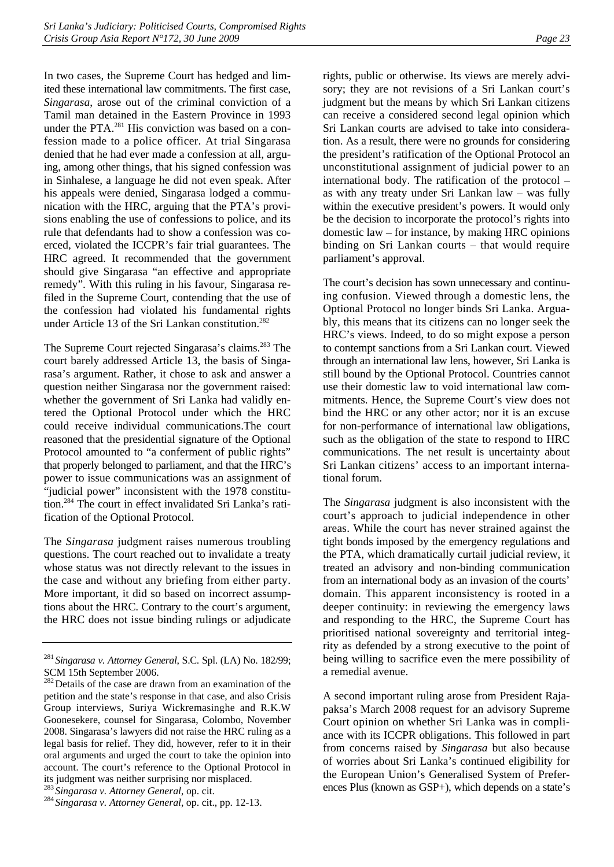In two cases, the Supreme Court has hedged and limited these international law commitments. The first case, *Singarasa*, arose out of the criminal conviction of a Tamil man detained in the Eastern Province in 1993 under the PTA.<sup>281</sup> His conviction was based on a confession made to a police officer. At trial Singarasa denied that he had ever made a confession at all, arguing, among other things, that his signed confession was in Sinhalese, a language he did not even speak. After his appeals were denied, Singarasa lodged a communication with the HRC, arguing that the PTA's provisions enabling the use of confessions to police, and its rule that defendants had to show a confession was coerced, violated the ICCPR's fair trial guarantees. The HRC agreed. It recommended that the government should give Singarasa "an effective and appropriate remedy". With this ruling in his favour, Singarasa refiled in the Supreme Court, contending that the use of the confession had violated his fundamental rights under Article 13 of the Sri Lankan constitution.<sup>282</sup>

The Supreme Court rejected Singarasa's claims.<sup>283</sup> The court barely addressed Article 13, the basis of Singarasa's argument. Rather, it chose to ask and answer a question neither Singarasa nor the government raised: whether the government of Sri Lanka had validly entered the Optional Protocol under which the HRC could receive individual communications.The court reasoned that the presidential signature of the Optional Protocol amounted to "a conferment of public rights" that properly belonged to parliament, and that the HRC's power to issue communications was an assignment of "judicial power" inconsistent with the 1978 constitution.284 The court in effect invalidated Sri Lanka's ratification of the Optional Protocol.

The *Singarasa* judgment raises numerous troubling questions. The court reached out to invalidate a treaty whose status was not directly relevant to the issues in the case and without any briefing from either party. More important, it did so based on incorrect assumptions about the HRC. Contrary to the court's argument, the HRC does not issue binding rulings or adjudicate

rights, public or otherwise. Its views are merely advisory; they are not revisions of a Sri Lankan court's judgment but the means by which Sri Lankan citizens can receive a considered second legal opinion which Sri Lankan courts are advised to take into consideration. As a result, there were no grounds for considering the president's ratification of the Optional Protocol an unconstitutional assignment of judicial power to an international body. The ratification of the protocol – as with any treaty under Sri Lankan law – was fully within the executive president's powers. It would only be the decision to incorporate the protocol's rights into domestic law – for instance, by making HRC opinions binding on Sri Lankan courts – that would require parliament's approval.

The court's decision has sown unnecessary and continuing confusion. Viewed through a domestic lens, the Optional Protocol no longer binds Sri Lanka. Arguably, this means that its citizens can no longer seek the HRC's views. Indeed, to do so might expose a person to contempt sanctions from a Sri Lankan court. Viewed through an international law lens, however, Sri Lanka is still bound by the Optional Protocol. Countries cannot use their domestic law to void international law commitments. Hence, the Supreme Court's view does not bind the HRC or any other actor; nor it is an excuse for non-performance of international law obligations, such as the obligation of the state to respond to HRC communications. The net result is uncertainty about Sri Lankan citizens' access to an important international forum.

The *Singarasa* judgment is also inconsistent with the court's approach to judicial independence in other areas. While the court has never strained against the tight bonds imposed by the emergency regulations and the PTA, which dramatically curtail judicial review, it treated an advisory and non-binding communication from an international body as an invasion of the courts' domain. This apparent inconsistency is rooted in a deeper continuity: in reviewing the emergency laws and responding to the HRC, the Supreme Court has prioritised national sovereignty and territorial integrity as defended by a strong executive to the point of being willing to sacrifice even the mere possibility of a remedial avenue.

A second important ruling arose from President Rajapaksa's March 2008 request for an advisory Supreme Court opinion on whether Sri Lanka was in compliance with its ICCPR obligations. This followed in part from concerns raised by *Singarasa* but also because of worries about Sri Lanka's continued eligibility for the European Union's Generalised System of Preferences Plus (known as GSP+), which depends on a state's

<sup>281</sup> *Singarasa v. Attorney General*, S.C. Spl. (LA) No. 182/99; SCM 15th September 2006.

<sup>&</sup>lt;sup>282</sup> Details of the case are drawn from an examination of the petition and the state's response in that case, and also Crisis Group interviews, Suriya Wickremasinghe and R.K.W Goonesekere, counsel for Singarasa, Colombo, November 2008. Singarasa's lawyers did not raise the HRC ruling as a legal basis for relief. They did, however, refer to it in their oral arguments and urged the court to take the opinion into account. The court's reference to the Optional Protocol in its judgment was neither surprising nor misplaced.<br><sup>283</sup> Singarasa v. Attorney General, op. cit.

<sup>&</sup>lt;sup>284</sup> Singarasa v. Attorney General, op. cit., pp. 12-13.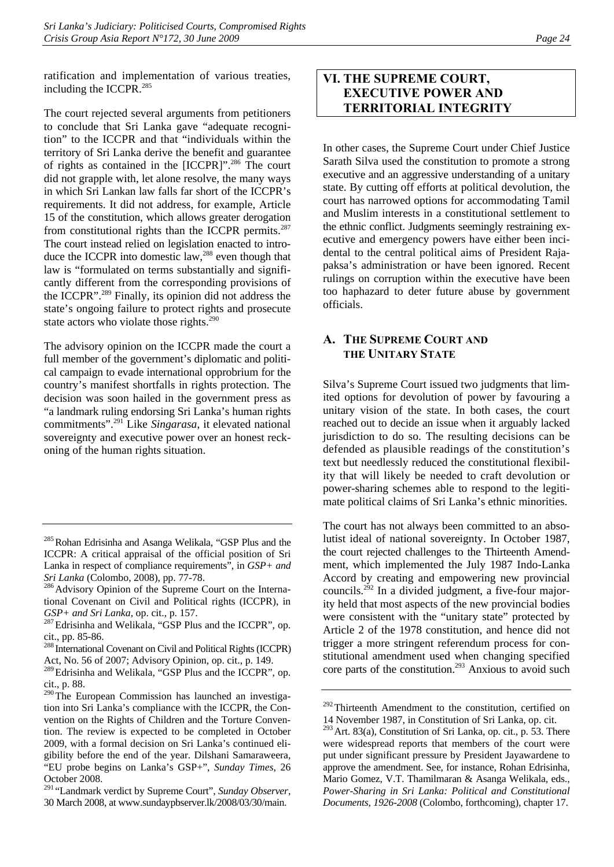ratification and implementation of various treaties, including the ICCPR.<sup>285</sup>

The court rejected several arguments from petitioners to conclude that Sri Lanka gave "adequate recognition" to the ICCPR and that "individuals within the territory of Sri Lanka derive the benefit and guarantee of rights as contained in the [ICCPR]".286 The court did not grapple with, let alone resolve, the many ways in which Sri Lankan law falls far short of the ICCPR's requirements. It did not address, for example, Article 15 of the constitution, which allows greater derogation from constitutional rights than the ICCPR permits. $287$ The court instead relied on legislation enacted to introduce the ICCPR into domestic law,<sup>288</sup> even though that law is "formulated on terms substantially and significantly different from the corresponding provisions of the ICCPR".289 Finally, its opinion did not address the state's ongoing failure to protect rights and prosecute state actors who violate those rights.<sup>290</sup>

The advisory opinion on the ICCPR made the court a full member of the government's diplomatic and political campaign to evade international opprobrium for the country's manifest shortfalls in rights protection. The decision was soon hailed in the government press as "a landmark ruling endorsing Sri Lanka's human rights commitments".291 Like *Singarasa*, it elevated national sovereignty and executive power over an honest reckoning of the human rights situation.

# **VI. THE SUPREME COURT, EXECUTIVE POWER AND TERRITORIAL INTEGRITY**

In other cases, the Supreme Court under Chief Justice Sarath Silva used the constitution to promote a strong executive and an aggressive understanding of a unitary state. By cutting off efforts at political devolution, the court has narrowed options for accommodating Tamil and Muslim interests in a constitutional settlement to the ethnic conflict. Judgments seemingly restraining executive and emergency powers have either been incidental to the central political aims of President Rajapaksa's administration or have been ignored. Recent rulings on corruption within the executive have been too haphazard to deter future abuse by government officials.

## **A. THE SUPREME COURT AND THE UNITARY STATE**

Silva's Supreme Court issued two judgments that limited options for devolution of power by favouring a unitary vision of the state. In both cases, the court reached out to decide an issue when it arguably lacked jurisdiction to do so. The resulting decisions can be defended as plausible readings of the constitution's text but needlessly reduced the constitutional flexibility that will likely be needed to craft devolution or power-sharing schemes able to respond to the legitimate political claims of Sri Lanka's ethnic minorities.

The court has not always been committed to an absolutist ideal of national sovereignty. In October 1987, the court rejected challenges to the Thirteenth Amendment, which implemented the July 1987 Indo-Lanka Accord by creating and empowering new provincial councils.292 In a divided judgment, a five-four majority held that most aspects of the new provincial bodies were consistent with the "unitary state" protected by Article 2 of the 1978 constitution, and hence did not trigger a more stringent referendum process for constitutional amendment used when changing specified core parts of the constitution.<sup>293</sup> Anxious to avoid such

<sup>&</sup>lt;sup>285</sup> Rohan Edrisinha and Asanga Welikala, "GSP Plus and the ICCPR: A critical appraisal of the official position of Sri Lanka in respect of compliance requirements", in *GSP+ and* 

*Sri Lanka* (Colombo, 2008), pp. 77-78.<br><sup>286</sup> Advisory Opinion of the Supreme Court on the International Covenant on Civil and Political rights (ICCPR), in *GSP+ and Sri Lanka*, op. cit., p. 157.<br><sup>287</sup>Edrisinha and Welikala, "GSP Plus and the ICCPR", op.

cit., pp. 85-86.

<sup>288</sup> International Covenant on Civil and Political Rights (ICCPR) Act, No. 56 of 2007; Advisory Opinion, op. cit., p. 149.

<sup>&</sup>lt;sup>289</sup>Edrisinha and Welikala, "GSP Plus and the ICCPR", op. cit., p. 88.

 $290$ <sup>The European Commission has launched an investiga-</sup> tion into Sri Lanka's compliance with the ICCPR, the Convention on the Rights of Children and the Torture Convention. The review is expected to be completed in October 2009, with a formal decision on Sri Lanka's continued eligibility before the end of the year. Dilshani Samaraweera, "EU probe begins on Lanka's GSP+", *Sunday Times*, 26 October 2008.

<sup>291</sup> "Landmark verdict by Supreme Court", *Sunday Observer*, 30 March 2008, at www.sundaypbserver.lk/2008/03/30/main.

<sup>&</sup>lt;sup>292</sup>Thirteenth Amendment to the constitution, certified on 14 November 1987, in Constitution of Sri Lanka, op. cit.

<sup>293</sup>Art. 83(a), Constitution of Sri Lanka, op. cit., p. 53. There were widespread reports that members of the court were put under significant pressure by President Jayawardene to approve the amendment. See, for instance, Rohan Edrisinha, Mario Gomez, V.T. Thamilmaran & Asanga Welikala, eds., *Power-Sharing in Sri Lanka: Political and Constitutional Documents, 1926-2008* (Colombo, forthcoming), chapter 17.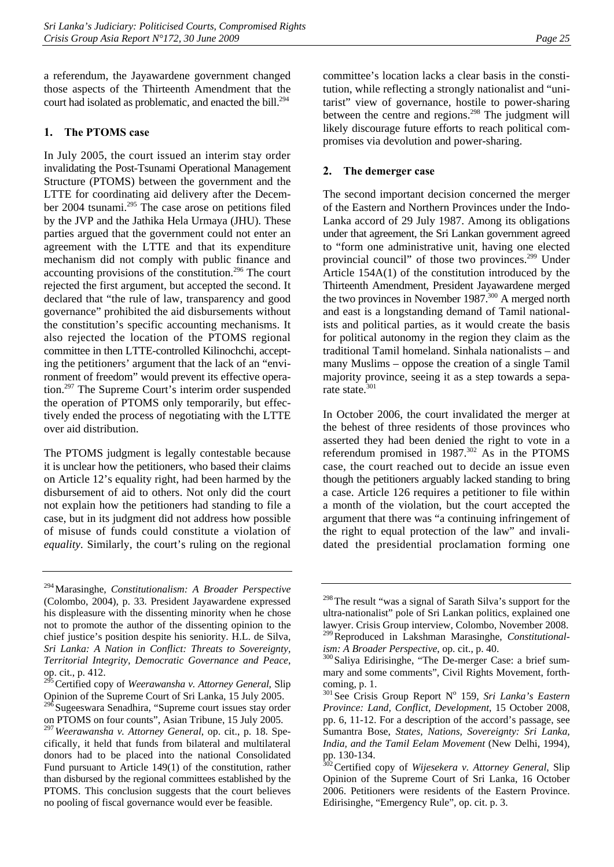a referendum, the Jayawardene government changed those aspects of the Thirteenth Amendment that the court had isolated as problematic, and enacted the bill.<sup>294</sup>

## **1. The PTOMS case**

In July 2005, the court issued an interim stay order invalidating the Post-Tsunami Operational Management Structure (PTOMS) between the government and the LTTE for coordinating aid delivery after the December 2004 tsunami.295 The case arose on petitions filed by the JVP and the Jathika Hela Urmaya (JHU). These parties argued that the government could not enter an agreement with the LTTE and that its expenditure mechanism did not comply with public finance and accounting provisions of the constitution.<sup>296</sup> The court rejected the first argument, but accepted the second. It declared that "the rule of law, transparency and good governance" prohibited the aid disbursements without the constitution's specific accounting mechanisms. It also rejected the location of the PTOMS regional committee in then LTTE-controlled Kilinochchi, accepting the petitioners' argument that the lack of an "environment of freedom" would prevent its effective operation.297 The Supreme Court's interim order suspended the operation of PTOMS only temporarily, but effectively ended the process of negotiating with the LTTE over aid distribution.

The PTOMS judgment is legally contestable because it is unclear how the petitioners, who based their claims on Article 12's equality right, had been harmed by the disbursement of aid to others. Not only did the court not explain how the petitioners had standing to file a case, but in its judgment did not address how possible of misuse of funds could constitute a violation of *equality*. Similarly, the court's ruling on the regional

committee's location lacks a clear basis in the constitution, while reflecting a strongly nationalist and "unitarist" view of governance, hostile to power-sharing between the centre and regions.<sup>298</sup> The judgment will likely discourage future efforts to reach political compromises via devolution and power-sharing.

## **2. The demerger case**

The second important decision concerned the merger of the Eastern and Northern Provinces under the Indo-Lanka accord of 29 July 1987. Among its obligations under that agreement, the Sri Lankan government agreed to "form one administrative unit, having one elected provincial council" of those two provinces.299 Under Article 154A(1) of the constitution introduced by the Thirteenth Amendment, President Jayawardene merged the two provinces in November  $1987$ <sup>300</sup> A merged north and east is a longstanding demand of Tamil nationalists and political parties, as it would create the basis for political autonomy in the region they claim as the traditional Tamil homeland. Sinhala nationalists – and many Muslims – oppose the creation of a single Tamil majority province, seeing it as a step towards a separate state.<sup>301</sup>

In October 2006, the court invalidated the merger at the behest of three residents of those provinces who asserted they had been denied the right to vote in a referendum promised in 1987.<sup>302</sup> As in the PTOMS case, the court reached out to decide an issue even though the petitioners arguably lacked standing to bring a case. Article 126 requires a petitioner to file within a month of the violation, but the court accepted the argument that there was "a continuing infringement of the right to equal protection of the law" and invalidated the presidential proclamation forming one

<sup>294</sup>Marasinghe, *Constitutionalism: A Broader Perspective* (Colombo, 2004), p. 33. President Jayawardene expressed his displeasure with the dissenting minority when he chose not to promote the author of the dissenting opinion to the chief justice's position despite his seniority. H.L. de Silva, *Sri Lanka: A Nation in Conflict: Threats to Sovereignty, Territorial Integrity, Democratic Governance and Peace*, op. cit., p. 412.

<sup>&</sup>lt;sup>295</sup> Certified copy of *Weerawansha v. Attorney General*, Slip Opinion of the Supreme Court of Sri Lanka, 15 July 2005.

 $296$  Sugeeswara Senadhira, "Supreme court issues stay order on PTOMS on four counts", Asian Tribune, 15 July 2005.

<sup>297</sup>*Weerawansha v. Attorney General*, op. cit., p. 18. Specifically, it held that funds from bilateral and multilateral donors had to be placed into the national Consolidated Fund pursuant to Article 149(1) of the constitution, rather than disbursed by the regional committees established by the PTOMS. This conclusion suggests that the court believes no pooling of fiscal governance would ever be feasible.

<sup>&</sup>lt;sup>298</sup>The result "was a signal of Sarath Silva's support for the ultra-nationalist" pole of Sri Lankan politics, explained one lawyer. Crisis Group interview, Colombo, November 2008. 299Reproduced in Lakshman Marasinghe, *Constitutional-*

*ism: A Broader Perspective*, op. cit., p. 40.<br><sup>300</sup> Saliya Edirisinghe, "The De-merger Case: a brief sum-

mary and some comments", Civil Rights Movement, forthcoming, p. 1.

<sup>&</sup>lt;sup>301</sup> See Crisis Group Report Nº 159, *Sri Lanka's Eastern Province: Land, Conflict, Development*, 15 October 2008, pp. 6, 11-12. For a description of the accord's passage, see Sumantra Bose, *States, Nations, Sovereignty: Sri Lanka, India, and the Tamil Eelam Movement* (New Delhi, 1994), pp. 130-134.

<sup>302</sup>Certified copy of *Wijesekera v. Attorney General*, Slip Opinion of the Supreme Court of Sri Lanka, 16 October 2006. Petitioners were residents of the Eastern Province. Edirisinghe, "Emergency Rule", op. cit. p. 3.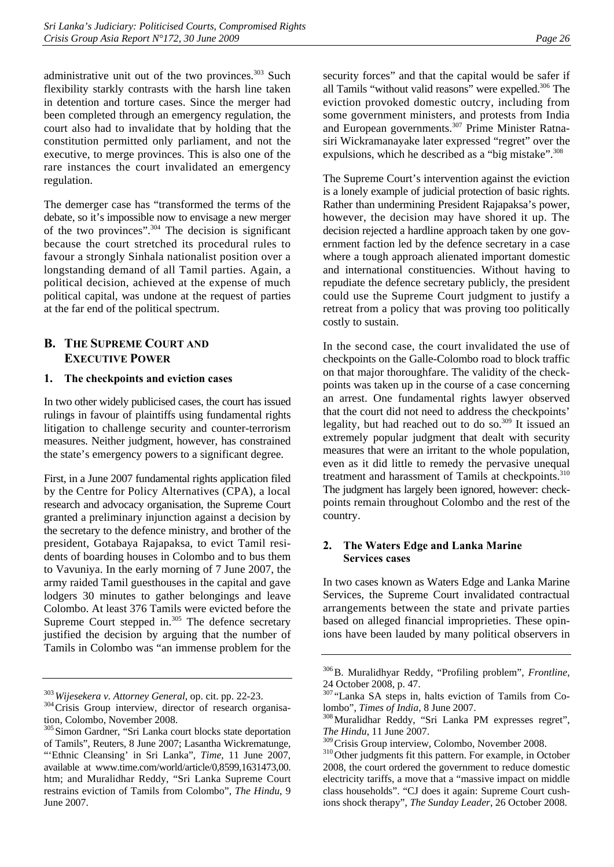administrative unit out of the two provinces.<sup>303</sup> Such flexibility starkly contrasts with the harsh line taken in detention and torture cases. Since the merger had been completed through an emergency regulation, the court also had to invalidate that by holding that the constitution permitted only parliament, and not the executive, to merge provinces. This is also one of the rare instances the court invalidated an emergency regulation.

The demerger case has "transformed the terms of the debate, so it's impossible now to envisage a new merger of the two provinces". $304$  The decision is significant because the court stretched its procedural rules to favour a strongly Sinhala nationalist position over a longstanding demand of all Tamil parties. Again, a political decision, achieved at the expense of much political capital, was undone at the request of parties at the far end of the political spectrum.

## **B. THE SUPREME COURT AND EXECUTIVE POWER**

## **1. The checkpoints and eviction cases**

In two other widely publicised cases, the court has issued rulings in favour of plaintiffs using fundamental rights litigation to challenge security and counter-terrorism measures. Neither judgment, however, has constrained the state's emergency powers to a significant degree.

First, in a June 2007 fundamental rights application filed by the Centre for Policy Alternatives (CPA), a local research and advocacy organisation, the Supreme Court granted a preliminary injunction against a decision by the secretary to the defence ministry, and brother of the president, Gotabaya Rajapaksa, to evict Tamil residents of boarding houses in Colombo and to bus them to Vavuniya. In the early morning of 7 June 2007, the army raided Tamil guesthouses in the capital and gave lodgers 30 minutes to gather belongings and leave Colombo. At least 376 Tamils were evicted before the Supreme Court stepped in. $305$  The defence secretary justified the decision by arguing that the number of Tamils in Colombo was "an immense problem for the

security forces" and that the capital would be safer if all Tamils "without valid reasons" were expelled.<sup>306</sup> The eviction provoked domestic outcry, including from some government ministers, and protests from India and European governments.<sup>307</sup> Prime Minister Ratnasiri Wickramanayake later expressed "regret" over the expulsions, which he described as a "big mistake".<sup>308</sup>

The Supreme Court's intervention against the eviction is a lonely example of judicial protection of basic rights. Rather than undermining President Rajapaksa's power, however, the decision may have shored it up. The decision rejected a hardline approach taken by one government faction led by the defence secretary in a case where a tough approach alienated important domestic and international constituencies. Without having to repudiate the defence secretary publicly, the president could use the Supreme Court judgment to justify a retreat from a policy that was proving too politically costly to sustain.

In the second case, the court invalidated the use of checkpoints on the Galle-Colombo road to block traffic on that major thoroughfare. The validity of the checkpoints was taken up in the course of a case concerning an arrest. One fundamental rights lawyer observed that the court did not need to address the checkpoints' legality, but had reached out to do so.<sup>309</sup> It issued an extremely popular judgment that dealt with security measures that were an irritant to the whole population, even as it did little to remedy the pervasive unequal treatment and harassment of Tamils at checkpoints.<sup>310</sup> The judgment has largely been ignored, however: checkpoints remain throughout Colombo and the rest of the country.

## **2. The Waters Edge and Lanka Marine Services cases**

In two cases known as Waters Edge and Lanka Marine Services, the Supreme Court invalidated contractual arrangements between the state and private parties based on alleged financial improprieties. These opinions have been lauded by many political observers in

<sup>&</sup>lt;sup>303</sup>*Wijesekera v. Attorney General*, op. cit. pp. 22-23.<br><sup>304</sup>Crisis Group interview, director of research organisation, Colombo, November 2008.

<sup>&</sup>lt;sup>305</sup> Simon Gardner, "Sri Lanka court blocks state deportation of Tamils", Reuters, 8 June 2007; Lasantha Wickrematunge, "'Ethnic Cleansing' in Sri Lanka", *Time*, 11 June 2007, available at www.time.com/world/article/0,8599,1631473,00. htm; and Muralidhar Reddy, "Sri Lanka Supreme Court restrains eviction of Tamils from Colombo", *The Hindu*, 9 June 2007.

<sup>306</sup>B. Muralidhyar Reddy, "Profiling problem", *Frontline*, 24 October 2008, p. 47.

<sup>307</sup> "Lanka SA steps in, halts eviction of Tamils from Co-

lombo", *Times of India*, 8 June 2007.<br><sup>308</sup>Muralidhar Reddy, "Sri Lanka PM expresses regret",

*The Hindu*, 11 June 2007.

<sup>&</sup>lt;sup>310</sup>Other judgments fit this pattern. For example, in October 2008, the court ordered the government to reduce domestic electricity tariffs, a move that a "massive impact on middle class households". "CJ does it again: Supreme Court cushions shock therapy", *The Sunday Leader*, 26 October 2008.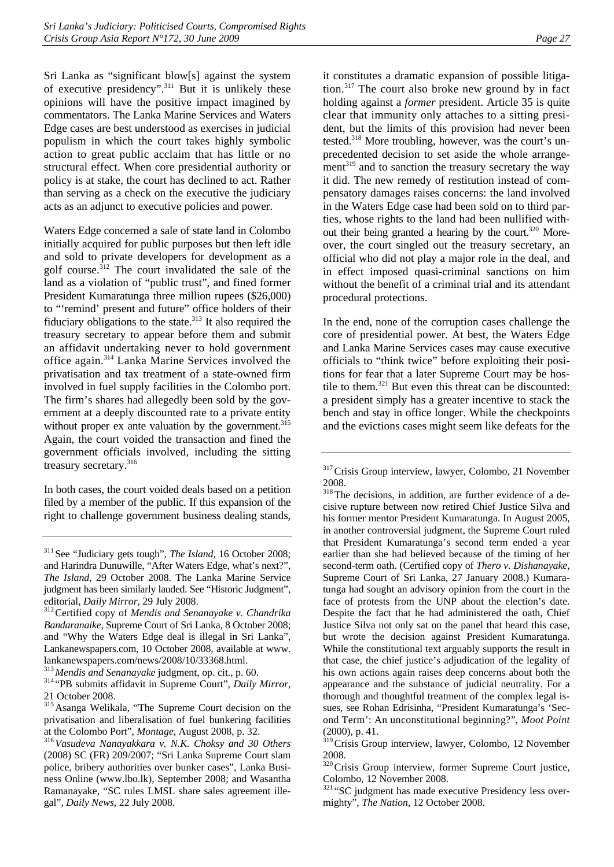Sri Lanka as "significant blow[s] against the system of executive presidency".<sup>311</sup> But it is unlikely these opinions will have the positive impact imagined by commentators. The Lanka Marine Services and Waters Edge cases are best understood as exercises in judicial populism in which the court takes highly symbolic action to great public acclaim that has little or no structural effect. When core presidential authority or policy is at stake, the court has declined to act. Rather than serving as a check on the executive the judiciary acts as an adjunct to executive policies and power.

Waters Edge concerned a sale of state land in Colombo initially acquired for public purposes but then left idle and sold to private developers for development as a golf course. $312$  The court invalidated the sale of the land as a violation of "public trust", and fined former President Kumaratunga three million rupees (\$26,000) to "'remind' present and future" office holders of their fiduciary obligations to the state.313 It also required the treasury secretary to appear before them and submit an affidavit undertaking never to hold government office again.314 Lanka Marine Services involved the privatisation and tax treatment of a state-owned firm involved in fuel supply facilities in the Colombo port. The firm's shares had allegedly been sold by the government at a deeply discounted rate to a private entity without proper  $ex$  ante valuation by the government.<sup>315</sup> Again, the court voided the transaction and fined the government officials involved, including the sitting treasury secretary.316

In both cases, the court voided deals based on a petition filed by a member of the public. If this expansion of the right to challenge government business dealing stands,

it constitutes a dramatic expansion of possible litigation.317 The court also broke new ground by in fact holding against a *former* president. Article 35 is quite clear that immunity only attaches to a sitting president, but the limits of this provision had never been tested.318 More troubling, however, was the court's unprecedented decision to set aside the whole arrangement $319$  and to sanction the treasury secretary the way it did. The new remedy of restitution instead of compensatory damages raises concerns: the land involved in the Waters Edge case had been sold on to third parties, whose rights to the land had been nullified without their being granted a hearing by the court. $320$  Moreover, the court singled out the treasury secretary, an official who did not play a major role in the deal, and in effect imposed quasi-criminal sanctions on him without the benefit of a criminal trial and its attendant procedural protections.

In the end, none of the corruption cases challenge the core of presidential power. At best, the Waters Edge and Lanka Marine Services cases may cause executive officials to "think twice" before exploiting their positions for fear that a later Supreme Court may be hostile to them.<sup>321</sup> But even this threat can be discounted: a president simply has a greater incentive to stack the bench and stay in office longer. While the checkpoints and the evictions cases might seem like defeats for the

<sup>&</sup>lt;sup>311</sup> See "Judiciary gets tough", *The Island*, 16 October 2008; and Harindra Dunuwille, "After Waters Edge, what's next?", *The Island*, 29 October 2008. The Lanka Marine Service judgment has been similarly lauded. See "Historic Judgment", editorial, *Daily Mirror*, 29 July 2008.<br><sup>312</sup> Certified copy of *Mendis and Senanayake v. Chandrika* 

*Bandaranaike*, Supreme Court of Sri Lanka, 8 October 2008; and "Why the Waters Edge deal is illegal in Sri Lanka", Lankanewspapers.com, 10 October 2008, available at www. lankanewspapers.com/news/2008/10/33368.html.<br><sup>313</sup> Mendis and Senanayake judgment, op. cit., p. 60.

<sup>&</sup>lt;sup>314</sup>"PB submits affidavit in Supreme Court", *Daily Mirror*, 21 October 2008.

<sup>315</sup>Asanga Welikala, "The Supreme Court decision on the privatisation and liberalisation of fuel bunkering facilities at the Colombo Port", *Montage*, August 2008, p. 32. 316*Vasudeva Nanayakkara v. N.K. Choksy and 30 Others*

<sup>(2008)</sup> SC (FR) 209/2007; "Sri Lanka Supreme Court slam police, bribery authorities over bunker cases", Lanka Business Online (www.lbo.lk), September 2008; and Wasantha Ramanayake, "SC rules LMSL share sales agreement illegal", *Daily News*, 22 July 2008.

<sup>&</sup>lt;sup>317</sup>Crisis Group interview, lawyer, Colombo, 21 November 2008.

<sup>&</sup>lt;sup>318</sup>The decisions, in addition, are further evidence of a decisive rupture between now retired Chief Justice Silva and his former mentor President Kumaratunga. In August 2005, in another controversial judgment, the Supreme Court ruled that President Kumaratunga's second term ended a year earlier than she had believed because of the timing of her second-term oath. (Certified copy of *Thero v. Dishanayake*, Supreme Court of Sri Lanka, 27 January 2008.) Kumaratunga had sought an advisory opinion from the court in the face of protests from the UNP about the election's date. Despite the fact that he had administered the oath, Chief Justice Silva not only sat on the panel that heard this case, but wrote the decision against President Kumaratunga. While the constitutional text arguably supports the result in that case, the chief justice's adjudication of the legality of his own actions again raises deep concerns about both the appearance and the substance of judicial neutrality. For a thorough and thoughtful treatment of the complex legal issues, see Rohan Edrisinha, "President Kumaratunga's 'Second Term': An unconstitutional beginning?", *Moot Point* (2000), p. 41.

<sup>&</sup>lt;sup>319</sup> Crisis Group interview, lawyer, Colombo, 12 November 2008.

<sup>320</sup>Crisis Group interview, former Supreme Court justice, Colombo, 12 November 2008.

<sup>&</sup>lt;sup>321</sup> "SC judgment has made executive Presidency less overmighty", *The Nation*, 12 October 2008.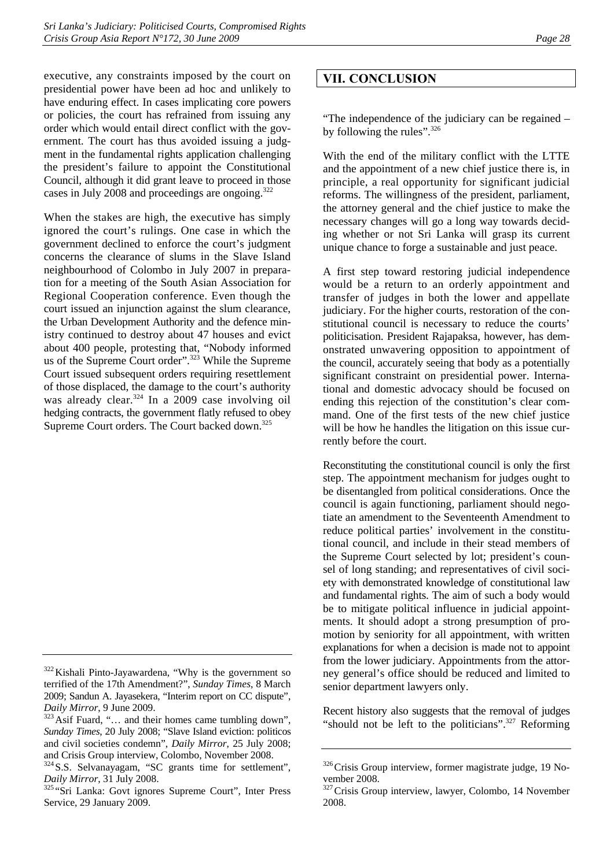executive, any constraints imposed by the court on presidential power have been ad hoc and unlikely to have enduring effect. In cases implicating core powers or policies, the court has refrained from issuing any order which would entail direct conflict with the government. The court has thus avoided issuing a judgment in the fundamental rights application challenging the president's failure to appoint the Constitutional Council, although it did grant leave to proceed in those cases in July 2008 and proceedings are ongoing.<sup>322</sup>

When the stakes are high, the executive has simply ignored the court's rulings. One case in which the government declined to enforce the court's judgment concerns the clearance of slums in the Slave Island neighbourhood of Colombo in July 2007 in preparation for a meeting of the South Asian Association for Regional Cooperation conference. Even though the court issued an injunction against the slum clearance, the Urban Development Authority and the defence ministry continued to destroy about 47 houses and evict about 400 people, protesting that, "Nobody informed us of the Supreme Court order".<sup>323</sup> While the Supreme Court issued subsequent orders requiring resettlement of those displaced, the damage to the court's authority was already clear.<sup>324</sup> In a 2009 case involving oil hedging contracts, the government flatly refused to obey Supreme Court orders. The Court backed down.<sup>325</sup>

# **VII. CONCLUSION**

"The independence of the judiciary can be regained – by following the rules".<sup>326</sup>

With the end of the military conflict with the LTTE and the appointment of a new chief justice there is, in principle, a real opportunity for significant judicial reforms. The willingness of the president, parliament, the attorney general and the chief justice to make the necessary changes will go a long way towards deciding whether or not Sri Lanka will grasp its current unique chance to forge a sustainable and just peace.

A first step toward restoring judicial independence would be a return to an orderly appointment and transfer of judges in both the lower and appellate judiciary. For the higher courts, restoration of the constitutional council is necessary to reduce the courts' politicisation. President Rajapaksa, however, has demonstrated unwavering opposition to appointment of the council, accurately seeing that body as a potentially significant constraint on presidential power. International and domestic advocacy should be focused on ending this rejection of the constitution's clear command. One of the first tests of the new chief justice will be how he handles the litigation on this issue currently before the court.

Reconstituting the constitutional council is only the first step. The appointment mechanism for judges ought to be disentangled from political considerations. Once the council is again functioning, parliament should negotiate an amendment to the Seventeenth Amendment to reduce political parties' involvement in the constitutional council, and include in their stead members of the Supreme Court selected by lot; president's counsel of long standing; and representatives of civil society with demonstrated knowledge of constitutional law and fundamental rights. The aim of such a body would be to mitigate political influence in judicial appointments. It should adopt a strong presumption of promotion by seniority for all appointment, with written explanations for when a decision is made not to appoint from the lower judiciary. Appointments from the attorney general's office should be reduced and limited to senior department lawyers only.

Recent history also suggests that the removal of judges "should not be left to the politicians".<sup>327</sup> Reforming

<sup>&</sup>lt;sup>322</sup> Kishali Pinto-Jayawardena, "Why is the government so terrified of the 17th Amendment?", *Sunday Times*, 8 March 2009; Sandun A. Jayasekera, "Interim report on CC dispute",

*Daily Mirror*, 9 June 2009.<br><sup>323</sup> Asif Fuard, "... and their homes came tumbling down", *Sunday Times*, 20 July 2008; "Slave Island eviction: politicos and civil societies condemn", *Daily Mirror*, 25 July 2008; and Crisis Group interview, Colombo, November 2008.

<sup>&</sup>lt;sup>324</sup> S.S. Selvanayagam, "SC grants time for settlement",

*Daily Mirror*, 31 July 2008.<br><sup>325</sup> "Sri Lanka: Govt ignores Supreme Court", Inter Press Service, 29 January 2009.

 $326$  Crisis Group interview, former magistrate judge, 19 November 2008.

<sup>327</sup>Crisis Group interview, lawyer, Colombo, 14 November 2008.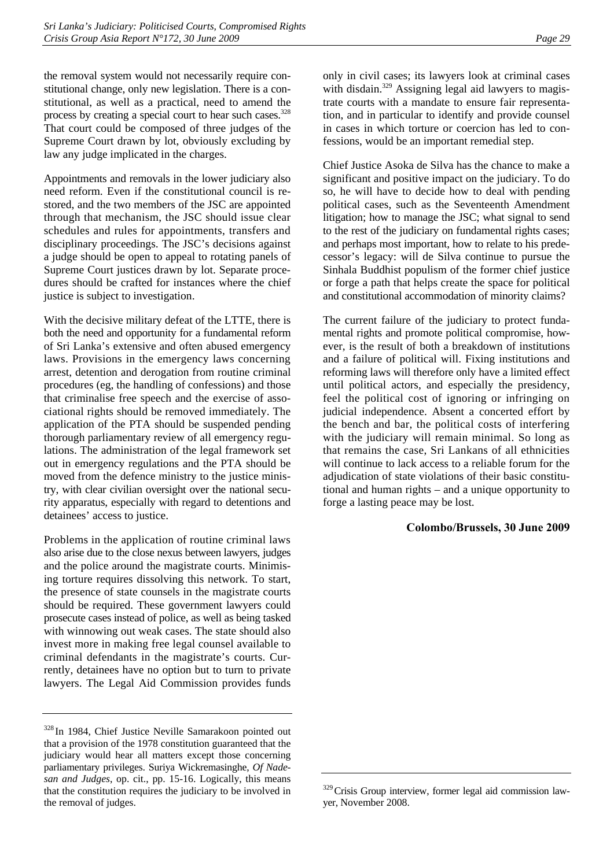the removal system would not necessarily require constitutional change, only new legislation. There is a constitutional, as well as a practical, need to amend the process by creating a special court to hear such cases.<sup>328</sup> That court could be composed of three judges of the Supreme Court drawn by lot, obviously excluding by law any judge implicated in the charges.

Appointments and removals in the lower judiciary also need reform. Even if the constitutional council is restored, and the two members of the JSC are appointed through that mechanism, the JSC should issue clear schedules and rules for appointments, transfers and disciplinary proceedings. The JSC's decisions against a judge should be open to appeal to rotating panels of Supreme Court justices drawn by lot. Separate procedures should be crafted for instances where the chief justice is subject to investigation.

With the decisive military defeat of the LTTE, there is both the need and opportunity for a fundamental reform of Sri Lanka's extensive and often abused emergency laws. Provisions in the emergency laws concerning arrest, detention and derogation from routine criminal procedures (eg, the handling of confessions) and those that criminalise free speech and the exercise of associational rights should be removed immediately. The application of the PTA should be suspended pending thorough parliamentary review of all emergency regulations. The administration of the legal framework set out in emergency regulations and the PTA should be moved from the defence ministry to the justice ministry, with clear civilian oversight over the national security apparatus, especially with regard to detentions and detainees' access to justice.

Problems in the application of routine criminal laws also arise due to the close nexus between lawyers, judges and the police around the magistrate courts. Minimising torture requires dissolving this network. To start, the presence of state counsels in the magistrate courts should be required. These government lawyers could prosecute cases instead of police, as well as being tasked with winnowing out weak cases. The state should also invest more in making free legal counsel available to criminal defendants in the magistrate's courts. Currently, detainees have no option but to turn to private lawyers. The Legal Aid Commission provides funds

only in civil cases; its lawyers look at criminal cases with disdain.<sup>329</sup> Assigning legal aid lawyers to magistrate courts with a mandate to ensure fair representation, and in particular to identify and provide counsel in cases in which torture or coercion has led to confessions, would be an important remedial step.

Chief Justice Asoka de Silva has the chance to make a significant and positive impact on the judiciary. To do so, he will have to decide how to deal with pending political cases, such as the Seventeenth Amendment litigation; how to manage the JSC; what signal to send to the rest of the judiciary on fundamental rights cases; and perhaps most important, how to relate to his predecessor's legacy: will de Silva continue to pursue the Sinhala Buddhist populism of the former chief justice or forge a path that helps create the space for political and constitutional accommodation of minority claims?

The current failure of the judiciary to protect fundamental rights and promote political compromise, however, is the result of both a breakdown of institutions and a failure of political will. Fixing institutions and reforming laws will therefore only have a limited effect until political actors, and especially the presidency, feel the political cost of ignoring or infringing on judicial independence. Absent a concerted effort by the bench and bar, the political costs of interfering with the judiciary will remain minimal. So long as that remains the case, Sri Lankans of all ethnicities will continue to lack access to a reliable forum for the adjudication of state violations of their basic constitutional and human rights – and a unique opportunity to forge a lasting peace may be lost.

## **Colombo/Brussels, 30 June 2009**

<sup>328</sup> In 1984, Chief Justice Neville Samarakoon pointed out that a provision of the 1978 constitution guaranteed that the judiciary would hear all matters except those concerning parliamentary privileges. Suriya Wickremasinghe, *Of Nadesan and Judges*, op. cit., pp. 15-16. Logically, this means that the constitution requires the judiciary to be involved in the removal of judges.

<sup>&</sup>lt;sup>329</sup> Crisis Group interview, former legal aid commission lawyer, November 2008.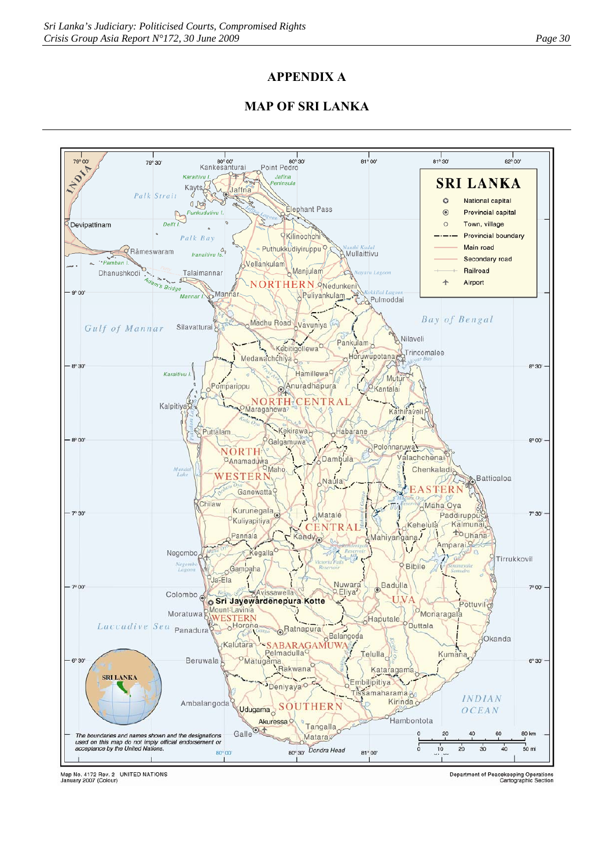# **APPENDIX A**

# **MAP OF SRI LANKA**



Map No. 4172 Rev. 2 UNITED NATIONS<br>January 2007 (Colour)

Department of Peacekeeping Operations<br>Cartographic Section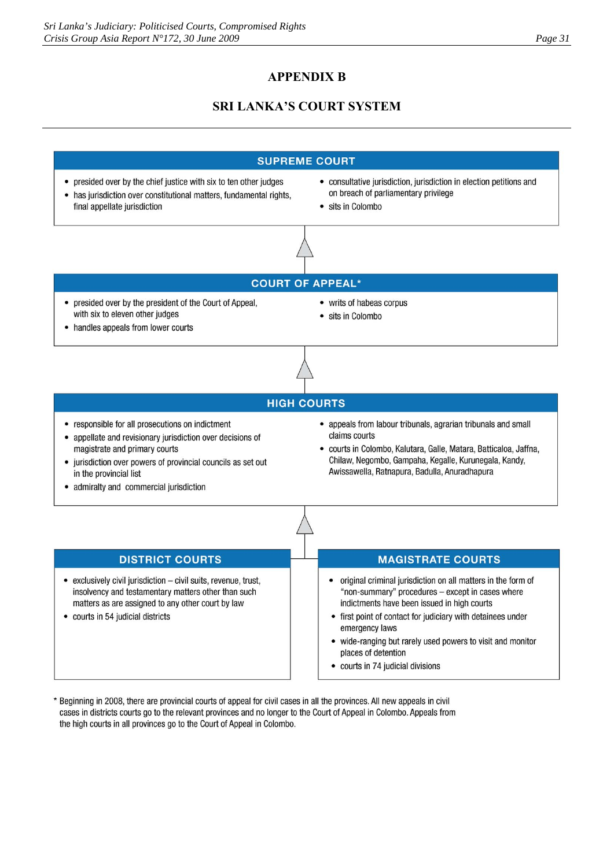# **APPENDIX B**

# **SRI LANKA'S COURT SYSTEM**



wide-ranging but rarely used powers to visit and monitor places of detention

- courts in 74 judicial divisions
- \* Beginning in 2008, there are provincial courts of appeal for civil cases in all the provinces. All new appeals in civil cases in districts courts go to the relevant provinces and no longer to the Court of Appeal in Colombo. Appeals from the high courts in all provinces go to the Court of Appeal in Colombo.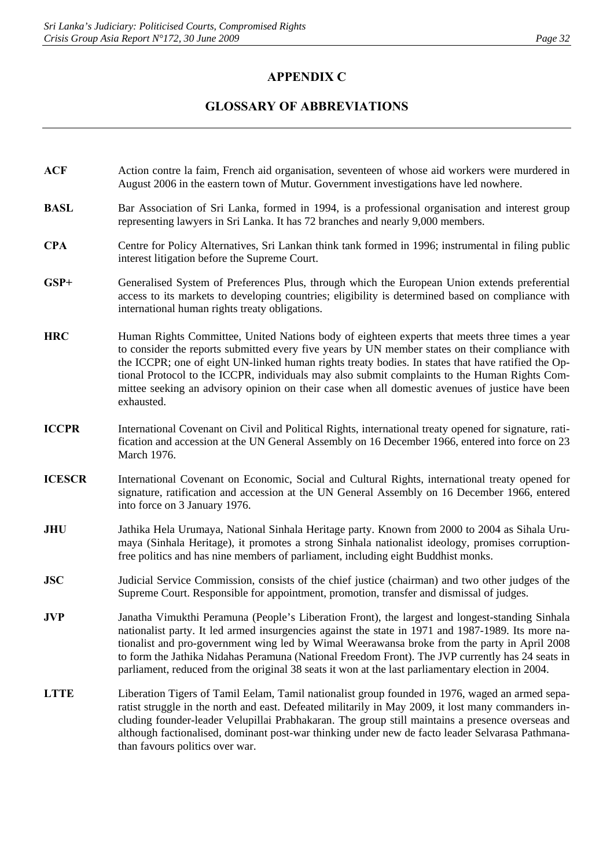# **APPENDIX C**

# **GLOSSARY OF ABBREVIATIONS**

- **ACF** Action contre la faim, French aid organisation, seventeen of whose aid workers were murdered in August 2006 in the eastern town of Mutur. Government investigations have led nowhere.
- **BASL** Bar Association of Sri Lanka, formed in 1994, is a professional organisation and interest group representing lawyers in Sri Lanka. It has 72 branches and nearly 9,000 members.
- **CPA** Centre for Policy Alternatives, Sri Lankan think tank formed in 1996; instrumental in filing public interest litigation before the Supreme Court.
- **GSP+** Generalised System of Preferences Plus, through which the European Union extends preferential access to its markets to developing countries; eligibility is determined based on compliance with international human rights treaty obligations.
- **HRC** Human Rights Committee, United Nations body of eighteen experts that meets three times a year to consider the reports submitted every five years by UN member states on their compliance with the ICCPR; one of eight UN-linked human rights treaty bodies. In states that have ratified the Optional Protocol to the ICCPR, individuals may also submit complaints to the Human Rights Committee seeking an advisory opinion on their case when all domestic avenues of justice have been exhausted.
- **ICCPR** International Covenant on Civil and Political Rights, international treaty opened for signature, ratification and accession at the UN General Assembly on 16 December 1966, entered into force on 23 March 1976.
- **ICESCR** International Covenant on Economic, Social and Cultural Rights, international treaty opened for signature, ratification and accession at the UN General Assembly on 16 December 1966, entered into force on 3 January 1976.
- **JHU** Jathika Hela Urumaya, National Sinhala Heritage party. Known from 2000 to 2004 as Sihala Urumaya (Sinhala Heritage), it promotes a strong Sinhala nationalist ideology, promises corruptionfree politics and has nine members of parliament, including eight Buddhist monks.
- **JSC** Judicial Service Commission, consists of the chief justice (chairman) and two other judges of the Supreme Court. Responsible for appointment, promotion, transfer and dismissal of judges.
- **JVP** Janatha Vimukthi Peramuna (People's Liberation Front), the largest and longest-standing Sinhala nationalist party. It led armed insurgencies against the state in 1971 and 1987-1989. Its more nationalist and pro-government wing led by Wimal Weerawansa broke from the party in April 2008 to form the Jathika Nidahas Peramuna (National Freedom Front). The JVP currently has 24 seats in parliament, reduced from the original 38 seats it won at the last parliamentary election in 2004.
- **LTTE** Liberation Tigers of Tamil Eelam, Tamil nationalist group founded in 1976, waged an armed separatist struggle in the north and east. Defeated militarily in May 2009, it lost many commanders including founder-leader Velupillai Prabhakaran. The group still maintains a presence overseas and although factionalised, dominant post-war thinking under new de facto leader Selvarasa Pathmanathan favours politics over war.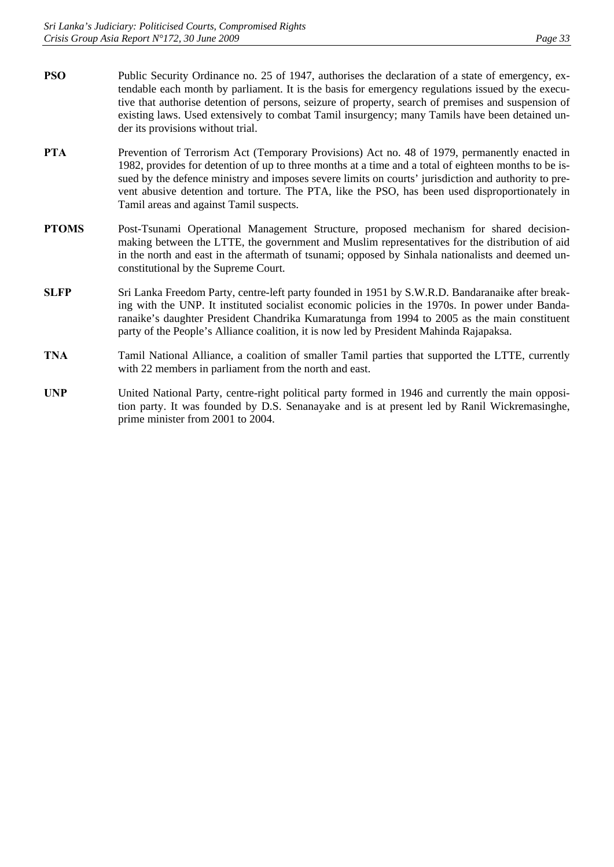- **PSO** Public Security Ordinance no. 25 of 1947, authorises the declaration of a state of emergency, extendable each month by parliament. It is the basis for emergency regulations issued by the executive that authorise detention of persons, seizure of property, search of premises and suspension of existing laws. Used extensively to combat Tamil insurgency; many Tamils have been detained under its provisions without trial.
- **PTA** Prevention of Terrorism Act (Temporary Provisions) Act no. 48 of 1979, permanently enacted in 1982, provides for detention of up to three months at a time and a total of eighteen months to be issued by the defence ministry and imposes severe limits on courts' jurisdiction and authority to prevent abusive detention and torture. The PTA, like the PSO, has been used disproportionately in Tamil areas and against Tamil suspects.
- PTOMS Post-Tsunami Operational Management Structure, proposed mechanism for shared decisionmaking between the LTTE, the government and Muslim representatives for the distribution of aid in the north and east in the aftermath of tsunami; opposed by Sinhala nationalists and deemed unconstitutional by the Supreme Court.
- **SLFP** Sri Lanka Freedom Party, centre-left party founded in 1951 by S.W.R.D. Bandaranaike after breaking with the UNP. It instituted socialist economic policies in the 1970s. In power under Bandaranaike's daughter President Chandrika Kumaratunga from 1994 to 2005 as the main constituent party of the People's Alliance coalition, it is now led by President Mahinda Rajapaksa.
- **TNA** Tamil National Alliance, a coalition of smaller Tamil parties that supported the LTTE, currently with 22 members in parliament from the north and east.
- UNP United National Party, centre-right political party formed in 1946 and currently the main opposition party. It was founded by D.S. Senanayake and is at present led by Ranil Wickremasinghe, prime minister from 2001 to 2004.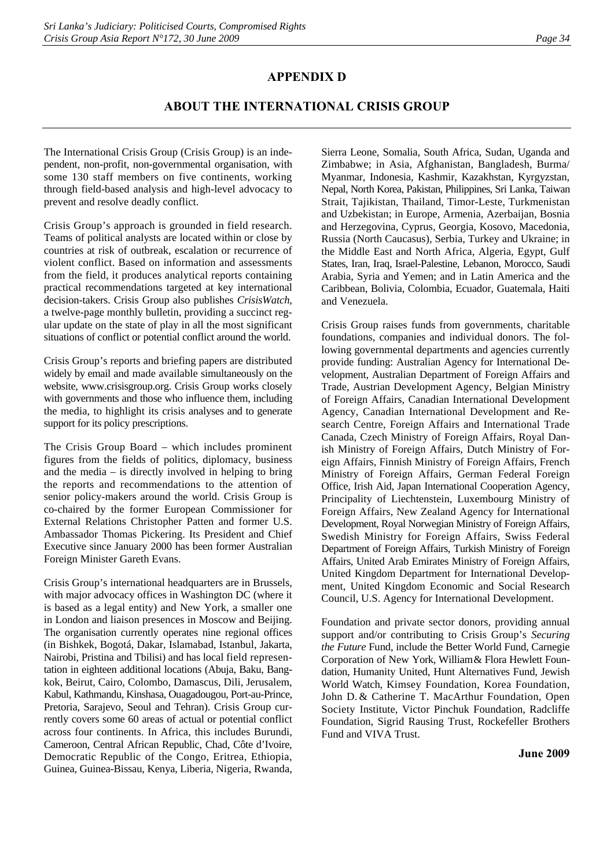## **APPENDIX D**

# **ABOUT THE INTERNATIONAL CRISIS GROUP**

The International Crisis Group (Crisis Group) is an independent, non-profit, non-governmental organisation, with some 130 staff members on five continents, working through field-based analysis and high-level advocacy to prevent and resolve deadly conflict.

Crisis Group's approach is grounded in field research. Teams of political analysts are located within or close by countries at risk of outbreak, escalation or recurrence of violent conflict. Based on information and assessments from the field, it produces analytical reports containing practical recommendations targeted at key international decision-takers. Crisis Group also publishes *CrisisWatch*, a twelve-page monthly bulletin, providing a succinct regular update on the state of play in all the most significant situations of conflict or potential conflict around the world.

Crisis Group's reports and briefing papers are distributed widely by email and made available simultaneously on the website, www.crisisgroup.org. Crisis Group works closely with governments and those who influence them, including the media, to highlight its crisis analyses and to generate support for its policy prescriptions.

The Crisis Group Board – which includes prominent figures from the fields of politics, diplomacy, business and the media – is directly involved in helping to bring the reports and recommendations to the attention of senior policy-makers around the world. Crisis Group is co-chaired by the former European Commissioner for External Relations Christopher Patten and former U.S. Ambassador Thomas Pickering. Its President and Chief Executive since January 2000 has been former Australian Foreign Minister Gareth Evans.

Crisis Group's international headquarters are in Brussels, with major advocacy offices in Washington DC (where it is based as a legal entity) and New York, a smaller one in London and liaison presences in Moscow and Beijing. The organisation currently operates nine regional offices (in Bishkek, Bogotá, Dakar, Islamabad, Istanbul, Jakarta, Nairobi, Pristina and Tbilisi) and has local field representation in eighteen additional locations (Abuja, Baku, Bangkok, Beirut, Cairo, Colombo, Damascus, Dili, Jerusalem, Kabul, Kathmandu, Kinshasa, Ouagadougou, Port-au-Prince, Pretoria, Sarajevo, Seoul and Tehran). Crisis Group currently covers some 60 areas of actual or potential conflict across four continents. In Africa, this includes Burundi, Cameroon, Central African Republic, Chad, Côte d'Ivoire, Democratic Republic of the Congo, Eritrea, Ethiopia, Guinea, Guinea-Bissau, Kenya, Liberia, Nigeria, Rwanda,

Sierra Leone, Somalia, South Africa, Sudan, Uganda and Zimbabwe; in Asia, Afghanistan, Bangladesh, Burma/ Myanmar, Indonesia, Kashmir, Kazakhstan, Kyrgyzstan, Nepal, North Korea, Pakistan, Philippines, Sri Lanka, Taiwan Strait, Tajikistan, Thailand, Timor-Leste, Turkmenistan and Uzbekistan; in Europe, Armenia, Azerbaijan, Bosnia and Herzegovina, Cyprus, Georgia, Kosovo, Macedonia, Russia (North Caucasus), Serbia, Turkey and Ukraine; in the Middle East and North Africa, Algeria, Egypt, Gulf States, Iran, Iraq, Israel-Palestine, Lebanon, Morocco, Saudi Arabia, Syria and Yemen; and in Latin America and the Caribbean, Bolivia, Colombia, Ecuador, Guatemala, Haiti and Venezuela.

Crisis Group raises funds from governments, charitable foundations, companies and individual donors. The following governmental departments and agencies currently provide funding: Australian Agency for International Development, Australian Department of Foreign Affairs and Trade, Austrian Development Agency, Belgian Ministry of Foreign Affairs, Canadian International Development Agency, Canadian International Development and Research Centre, Foreign Affairs and International Trade Canada, Czech Ministry of Foreign Affairs, Royal Danish Ministry of Foreign Affairs, Dutch Ministry of Foreign Affairs, Finnish Ministry of Foreign Affairs, French Ministry of Foreign Affairs, German Federal Foreign Office, Irish Aid, Japan International Cooperation Agency, Principality of Liechtenstein, Luxembourg Ministry of Foreign Affairs, New Zealand Agency for International Development, Royal Norwegian Ministry of Foreign Affairs, Swedish Ministry for Foreign Affairs, Swiss Federal Department of Foreign Affairs, Turkish Ministry of Foreign Affairs, United Arab Emirates Ministry of Foreign Affairs, United Kingdom Department for International Development, United Kingdom Economic and Social Research Council, U.S. Agency for International Development.

Foundation and private sector donors, providing annual support and/or contributing to Crisis Group's *Securing the Future* Fund, include the Better World Fund, Carnegie Corporation of New York, William& Flora Hewlett Foundation, Humanity United, Hunt Alternatives Fund, Jewish World Watch, Kimsey Foundation, Korea Foundation, John D. & Catherine T. MacArthur Foundation, Open Society Institute, Victor Pinchuk Foundation, Radcliffe Foundation, Sigrid Rausing Trust, Rockefeller Brothers Fund and VIVA Trust.

**June 2009**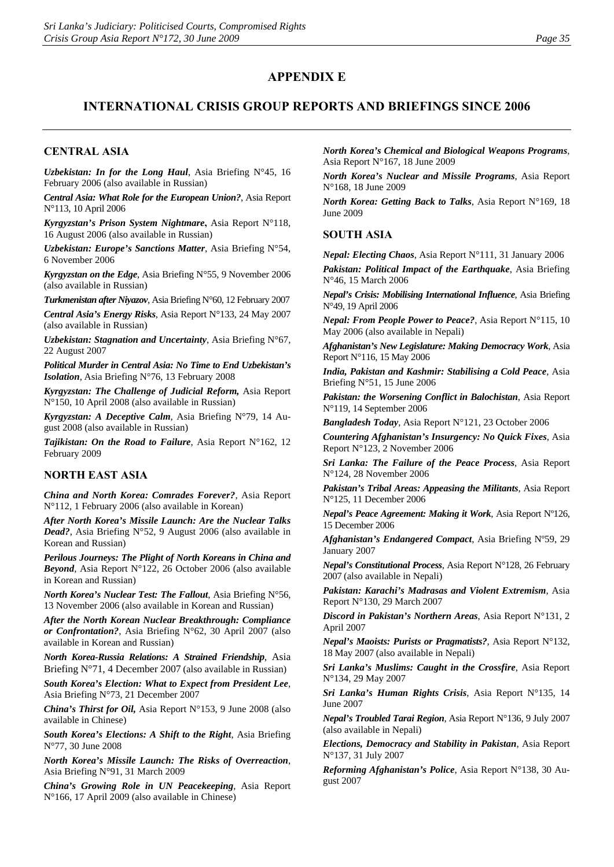## **APPENDIX E**

## **INTERNATIONAL CRISIS GROUP REPORTS AND BRIEFINGS SINCE 2006**

### **CENTRAL ASIA**

*Uzbekistan: In for the Long Haul*, Asia Briefing N°45, 16 February 2006 (also available in Russian)

*Central Asia: What Role for the European Union?*, Asia Report N°113, 10 April 2006

*Kyrgyzstan's Prison System Nightmare***,** Asia Report N°118, 16 August 2006 (also available in Russian)

*Uzbekistan: Europe's Sanctions Matter*, Asia Briefing N°54, 6 November 2006

*Kyrgyzstan on the Edge*, Asia Briefing N°55, 9 November 2006 (also available in Russian)

*Turkmenistan after Niyazov*, Asia Briefing N°60, 12 February 2007

*Central Asia's Energy Risks*, Asia Report N°133, 24 May 2007 (also available in Russian)

*Uzbekistan: Stagnation and Uncertainty*, Asia Briefing N°67, 22 August 2007

*Political Murder in Central Asia: No Time to End Uzbekistan's Isolation*, Asia Briefing N°76, 13 February 2008

*Kyrgyzstan: The Challenge of Judicial Reform,* Asia Report N°150, 10 April 2008 (also available in Russian)

*Kyrgyzstan: A Deceptive Calm*, Asia Briefing N°79, 14 August 2008 (also available in Russian)

*Tajikistan: On the Road to Failure*, Asia Report N°162, 12 February 2009

#### **NORTH EAST ASIA**

*China and North Korea: Comrades Forever?*, Asia Report N°112, 1 February 2006 (also available in Korean)

*After North Korea's Missile Launch: Are the Nuclear Talks Dead?*, Asia Briefing N°52, 9 August 2006 (also available in Korean and Russian)

*Perilous Journeys: The Plight of North Koreans in China and Beyond*, Asia Report N°122, 26 October 2006 (also available in Korean and Russian)

*North Korea's Nuclear Test: The Fallout*, Asia Briefing N°56, 13 November 2006 (also available in Korean and Russian)

*After the North Korean Nuclear Breakthrough: Compliance or Confrontation?*, Asia Briefing N°62, 30 April 2007 (also available in Korean and Russian)

*North Korea-Russia Relations: A Strained Friendship*, Asia Briefing N°71, 4 December 2007 (also available in Russian)

*South Korea's Election: What to Expect from President Lee*, Asia Briefing N°73, 21 December 2007

*China's Thirst for Oil,* Asia Report N°153, 9 June 2008 (also available in Chinese)

*South Korea's Elections: A Shift to the Right*, Asia Briefing N°77, 30 June 2008

*North Korea's Missile Launch: The Risks of Overreaction*, Asia Briefing N°91, 31 March 2009

*China's Growing Role in UN Peacekeeping*, Asia Report N°166, 17 April 2009 (also available in Chinese)

*North Korea's Chemical and Biological Weapons Programs*, Asia Report N°167, 18 June 2009

*North Korea's Nuclear and Missile Programs*, Asia Report N°168, 18 June 2009

*North Korea: Getting Back to Talks*, Asia Report N°169, 18 June 2009

#### **SOUTH ASIA**

*Nepal: Electing Chaos*, Asia Report N°111, 31 January 2006

*Pakistan: Political Impact of the Earthquake*, Asia Briefing N°46, 15 March 2006

*Nepal's Crisis: Mobilising International Influence*, Asia Briefing N°49, 19 April 2006

*Nepal: From People Power to Peace?*, Asia Report N°115, 10 May 2006 (also available in Nepali)

*Afghanistan's New Legislature: Making Democracy Work*, Asia Report N°116, 15 May 2006

*India, Pakistan and Kashmir: Stabilising a Cold Peace*, Asia Briefing N°51, 15 June 2006

*Pakistan: the Worsening Conflict in Balochistan*, Asia Report N°119, 14 September 2006

*Bangladesh Today*, Asia Report N°121, 23 October 2006

*Countering Afghanistan's Insurgency: No Quick Fixes*, Asia Report N°123, 2 November 2006

*Sri Lanka: The Failure of the Peace Process*, Asia Report N°124, 28 November 2006

*Pakistan's Tribal Areas: Appeasing the Militants*, Asia Report N°125, 11 December 2006

*Nepal's Peace Agreement: Making it Work*, Asia Report Nº126, 15 December 2006

*Afghanistan's Endangered Compact*, Asia Briefing Nº59, 29 January 2007

*Nepal's Constitutional Process*, Asia Report N°128, 26 February 2007 (also available in Nepali)

*Pakistan: Karachi's Madrasas and Violent Extremism*, Asia Report N°130, 29 March 2007

*Discord in Pakistan's Northern Areas*, Asia Report N°131, 2 April 2007

*Nepal's Maoists: Purists or Pragmatists?*, Asia Report N°132, 18 May 2007 (also available in Nepali)

*Sri Lanka's Muslims: Caught in the Crossfire*, Asia Report N°134, 29 May 2007

*Sri Lanka's Human Rights Crisis*, Asia Report N°135, 14 June 2007

*Nepal's Troubled Tarai Region*, Asia Report N°136, 9 July 2007 (also available in Nepali)

*Elections, Democracy and Stability in Pakistan*, Asia Report N°137, 31 July 2007

*Reforming Afghanistan's Police*, Asia Report N°138, 30 August 2007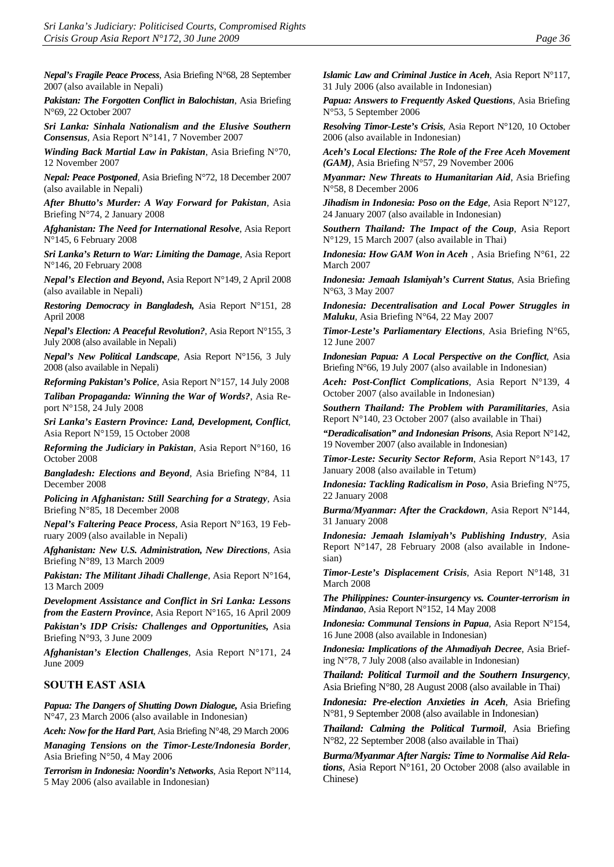*Nepal's Fragile Peace Process*, Asia Briefing N°68, 28 September 2007 (also available in Nepali)

*Pakistan: The Forgotten Conflict in Balochistan*, Asia Briefing N°69, 22 October 2007

*Sri Lanka: Sinhala Nationalism and the Elusive Southern Consensus*, Asia Report N°141, 7 November 2007

*Winding Back Martial Law in Pakistan*, Asia Briefing N°70, 12 November 2007

*Nepal: Peace Postponed*, Asia Briefing N°72, 18 December 2007 (also available in Nepali)

*After Bhutto's Murder: A Way Forward for Pakistan*, Asia Briefing N°74, 2 January 2008

*Afghanistan: The Need for International Resolve*, Asia Report N°145, 6 February 2008

*Sri Lanka's Return to War: Limiting the Damage*, Asia Report N°146, 20 February 2008

*Nepal's Election and Beyond***,** Asia Report N°149, 2 April 2008 (also available in Nepali)

*Restoring Democracy in Bangladesh,* Asia Report N°151, 28 April 2008

*Nepal's Election: A Peaceful Revolution?*, Asia Report N°155, 3 July 2008 (also available in Nepali)

*Nepal's New Political Landscape*, Asia Report N°156, 3 July 2008 (also available in Nepali)

*Reforming Pakistan's Police*, Asia Report N°157, 14 July 2008

*Taliban Propaganda: Winning the War of Words?*, Asia Report N°158, 24 July 2008

*Sri Lanka's Eastern Province: Land, Development, Conflict*, Asia Report N°159, 15 October 2008

*Reforming the Judiciary in Pakistan*, Asia Report N°160, 16 October 2008

*Bangladesh: Elections and Beyond*, Asia Briefing N°84, 11 December 2008

*Policing in Afghanistan: Still Searching for a Strategy*, Asia Briefing N°85, 18 December 2008

*Nepal's Faltering Peace Process*, Asia Report N°163, 19 February 2009 (also available in Nepali)

*Afghanistan: New U.S. Administration, New Directions*, Asia Briefing N°89, 13 March 2009

*Pakistan: The Militant Jihadi Challenge*, Asia Report N°164, 13 March 2009

*Development Assistance and Conflict in Sri Lanka: Lessons from the Eastern Province*, Asia Report N°165, 16 April 2009

*Pakistan's IDP Crisis: Challenges and Opportunities,* Asia Briefing N°93, 3 June 2009

*Afghanistan's Election Challenges*, Asia Report N°171, 24 June 2009

#### **SOUTH EAST ASIA**

*Papua: The Dangers of Shutting Down Dialogue,* Asia Briefing N°47, 23 March 2006 (also available in Indonesian)

*Aceh: Now for the Hard Part*, Asia Briefing N°48, 29 March 2006

*Managing Tensions on the Timor-Leste/Indonesia Border*, Asia Briefing N°50, 4 May 2006

*Terrorism in Indonesia: Noordin's Networks*, Asia Report N°114, 5 May 2006 (also available in Indonesian)

*Islamic Law and Criminal Justice in Aceh*, Asia Report N°117, 31 July 2006 (also available in Indonesian)

*Papua: Answers to Frequently Asked Questions*, Asia Briefing N°53, 5 September 2006

*Resolving Timor-Leste's Crisis*, Asia Report N°120, 10 October 2006 (also available in Indonesian)

*Aceh's Local Elections: The Role of the Free Aceh Movement (GAM)*, Asia Briefing N°57, 29 November 2006

*Myanmar: New Threats to Humanitarian Aid*, Asia Briefing N°58, 8 December 2006

*Jihadism in Indonesia: Poso on the Edge*, Asia Report N°127, 24 January 2007 (also available in Indonesian)

*Southern Thailand: The Impact of the Coup*, Asia Report N°129, 15 March 2007 (also available in Thai)

*Indonesia: How GAM Won in Aceh* , Asia Briefing N°61, 22 March 2007

*Indonesia: Jemaah Islamiyah's Current Status*, Asia Briefing N°63, 3 May 2007

*Indonesia: Decentralisation and Local Power Struggles in Maluku*, Asia Briefing N°64, 22 May 2007

*Timor-Leste's Parliamentary Elections*, Asia Briefing N°65, 12 June 2007

*Indonesian Papua: A Local Perspective on the Conflict*, Asia Briefing N°66, 19 July 2007 (also available in Indonesian)

*Aceh: Post-Conflict Complications*, Asia Report N°139, 4 October 2007 (also available in Indonesian)

*Southern Thailand: The Problem with Paramilitaries*, Asia Report N°140, 23 October 2007 (also available in Thai)

*"Deradicalisation" and Indonesian Prisons*, Asia Report N°142, 19 November 2007 (also available in Indonesian)

*Timor-Leste: Security Sector Reform*, Asia Report N°143, 17 January 2008 (also available in Tetum)

*Indonesia: Tackling Radicalism in Poso*, Asia Briefing N°75, 22 January 2008

*Burma/Myanmar: After the Crackdown*, Asia Report N°144, 31 January 2008

*Indonesia: Jemaah Islamiyah's Publishing Industry*, Asia Report N°147, 28 February 2008 (also available in Indonesian)

*Timor-Leste's Displacement Crisis*, Asia Report N°148, 31 March 2008

*The Philippines: Counter-insurgency vs. Counter-terrorism in Mindanao*, Asia Report N°152, 14 May 2008

*Indonesia: Communal Tensions in Papua*, Asia Report N°154, 16 June 2008 (also available in Indonesian)

*Indonesia: Implications of the Ahmadiyah Decree*, Asia Briefing N°78, 7 July 2008 (also available in Indonesian)

*Thailand: Political Turmoil and the Southern Insurgency*, Asia Briefing N°80, 28 August 2008 (also available in Thai)

*Indonesia: Pre-election Anxieties in Aceh*, Asia Briefing N°81, 9 September 2008 (also available in Indonesian)

*Thailand: Calming the Political Turmoil*, Asia Briefing N°82, 22 September 2008 (also available in Thai)

*Burma/Myanmar After Nargis: Time to Normalise Aid Relations*, Asia Report N°161, 20 October 2008 (also available in Chinese)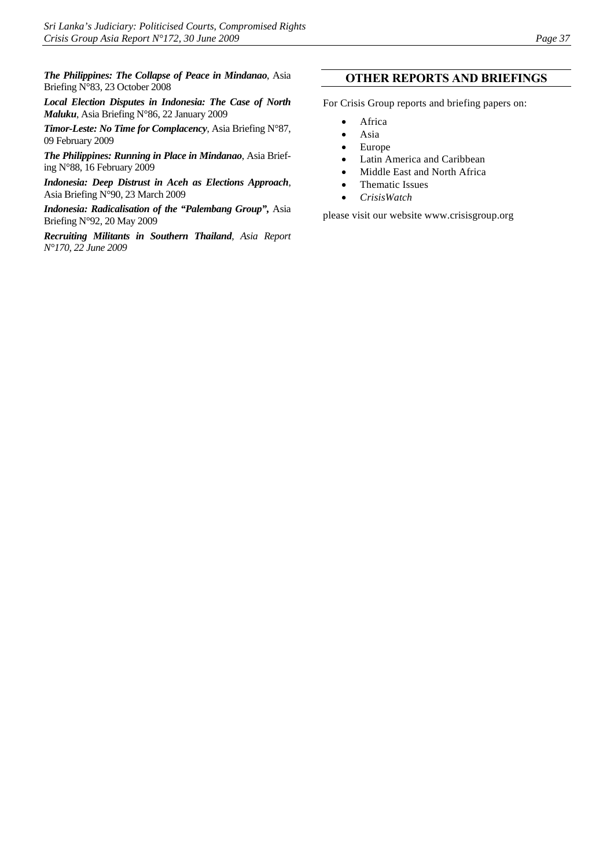*The Philippines: The Collapse of Peace in Mindanao*, Asia Briefing N°83, 23 October 2008

*Local Election Disputes in Indonesia: The Case of North Maluku*, Asia Briefing N°86, 22 January 2009

*Timor-Leste: No Time for Complacency*, Asia Briefing N°87, 09 February 2009

*The Philippines: Running in Place in Mindanao*, Asia Briefing N°88, 16 February 2009

*Indonesia: Deep Distrust in Aceh as Elections Approach*, Asia Briefing N°90, 23 March 2009

*Indonesia: Radicalisation of the "Palembang Group",* Asia Briefing N°92, 20 May 2009

*Recruiting Militants in Southern Thailand, Asia Report N°170, 22 June 2009* 

#### **OTHER REPORTS AND BRIEFINGS**

For Crisis Group reports and briefing papers on:

- Africa
- Asia
- Europe
- Latin America and Caribbean
- Middle East and North Africa
- Thematic Issues
- *CrisisWatch*

please visit our website www.crisisgroup.org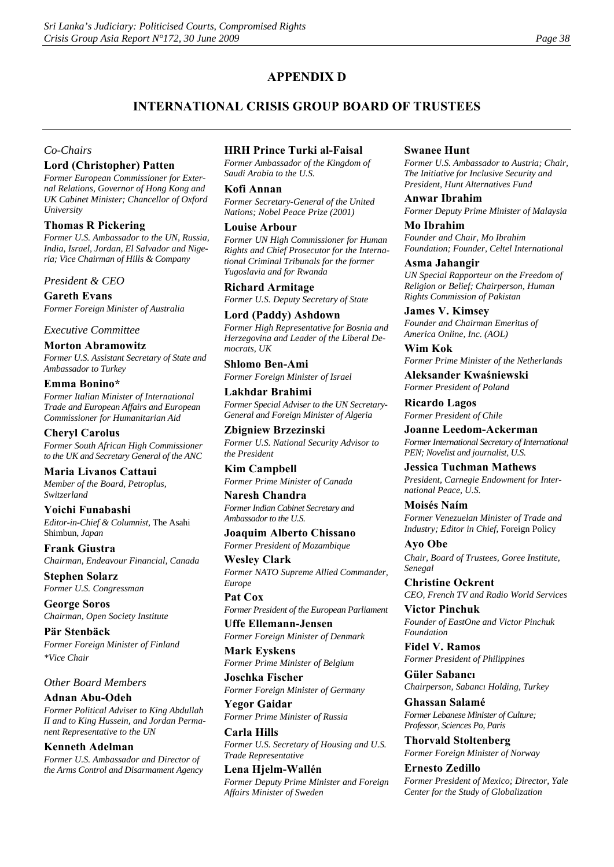## **APPENDIX D**

## **INTERNATIONAL CRISIS GROUP BOARD OF TRUSTEES**

#### *Co-Chairs*

#### **Lord (Christopher) Patten**

*Former European Commissioner for External Relations, Governor of Hong Kong and UK Cabinet Minister; Chancellor of Oxford University*

#### **Thomas R Pickering**

*Former U.S. Ambassador to the UN, Russia, India, Israel, Jordan, El Salvador and Nigeria; Vice Chairman of Hills & Company*

#### *President & CEO*

**Gareth Evans** *Former Foreign Minister of Australia*

#### *Executive Committee*

#### **Morton Abramowitz**

*Former U.S. Assistant Secretary of State and Ambassador to Turkey*

#### **Emma Bonino\***

*Former Italian Minister of International Trade and European Affairs and European Commissioner for Humanitarian Aid* 

#### **Cheryl Carolus**

*Former South African High Commissioner to the UK and Secretary General of the ANC*

#### **Maria Livanos Cattaui**

*Member of the Board, Petroplus, Switzerland* 

**Yoichi Funabashi** *Editor-in-Chief & Columnist,* The Asahi Shimbun*, Japan* 

**Frank Giustra**  *Chairman, Endeavour Financial, Canada*

**Stephen Solarz**  *Former U.S. Congressman*

**George Soros**  *Chairman, Open Society Institute*

**Pär Stenbäck**  *Former Foreign Minister of Finland \*Vice Chair*

#### *Other Board Members*

#### **Adnan Abu-Odeh**

*Former Political Adviser to King Abdullah II and to King Hussein, and Jordan Permanent Representative to the UN*

#### **Kenneth Adelman**

*Former U.S. Ambassador and Director of the Arms Control and Disarmament Agency*

#### **HRH Prince Turki al-Faisal**

*Former Ambassador of the Kingdom of Saudi Arabia to the U.S.* 

#### **Kofi Annan**

*Former Secretary-General of the United Nations; Nobel Peace Prize (2001)* 

#### **Louise Arbour**

*Former UN High Commissioner for Human Rights and Chief Prosecutor for the International Criminal Tribunals for the former Yugoslavia and for Rwanda* 

**Richard Armitage**  *Former U.S. Deputy Secretary of State* 

**Lord (Paddy) Ashdown**  *Former High Representative for Bosnia and Herzegovina and Leader of the Liberal Democrats, UK* 

**Shlomo Ben-Ami**  *Former Foreign Minister of Israel*

#### **Lakhdar Brahimi**  *Former Special Adviser to the UN Secretary-General and Foreign Minister of Algeria*

**Zbigniew Brzezinski**  *Former U.S. National Security Advisor to the President*

**Kim Campbell**  *Former Prime Minister of Canada*

#### **Naresh Chandra**  *Former Indian Cabinet Secretary and Ambassador to the U.S.*

**Joaquim Alberto Chissano**  *Former President of Mozambique*

**Wesley Clark**  *Former NATO Supreme Allied Commander, Europe*

**Pat Cox**  *Former President of the European Parliament*

**Uffe Ellemann-Jensen**  *Former Foreign Minister of Denmark*

**Mark Eyskens**  *Former Prime Minister of Belgium*

**Joschka Fischer** *Former Foreign Minister of Germany*

**Yegor Gaidar**  *Former Prime Minister of Russia* 

**Carla Hills**  *Former U.S. Secretary of Housing and U.S. Trade Representative*

**Lena Hjelm-Wallén**  *Former Deputy Prime Minister and Foreign Affairs Minister of Sweden*

#### **Swanee Hunt**

*Former U.S. Ambassador to Austria; Chair, The Initiative for Inclusive Security and President, Hunt Alternatives Fund*

#### **Anwar Ibrahim**

*Former Deputy Prime Minister of Malaysia* 

**Mo Ibrahim**  *Founder and Chair, Mo Ibrahim Foundation; Founder, Celtel International* 

#### **Asma Jahangir**  *UN Special Rapporteur on the Freedom of*

*Religion or Belief; Chairperson, Human Rights Commission of Pakistan*

**James V. Kimsey**  *Founder and Chairman Emeritus of America Online, Inc. (AOL)*

**Wim Kok**  *Former Prime Minister of the Netherlands*

**Aleksander Kwaśniewski**  *Former President of Poland* 

**Ricardo Lagos**  *Former President of Chile*

**Joanne Leedom-Ackerman**  *Former International Secretary of International PEN; Novelist and journalist, U.S.*

**Jessica Tuchman Mathews**  *President, Carnegie Endowment for International Peace, U.S.* 

**Moisés Naím**  *Former Venezuelan Minister of Trade and Industry; Editor in Chief,* Foreign Policy

**Ayo Obe**  *Chair, Board of Trustees, Goree Institute, Senegal* 

**Christine Ockrent**  *CEO, French TV and Radio World Services*

**Victor Pinchuk** *Founder of EastOne and Victor Pinchuk Foundation*

**Fidel V. Ramos** *Former President of Philippines*

**Güler Sabancı** *Chairperson, Sabancı Holding, Turkey* 

**Ghassan Salamé** *Former Lebanese Minister of Culture; Professor, Sciences Po, Paris* 

**Thorvald Stoltenberg** *Former Foreign Minister of Norway*

**Ernesto Zedillo** *Former President of Mexico; Director, Yale Center for the Study of Globalization*